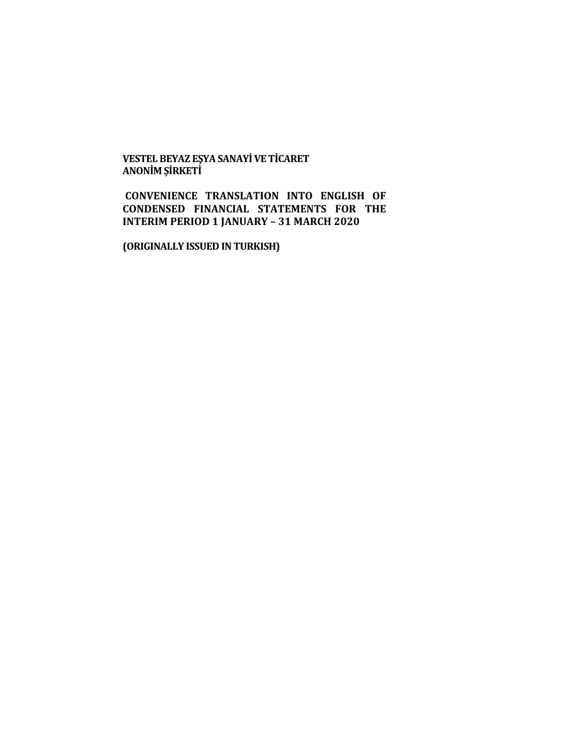**VESTEL BEYAZ EŞYA SANAYİ VE TİCARET ANONİM ŞİRKETİ**

**CONVENIENCE TRANSLATION INTO ENGLISH OF CONDENSED FINANCIAL STATEMENTS FOR THE INTERIM PERIOD 1 JANUARY – 31 MARCH 2020**

**(ORIGINALLY ISSUED IN TURKISH)**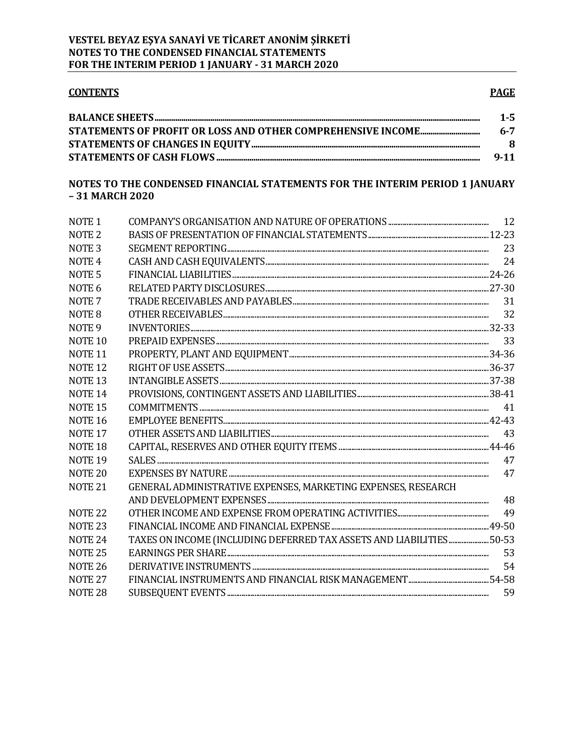# **CONTENTS**

## **PAGE**

| $1 - 5$  |
|----------|
| $6 - 7$  |
| -8       |
| $9 - 11$ |

# NOTES TO THE CONDENSED FINANCIAL STATEMENTS FOR THE INTERIM PERIOD 1 JANUARY -31 MARCH 2020

| NOTE <sub>1</sub>  |                                                                      |    |
|--------------------|----------------------------------------------------------------------|----|
| NOTE <sub>2</sub>  |                                                                      |    |
| NOTE <sub>3</sub>  |                                                                      | 23 |
| NOTE <sub>4</sub>  |                                                                      |    |
| NOTE <sub>5</sub>  |                                                                      |    |
| NOTE <sub>6</sub>  |                                                                      |    |
| NOTE <sub>7</sub>  |                                                                      | 31 |
| NOTE <sub>8</sub>  |                                                                      |    |
| NOTE <sub>9</sub>  |                                                                      |    |
| NOTE <sub>10</sub> |                                                                      |    |
| <b>NOTE 11</b>     |                                                                      |    |
| NOTE <sub>12</sub> |                                                                      |    |
| NOTE <sub>13</sub> |                                                                      |    |
| NOTE <sub>14</sub> |                                                                      |    |
| NOTE <sub>15</sub> |                                                                      |    |
| NOTE <sub>16</sub> |                                                                      |    |
| NOTE <sub>17</sub> |                                                                      | 43 |
| NOTE <sub>18</sub> |                                                                      |    |
| NOTE <sub>19</sub> |                                                                      |    |
| NOTE <sub>20</sub> |                                                                      | 47 |
| NOTE <sub>21</sub> | GENERAL ADMINISTRATIVE EXPENSES, MARKETING EXPENSES, RESEARCH        |    |
|                    |                                                                      | 48 |
| NOTE <sub>22</sub> |                                                                      | 49 |
| NOTE <sub>23</sub> |                                                                      |    |
| NOTE <sub>24</sub> | TAXES ON INCOME (INCLUDING DEFERRED TAX ASSETS AND LIABILITIES 50-53 |    |
| NOTE <sub>25</sub> |                                                                      | 53 |
| <b>NOTE 26</b>     |                                                                      | 54 |
| NOTE <sub>27</sub> |                                                                      |    |
| NOTE <sub>28</sub> |                                                                      | 59 |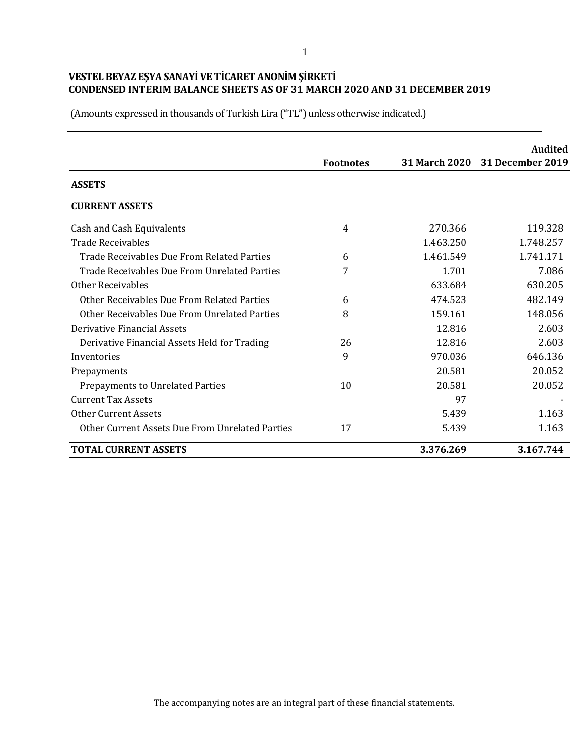|                                                 |                  |           | <b>Audited</b>                 |
|-------------------------------------------------|------------------|-----------|--------------------------------|
|                                                 | <b>Footnotes</b> |           | 31 March 2020 31 December 2019 |
| <b>ASSETS</b>                                   |                  |           |                                |
| <b>CURRENT ASSETS</b>                           |                  |           |                                |
| Cash and Cash Equivalents                       | 4                | 270.366   | 119.328                        |
| <b>Trade Receivables</b>                        |                  | 1.463.250 | 1.748.257                      |
| Trade Receivables Due From Related Parties      | 6                | 1.461.549 | 1.741.171                      |
| Trade Receivables Due From Unrelated Parties    | 7                | 1.701     | 7.086                          |
| Other Receivables                               |                  | 633.684   | 630.205                        |
| Other Receivables Due From Related Parties      | 6                | 474.523   | 482.149                        |
| Other Receivables Due From Unrelated Parties    | 8                | 159.161   | 148.056                        |
| Derivative Financial Assets                     |                  | 12.816    | 2.603                          |
| Derivative Financial Assets Held for Trading    | 26               | 12.816    | 2.603                          |
| Inventories                                     | 9                | 970.036   | 646.136                        |
| Prepayments                                     |                  | 20.581    | 20.052                         |
| <b>Prepayments to Unrelated Parties</b>         | 10               | 20.581    | 20.052                         |
| <b>Current Tax Assets</b>                       |                  | 97        |                                |
| <b>Other Current Assets</b>                     |                  | 5.439     | 1.163                          |
| Other Current Assets Due From Unrelated Parties | 17               | 5.439     | 1.163                          |
| <b>TOTAL CURRENT ASSETS</b>                     |                  | 3.376.269 | 3.167.744                      |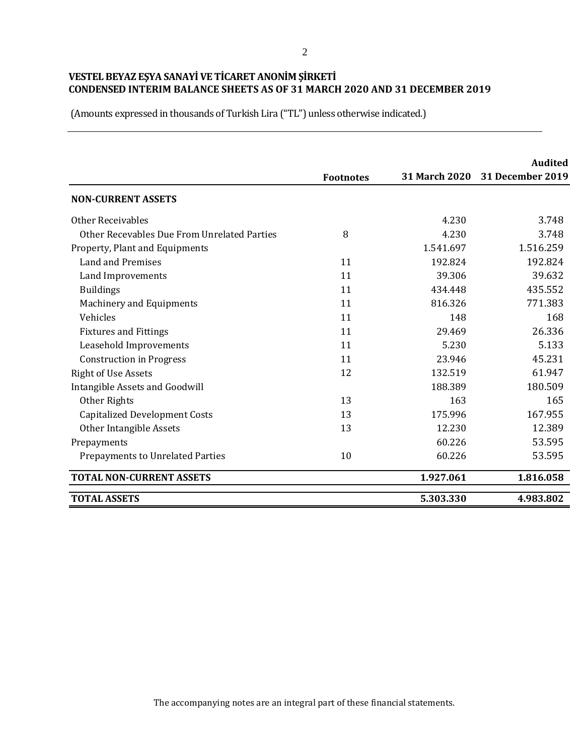(Amounts expressed in thousands of Turkish Lira ("TL") unless otherwise indicated.)

|                                             |                  |                      | Audited                 |
|---------------------------------------------|------------------|----------------------|-------------------------|
|                                             | <b>Footnotes</b> | <b>31 March 2020</b> | <b>31 December 2019</b> |
| <b>NON-CURRENT ASSETS</b>                   |                  |                      |                         |
| <b>Other Receivables</b>                    |                  | 4.230                | 3.748                   |
| Other Recevables Due From Unrelated Parties | 8                | 4.230                | 3.748                   |
| Property, Plant and Equipments              |                  | 1.541.697            | 1.516.259               |
| <b>Land and Premises</b>                    | 11               | 192.824              | 192.824                 |
| Land Improvements                           | 11               | 39.306               | 39.632                  |
| <b>Buildings</b>                            | 11               | 434.448              | 435.552                 |
| Machinery and Equipments                    | 11               | 816.326              | 771.383                 |
| Vehicles                                    | 11               | 148                  | 168                     |
| <b>Fixtures and Fittings</b>                | 11               | 29.469               | 26.336                  |
| Leasehold Improvements                      | 11               | 5.230                | 5.133                   |
| <b>Construction in Progress</b>             | 11               | 23.946               | 45.231                  |
| <b>Right of Use Assets</b>                  | 12               | 132.519              | 61.947                  |
| Intangible Assets and Goodwill              |                  | 188.389              | 180.509                 |
| Other Rights                                | 13               | 163                  | 165                     |
| <b>Capitalized Development Costs</b>        | 13               | 175.996              | 167.955                 |
| Other Intangible Assets                     | 13               | 12.230               | 12.389                  |
| Prepayments                                 |                  | 60.226               | 53.595                  |
| Prepayments to Unrelated Parties            | 10               | 60.226               | 53.595                  |
| <b>TOTAL NON-CURRENT ASSETS</b>             |                  | 1.927.061            | 1.816.058               |
| <b>TOTAL ASSETS</b>                         |                  | 5.303.330            | 4.983.802               |

The accompanying notes are an integral part of these financial statements.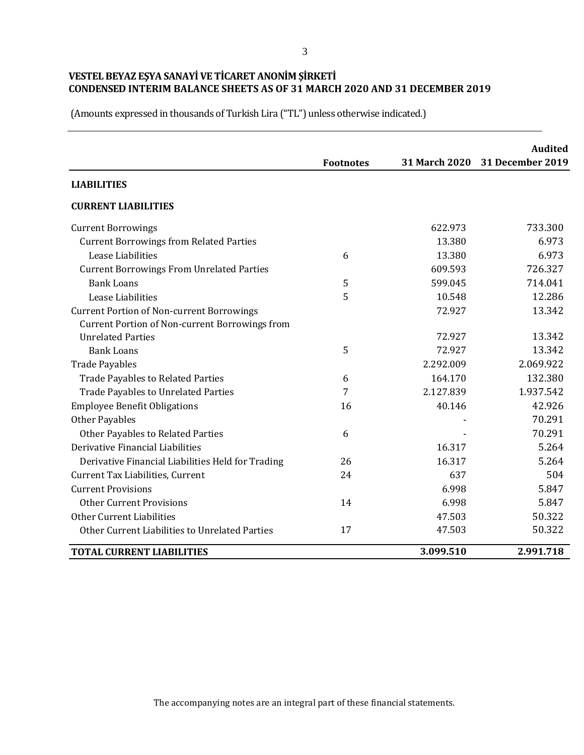(Amounts expressed in thousands of Turkish Lira ("TL") unless otherwise indicated.)

|                                                       | <b>Footnotes</b> | 31 March 2020 | <b>Audited</b><br>31 December 2019 |
|-------------------------------------------------------|------------------|---------------|------------------------------------|
| <b>LIABILITIES</b>                                    |                  |               |                                    |
| <b>CURRENT LIABILITIES</b>                            |                  |               |                                    |
| <b>Current Borrowings</b>                             |                  | 622.973       | 733.300                            |
| <b>Current Borrowings from Related Parties</b>        |                  | 13.380        | 6.973                              |
| Lease Liabilities                                     | 6                | 13.380        | 6.973                              |
| <b>Current Borrowings From Unrelated Parties</b>      |                  | 609.593       | 726.327                            |
| <b>Bank Loans</b>                                     | 5                | 599.045       | 714.041                            |
| Lease Liabilities                                     | 5                | 10.548        | 12.286                             |
| <b>Current Portion of Non-current Borrowings</b>      |                  | 72.927        | 13.342                             |
| <b>Current Portion of Non-current Borrowings from</b> |                  |               |                                    |
| <b>Unrelated Parties</b>                              |                  | 72.927        | 13.342                             |
| <b>Bank Loans</b>                                     | 5                | 72.927        | 13.342                             |
| <b>Trade Payables</b>                                 |                  | 2.292.009     | 2.069.922                          |
| <b>Trade Payables to Related Parties</b>              | 6                | 164.170       | 132.380                            |
| <b>Trade Payables to Unrelated Parties</b>            | 7                | 2.127.839     | 1.937.542                          |
| <b>Employee Benefit Obligations</b>                   | 16               | 40.146        | 42.926                             |
| <b>Other Payables</b>                                 |                  |               | 70.291                             |
| Other Payables to Related Parties                     | 6                |               | 70.291                             |
| Derivative Financial Liabilities                      |                  | 16.317        | 5.264                              |
| Derivative Financial Liabilities Held for Trading     | 26               | 16.317        | 5.264                              |
| Current Tax Liabilities, Current                      | 24               | 637           | 504                                |
| <b>Current Provisions</b>                             |                  | 6.998         | 5.847                              |
| <b>Other Current Provisions</b>                       | 14               | 6.998         | 5.847                              |
| Other Current Liabilities                             |                  | 47.503        | 50.322                             |
| Other Current Liabilities to Unrelated Parties        | 17               | 47.503        | 50.322                             |
| <b>TOTAL CURRENT LIABILITIES</b>                      |                  | 3.099.510     | 2.991.718                          |

The accompanying notes are an integral part of these financial statements.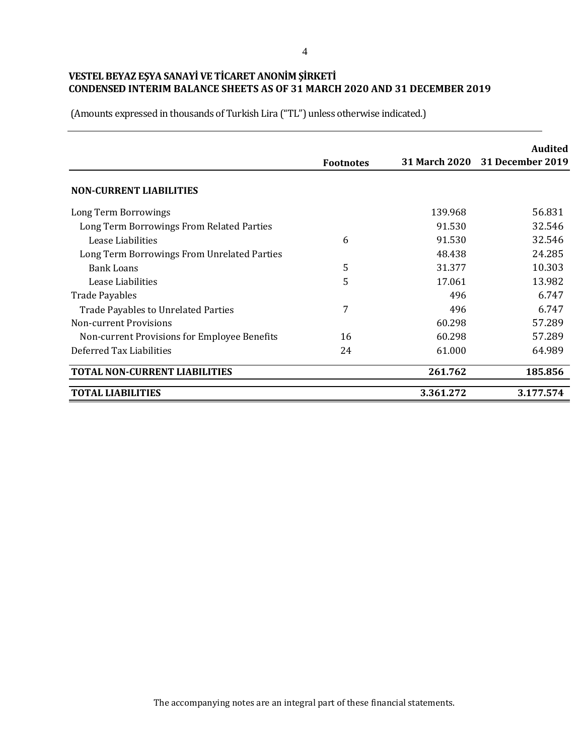|                                              | <b>Footnotes</b> |           | Audited<br>31 March 2020 31 December 2019 |
|----------------------------------------------|------------------|-----------|-------------------------------------------|
| <b>NON-CURRENT LIABILITIES</b>               |                  |           |                                           |
| Long Term Borrowings                         |                  | 139.968   | 56.831                                    |
| Long Term Borrowings From Related Parties    |                  | 91.530    | 32.546                                    |
| Lease Liabilities                            | 6                | 91.530    | 32.546                                    |
| Long Term Borrowings From Unrelated Parties  |                  | 48.438    | 24.285                                    |
| <b>Bank Loans</b>                            | 5                | 31.377    | 10.303                                    |
| Lease Liabilities                            | 5                | 17.061    | 13.982                                    |
| <b>Trade Payables</b>                        |                  | 496       | 6.747                                     |
| Trade Payables to Unrelated Parties          | 7                | 496       | 6.747                                     |
| Non-current Provisions                       |                  | 60.298    | 57.289                                    |
| Non-current Provisions for Employee Benefits | 16               | 60.298    | 57.289                                    |
| Deferred Tax Liabilities                     | 24               | 61.000    | 64.989                                    |
| <b>TOTAL NON-CURRENT LIABILITIES</b>         |                  | 261.762   | 185.856                                   |
| <b>TOTAL LIABILITIES</b>                     |                  | 3.361.272 | 3.177.574                                 |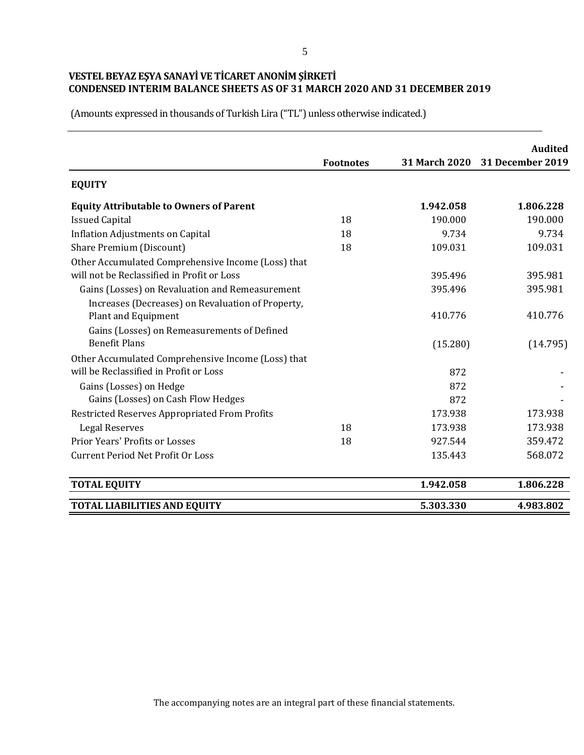|                                                                                              | <b>Footnotes</b> |           | <b>Audited</b><br>31 March 2020 31 December 2019 |
|----------------------------------------------------------------------------------------------|------------------|-----------|--------------------------------------------------|
| <b>EQUITY</b>                                                                                |                  |           |                                                  |
| <b>Equity Attributable to Owners of Parent</b>                                               |                  | 1.942.058 | 1.806.228                                        |
| <b>Issued Capital</b>                                                                        | 18               | 190.000   | 190.000                                          |
| <b>Inflation Adjustments on Capital</b>                                                      | 18               | 9.734     | 9.734                                            |
| Share Premium (Discount)                                                                     | 18               | 109.031   | 109.031                                          |
| Other Accumulated Comprehensive Income (Loss) that                                           |                  |           |                                                  |
| will not be Reclassified in Profit or Loss                                                   |                  | 395.496   | 395.981                                          |
| Gains (Losses) on Revaluation and Remeasurement                                              |                  | 395.496   | 395.981                                          |
| Increases (Decreases) on Revaluation of Property,<br>Plant and Equipment                     |                  | 410.776   | 410.776                                          |
| Gains (Losses) on Remeasurements of Defined<br><b>Benefit Plans</b>                          |                  | (15.280)  | (14.795)                                         |
| Other Accumulated Comprehensive Income (Loss) that<br>will be Reclassified in Profit or Loss |                  | 872       |                                                  |
|                                                                                              |                  | 872       |                                                  |
| Gains (Losses) on Hedge<br>Gains (Losses) on Cash Flow Hedges                                |                  | 872       |                                                  |
| <b>Restricted Reserves Appropriated From Profits</b>                                         |                  | 173.938   | 173.938                                          |
| <b>Legal Reserves</b>                                                                        | 18               | 173.938   | 173.938                                          |
| <b>Prior Years' Profits or Losses</b>                                                        | 18               | 927.544   | 359.472                                          |
| <b>Current Period Net Profit Or Loss</b>                                                     |                  | 135.443   | 568.072                                          |
| <b>TOTAL EQUITY</b>                                                                          |                  | 1.942.058 | 1.806.228                                        |
| <b>TOTAL LIABILITIES AND EQUITY</b>                                                          |                  | 5.303.330 | 4.983.802                                        |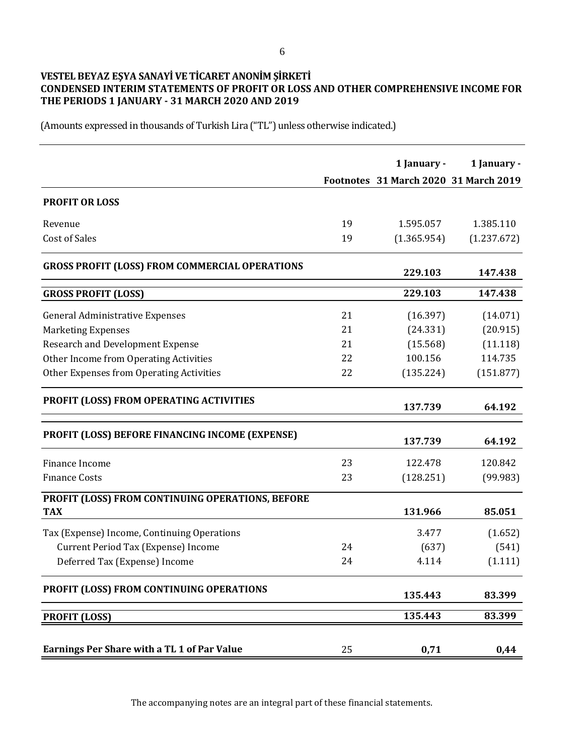# **VESTEL BEYAZ EŞYA SANAYİ VE TİCARET ANONİM ŞİRKETİ CONDENSED INTERIM STATEMENTS OF PROFIT OR LOSS AND OTHER COMPREHENSIVE INCOME FOR THE PERIODS 1 JANUARY - 31 MARCH 2020 AND 2019**

(Amounts expressed in thousands of Turkish Lira ("TL") unless otherwise indicated.)

|                                                       |    | 1 January -                           | 1 January - |
|-------------------------------------------------------|----|---------------------------------------|-------------|
|                                                       |    | Footnotes 31 March 2020 31 March 2019 |             |
| <b>PROFIT OR LOSS</b>                                 |    |                                       |             |
| Revenue                                               | 19 | 1.595.057                             | 1.385.110   |
| <b>Cost of Sales</b>                                  | 19 | (1.365.954)                           | (1.237.672) |
| <b>GROSS PROFIT (LOSS) FROM COMMERCIAL OPERATIONS</b> |    | 229.103                               | 147.438     |
| <b>GROSS PROFIT (LOSS)</b>                            |    | 229.103                               | 147.438     |
| <b>General Administrative Expenses</b>                | 21 | (16.397)                              | (14.071)    |
| <b>Marketing Expenses</b>                             | 21 | (24.331)                              | (20.915)    |
| <b>Research and Development Expense</b>               | 21 | (15.568)                              | (11.118)    |
| Other Income from Operating Activities                | 22 | 100.156                               | 114.735     |
| Other Expenses from Operating Activities              | 22 | (135.224)                             | (151.877)   |
| PROFIT (LOSS) FROM OPERATING ACTIVITIES               |    | 137.739                               | 64.192      |
| PROFIT (LOSS) BEFORE FINANCING INCOME (EXPENSE)       |    | 137.739                               | 64.192      |
| Finance Income                                        | 23 | 122.478                               | 120.842     |
| <b>Finance Costs</b>                                  | 23 | (128.251)                             | (99.983)    |
| PROFIT (LOSS) FROM CONTINUING OPERATIONS, BEFORE      |    |                                       |             |
| <b>TAX</b>                                            |    | 131.966                               | 85.051      |
| Tax (Expense) Income, Continuing Operations           |    | 3.477                                 | (1.652)     |
| Current Period Tax (Expense) Income                   | 24 | (637)                                 | (541)       |
| Deferred Tax (Expense) Income                         | 24 | 4.114                                 | (1.111)     |
| PROFIT (LOSS) FROM CONTINUING OPERATIONS              |    | 135.443                               | 83.399      |
| <b>PROFIT (LOSS)</b>                                  |    | 135.443                               | 83.399      |
| <b>Earnings Per Share with a TL 1 of Par Value</b>    | 25 | 0,71                                  | 0,44        |

The accompanying notes are an integral part of these financial statements.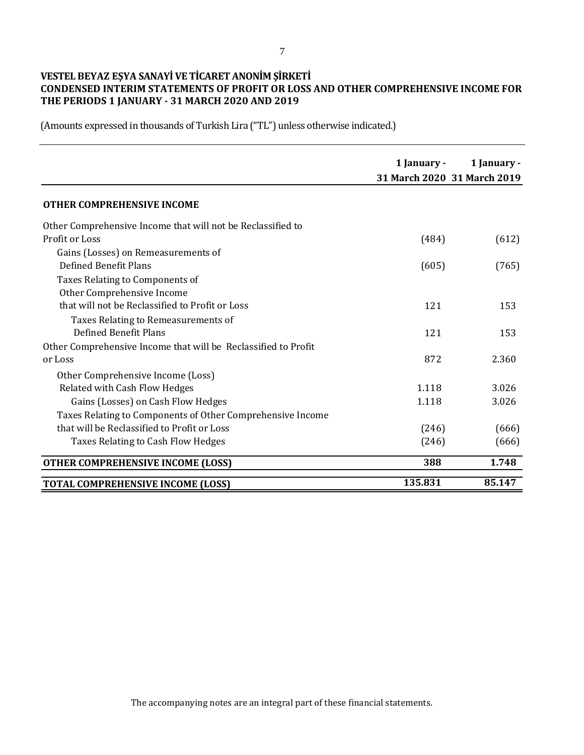# **VESTEL BEYAZ EŞYA SANAYİ VE TİCARET ANONİM ŞİRKETİ CONDENSED INTERIM STATEMENTS OF PROFIT OR LOSS AND OTHER COMPREHENSIVE INCOME FOR THE PERIODS 1 JANUARY - 31 MARCH 2020 AND 2019**

|                                                                | 1 January - | 1 January -<br>31 March 2020 31 March 2019 |
|----------------------------------------------------------------|-------------|--------------------------------------------|
| <b>OTHER COMPREHENSIVE INCOME</b>                              |             |                                            |
| Other Comprehensive Income that will not be Reclassified to    |             |                                            |
| Profit or Loss                                                 | (484)       | (612)                                      |
| Gains (Losses) on Remeasurements of                            |             |                                            |
| Defined Benefit Plans                                          | (605)       | (765)                                      |
| Taxes Relating to Components of                                |             |                                            |
| Other Comprehensive Income                                     |             |                                            |
| that will not be Reclassified to Profit or Loss                | 121         | 153                                        |
| Taxes Relating to Remeasurements of                            |             |                                            |
| Defined Benefit Plans                                          | 121         | 153                                        |
| Other Comprehensive Income that will be Reclassified to Profit |             |                                            |
| or Loss                                                        | 872         | 2.360                                      |
| Other Comprehensive Income (Loss)                              |             |                                            |
| Related with Cash Flow Hedges                                  | 1.118       | 3.026                                      |
| Gains (Losses) on Cash Flow Hedges                             | 1.118       | 3.026                                      |
| Taxes Relating to Components of Other Comprehensive Income     |             |                                            |
| that will be Reclassified to Profit or Loss                    | (246)       | (666)                                      |
| Taxes Relating to Cash Flow Hedges                             | (246)       | (666)                                      |
| <b>OTHER COMPREHENSIVE INCOME (LOSS)</b>                       | 388         | 1.748                                      |
| <b>TOTAL COMPREHENSIVE INCOME (LOSS)</b>                       | 135.831     | 85.147                                     |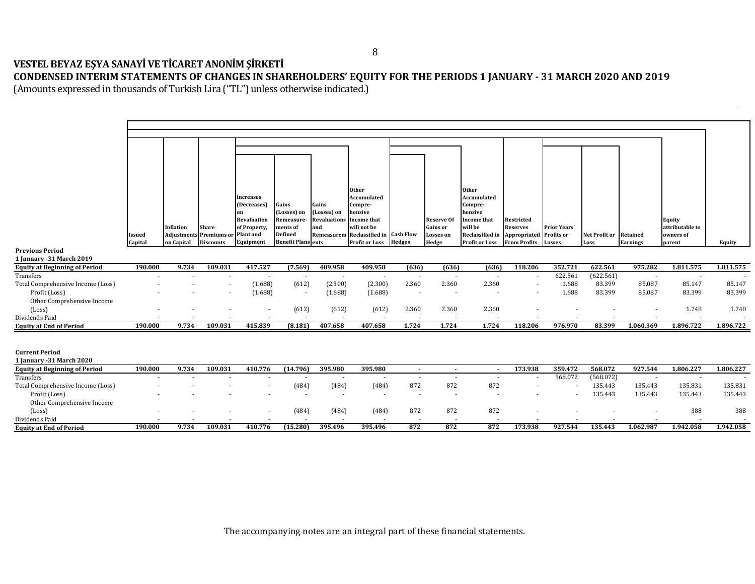## **VESTEL BEYAZ EŞYA SANAYİ VE TİCARET ANONİM ŞİRKETİ CONDENSED INTERIM STATEMENTS OF CHANGES IN SHAREHOLDERS' EQUITY FOR THE PERIODS 1 JANUARY - 31 MARCH 2020 AND 2019**

| <b>Issued</b><br>Capital | <b>Inflation</b><br><b>Adjustments</b><br>on Capital | <b>Share</b><br><b>Discounts</b> | <b>Increases</b><br>(Decreases)<br>on<br><b>Revaluation</b><br>of Property,<br>Plant and<br>Equipment | Gains<br>(Losses) on<br>Remeasure-<br>ments of<br><b>Defined</b> | Gains<br>(Losses) on<br><b>Revaluations</b><br>and | <b>Other</b><br>Accumulated<br>will not be<br><b>Profit or Loss</b>                                                  | <b>Hedges</b>                                                                                                            | <b>Reserve Of</b><br>Gains or<br><b>Losses</b> on<br>Hedge                                                                                                           | <b>Other</b><br>Accumulated<br>Compre-<br>hensive<br>Income that<br>will be<br>Reclassified in<br><b>Profit or Loss</b> | Restricted<br><b>Reserves</b><br>Appropriated<br><b>From Profits</b> | <b>Prior Years'</b><br>Profits or<br><b>Losses</b>                           | Net Profit or<br>Loss                                        | <b>Retained</b><br><b>Earnings</b>      | Equity<br>attributable to<br>owners of<br>parent         | Equity                                                                                                                                                                 |
|--------------------------|------------------------------------------------------|----------------------------------|-------------------------------------------------------------------------------------------------------|------------------------------------------------------------------|----------------------------------------------------|----------------------------------------------------------------------------------------------------------------------|--------------------------------------------------------------------------------------------------------------------------|----------------------------------------------------------------------------------------------------------------------------------------------------------------------|-------------------------------------------------------------------------------------------------------------------------|----------------------------------------------------------------------|------------------------------------------------------------------------------|--------------------------------------------------------------|-----------------------------------------|----------------------------------------------------------|------------------------------------------------------------------------------------------------------------------------------------------------------------------------|
|                          |                                                      |                                  |                                                                                                       |                                                                  |                                                    |                                                                                                                      |                                                                                                                          |                                                                                                                                                                      |                                                                                                                         |                                                                      |                                                                              |                                                              |                                         |                                                          |                                                                                                                                                                        |
|                          |                                                      |                                  |                                                                                                       |                                                                  |                                                    |                                                                                                                      |                                                                                                                          |                                                                                                                                                                      |                                                                                                                         |                                                                      |                                                                              |                                                              |                                         |                                                          | 1.811.575                                                                                                                                                              |
|                          |                                                      |                                  |                                                                                                       |                                                                  |                                                    |                                                                                                                      | 2.360                                                                                                                    | 2.360                                                                                                                                                                | 2.360                                                                                                                   |                                                                      | 1.688                                                                        | 83.399                                                       |                                         | 85.147                                                   | 85.147<br>83.399                                                                                                                                                       |
|                          |                                                      |                                  |                                                                                                       |                                                                  |                                                    |                                                                                                                      |                                                                                                                          |                                                                                                                                                                      |                                                                                                                         |                                                                      |                                                                              |                                                              |                                         |                                                          | 1.748                                                                                                                                                                  |
|                          |                                                      |                                  |                                                                                                       |                                                                  |                                                    |                                                                                                                      | $\overline{\phantom{a}}$                                                                                                 |                                                                                                                                                                      | $\overline{\phantom{a}}$                                                                                                |                                                                      |                                                                              |                                                              |                                         |                                                          |                                                                                                                                                                        |
|                          | 9.734                                                | 109.031                          | 415.839                                                                                               |                                                                  | 407.658                                            | 407.658                                                                                                              |                                                                                                                          |                                                                                                                                                                      |                                                                                                                         |                                                                      |                                                                              | 83.399                                                       |                                         |                                                          | 1.896.722                                                                                                                                                              |
|                          |                                                      |                                  |                                                                                                       |                                                                  |                                                    |                                                                                                                      |                                                                                                                          |                                                                                                                                                                      |                                                                                                                         |                                                                      |                                                                              |                                                              |                                         |                                                          |                                                                                                                                                                        |
| 190.000                  | 9.734                                                | 109.031                          | 410.776                                                                                               |                                                                  | 395.980                                            | 395.980                                                                                                              |                                                                                                                          | $\sim$                                                                                                                                                               |                                                                                                                         | 173.938                                                              | 359.472                                                                      | 568.072                                                      | 927.544                                 | 1.806.227                                                | 1.806.227                                                                                                                                                              |
|                          |                                                      |                                  |                                                                                                       |                                                                  | $\sim$                                             | $\sim$                                                                                                               | $\overline{\phantom{a}}$                                                                                                 | $\sim$                                                                                                                                                               | $\sim$                                                                                                                  | $\overline{\phantom{a}}$                                             |                                                                              |                                                              |                                         |                                                          |                                                                                                                                                                        |
|                          |                                                      |                                  |                                                                                                       |                                                                  | $\overline{\phantom{a}}$                           | $\sim$                                                                                                               | $\overline{\phantom{a}}$                                                                                                 | $\overline{a}$                                                                                                                                                       |                                                                                                                         | $\overline{\phantom{a}}$                                             | $\sim$                                                                       | 135.443                                                      |                                         | 135.443                                                  | 135.831<br>135.443                                                                                                                                                     |
|                          |                                                      |                                  |                                                                                                       |                                                                  |                                                    |                                                                                                                      | 872                                                                                                                      | 872                                                                                                                                                                  | 872                                                                                                                     |                                                                      |                                                                              |                                                              |                                         | 388                                                      | 388                                                                                                                                                                    |
|                          |                                                      |                                  |                                                                                                       |                                                                  |                                                    |                                                                                                                      |                                                                                                                          |                                                                                                                                                                      |                                                                                                                         |                                                                      |                                                                              |                                                              |                                         |                                                          | 1.942.058                                                                                                                                                              |
|                          |                                                      |                                  |                                                                                                       |                                                                  |                                                    |                                                                                                                      |                                                                                                                          |                                                                                                                                                                      |                                                                                                                         |                                                                      |                                                                              |                                                              |                                         |                                                          |                                                                                                                                                                        |
|                          | 190.000<br>190.000<br>190.000                        | 9.734<br>9.734                   | 109.031<br>109.031                                                                                    | Premiums or<br>417.527<br>410.776                                | (7.569)<br>(1.688)<br>(1.688)<br>(15.280)          | <b>Benefit Plans</b> ents<br>409.958<br>$\sim$<br>(612)<br>(612)<br>(8.181)<br>(14.796)<br>(484)<br>(484)<br>395.496 | Compre-<br>hensive<br><b>Income that</b><br>409.958<br>(2.300)<br>(1.688)<br>(612)<br>(612)<br>(484)<br>(484)<br>395.496 | Remeasurem Reclassified in Cash Flow<br>$\overline{\phantom{a}}$<br>(2.300)<br>(1.688)<br>$\overline{\phantom{a}}$<br>2.360<br>1.724<br>(484)<br>872<br>(484)<br>872 | (636)<br>$\overline{a}$<br>2.360<br>1.724<br>$\sim$<br>872<br>872                                                       | (636)<br>$\overline{\phantom{a}}$<br>2.360<br>1.724<br>872<br>872    | (636)<br>118.206<br>$\overline{\phantom{a}}$<br>118.206<br>$\sim$<br>173.938 | 352.721<br>622.561<br>1.688<br>976.970<br>568.072<br>927.544 | 622.561<br>83.399<br>135.443<br>135.443 | 975.282<br>(622.561)<br>85.087<br>(568.072)<br>1.062.987 | 1.811.575<br>$\overline{\phantom{a}}$<br>85.087<br>83.399<br>1.748<br>1.060.369<br>1.896.722<br>$\overline{\phantom{a}}$<br>135.443<br>135.831<br>135.443<br>1.942.058 |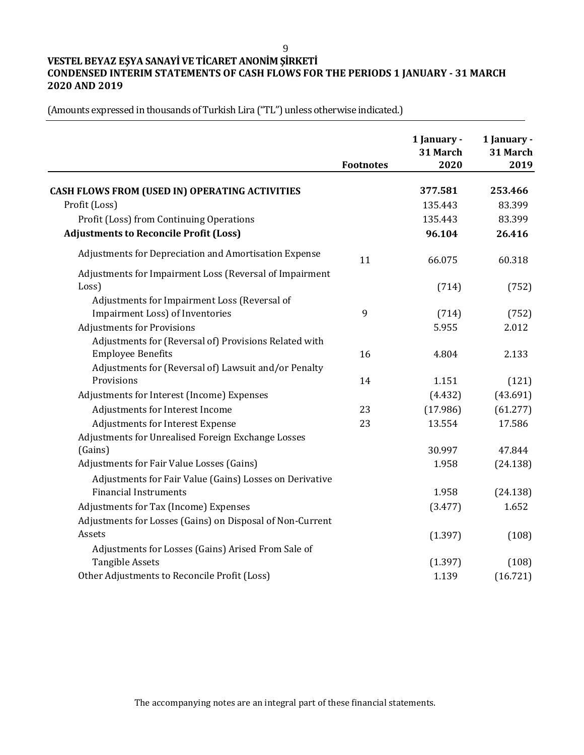9

# **VESTEL BEYAZ EŞYA SANAYİ VE TİCARET ANONİM ŞİRKETİ CONDENSED INTERIM STATEMENTS OF CASH FLOWS FOR THE PERIODS 1 JANUARY - 31 MARCH 2020 AND 2019**

|                                                           | <b>Footnotes</b> | 1 January -<br>31 March<br>2020 | 1 January -<br>31 March<br>2019 |
|-----------------------------------------------------------|------------------|---------------------------------|---------------------------------|
| <b>CASH FLOWS FROM (USED IN) OPERATING ACTIVITIES</b>     |                  | 377.581                         | 253.466                         |
| Profit (Loss)                                             |                  | 135.443                         | 83.399                          |
| Profit (Loss) from Continuing Operations                  |                  | 135.443                         | 83.399                          |
| <b>Adjustments to Reconcile Profit (Loss)</b>             |                  | 96.104                          | 26.416                          |
| Adjustments for Depreciation and Amortisation Expense     | 11               | 66.075                          | 60.318                          |
| Adjustments for Impairment Loss (Reversal of Impairment   |                  |                                 |                                 |
| Loss)                                                     |                  | (714)                           | (752)                           |
| Adjustments for Impairment Loss (Reversal of              |                  |                                 |                                 |
| Impairment Loss) of Inventories                           | 9                | (714)                           | (752)                           |
| <b>Adjustments for Provisions</b>                         |                  | 5.955                           | 2.012                           |
| Adjustments for (Reversal of) Provisions Related with     |                  |                                 |                                 |
| <b>Employee Benefits</b>                                  | 16               | 4.804                           | 2.133                           |
| Adjustments for (Reversal of) Lawsuit and/or Penalty      |                  |                                 |                                 |
| Provisions                                                | 14               | 1.151                           | (121)                           |
| Adjustments for Interest (Income) Expenses                |                  | (4.432)                         | (43.691)                        |
| Adjustments for Interest Income                           | 23               | (17.986)                        | (61.277)                        |
| Adjustments for Interest Expense                          | 23               | 13.554                          | 17.586                          |
| Adjustments for Unrealised Foreign Exchange Losses        |                  |                                 |                                 |
| (Gains)                                                   |                  | 30.997                          | 47.844                          |
| Adjustments for Fair Value Losses (Gains)                 |                  | 1.958                           | (24.138)                        |
| Adjustments for Fair Value (Gains) Losses on Derivative   |                  |                                 |                                 |
| <b>Financial Instruments</b>                              |                  | 1.958                           | (24.138)                        |
| Adjustments for Tax (Income) Expenses                     |                  | (3.477)                         | 1.652                           |
| Adjustments for Losses (Gains) on Disposal of Non-Current |                  |                                 |                                 |
| Assets                                                    |                  | (1.397)                         | (108)                           |
| Adjustments for Losses (Gains) Arised From Sale of        |                  |                                 |                                 |
| <b>Tangible Assets</b>                                    |                  | (1.397)                         | (108)                           |
| Other Adjustments to Reconcile Profit (Loss)              |                  | 1.139                           | (16.721)                        |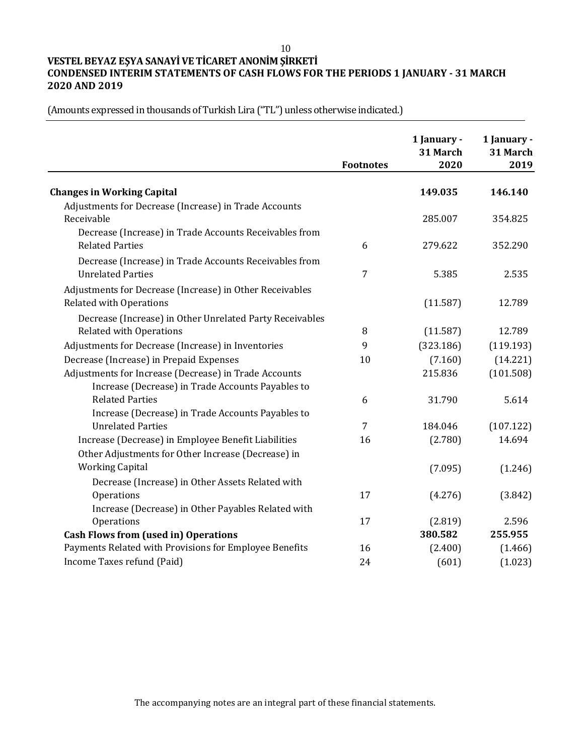10

# **VESTEL BEYAZ EŞYA SANAYİ VE TİCARET ANONİM ŞİRKETİ CONDENSED INTERIM STATEMENTS OF CASH FLOWS FOR THE PERIODS 1 JANUARY - 31 MARCH 2020 AND 2019**

(Amounts expressed in thousands of Turkish Lira ("TL") unless otherwise indicated.)

 $\overline{a}$ 

|                                                          | <b>Footnotes</b> | 1 January -<br>31 March<br>2020 | 1 January -<br>31 March<br>2019 |
|----------------------------------------------------------|------------------|---------------------------------|---------------------------------|
| <b>Changes in Working Capital</b>                        |                  | 149.035                         | 146.140                         |
| Adjustments for Decrease (Increase) in Trade Accounts    |                  |                                 |                                 |
| Receivable                                               |                  | 285.007                         | 354.825                         |
| Decrease (Increase) in Trade Accounts Receivables from   |                  |                                 |                                 |
| <b>Related Parties</b>                                   | 6                | 279.622                         | 352.290                         |
| Decrease (Increase) in Trade Accounts Receivables from   |                  |                                 |                                 |
| <b>Unrelated Parties</b>                                 | $\overline{7}$   | 5.385                           | 2.535                           |
| Adjustments for Decrease (Increase) in Other Receivables |                  |                                 |                                 |
| <b>Related with Operations</b>                           |                  | (11.587)                        | 12.789                          |
| Decrease (Increase) in Other Unrelated Party Receivables |                  |                                 |                                 |
| <b>Related with Operations</b>                           | 8                | (11.587)                        | 12.789                          |
| Adjustments for Decrease (Increase) in Inventories       | 9                | (323.186)                       | (119.193)                       |
| Decrease (Increase) in Prepaid Expenses                  | 10               | (7.160)                         | (14.221)                        |
| Adjustments for Increase (Decrease) in Trade Accounts    |                  | 215.836                         | (101.508)                       |
| Increase (Decrease) in Trade Accounts Payables to        |                  |                                 |                                 |
| <b>Related Parties</b>                                   | 6                | 31.790                          | 5.614                           |
| Increase (Decrease) in Trade Accounts Payables to        |                  |                                 |                                 |
| <b>Unrelated Parties</b>                                 | 7                | 184.046                         | (107.122)                       |
| Increase (Decrease) in Employee Benefit Liabilities      | 16               | (2.780)                         | 14.694                          |
| Other Adjustments for Other Increase (Decrease) in       |                  |                                 |                                 |
| <b>Working Capital</b>                                   |                  | (7.095)                         | (1.246)                         |
| Decrease (Increase) in Other Assets Related with         |                  |                                 |                                 |
| Operations                                               | 17               | (4.276)                         | (3.842)                         |
| Increase (Decrease) in Other Payables Related with       |                  |                                 |                                 |
| Operations                                               | 17               | (2.819)                         | 2.596                           |
| <b>Cash Flows from (used in) Operations</b>              |                  | 380.582                         | 255.955                         |
| Payments Related with Provisions for Employee Benefits   | 16               | (2.400)                         | (1.466)                         |
| Income Taxes refund (Paid)                               | 24               | (601)                           | (1.023)                         |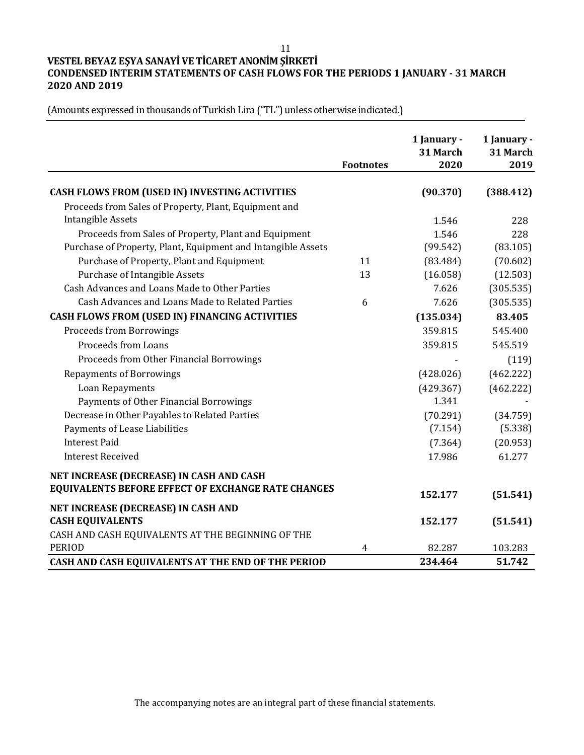11

# **VESTEL BEYAZ EŞYA SANAYİ VE TİCARET ANONİM ŞİRKETİ CONDENSED INTERIM STATEMENTS OF CASH FLOWS FOR THE PERIODS 1 JANUARY - 31 MARCH 2020 AND 2019**

| CASH FLOWS FROM (USED IN) INVESTING ACTIVITIES<br>(90.370)<br>(388.412)<br>Proceeds from Sales of Property, Plant, Equipment and<br><b>Intangible Assets</b><br>1.546<br>228<br>Proceeds from Sales of Property, Plant and Equipment<br>1.546<br>228<br>Purchase of Property, Plant, Equipment and Intangible Assets<br>(99.542)<br>(83.105)<br>Purchase of Property, Plant and Equipment<br>(70.602)<br>11<br>(83.484)<br><b>Purchase of Intangible Assets</b><br>(12.503)<br>13<br>(16.058)<br>Cash Advances and Loans Made to Other Parties<br>7.626<br>(305.535)<br>Cash Advances and Loans Made to Related Parties<br>7.626<br>(305.535)<br>6<br>CASH FLOWS FROM (USED IN) FINANCING ACTIVITIES<br>(135.034)<br>83.405<br><b>Proceeds from Borrowings</b><br>359.815<br>545.400<br>Proceeds from Loans<br>545.519<br>359.815<br>Proceeds from Other Financial Borrowings<br>(119)<br><b>Repayments of Borrowings</b><br>(462.222)<br>(428.026)<br>Loan Repayments<br>(429.367)<br>(462.222)<br>1.341<br>Payments of Other Financial Borrowings<br>Decrease in Other Payables to Related Parties<br>(70.291)<br>(34.759)<br>Payments of Lease Liabilities<br>(5.338)<br>(7.154)<br><b>Interest Paid</b><br>(20.953)<br>(7.364)<br><b>Interest Received</b><br>17.986<br>61.277<br>NET INCREASE (DECREASE) IN CASH AND CASH<br>EQUIVALENTS BEFORE EFFECT OF EXCHANGE RATE CHANGES<br>152.177<br>(51.541)<br>NET INCREASE (DECREASE) IN CASH AND<br><b>CASH EQUIVALENTS</b><br>152.177<br>(51.541)<br>CASH AND CASH EQUIVALENTS AT THE BEGINNING OF THE<br><b>PERIOD</b><br>82.287<br>103.283<br>4<br>234.464<br>51.742<br>CASH AND CASH EQUIVALENTS AT THE END OF THE PERIOD | <b>Footnotes</b> | 1 January -<br>31 March<br>2020 | 1 January -<br>31 March<br>2019 |
|---------------------------------------------------------------------------------------------------------------------------------------------------------------------------------------------------------------------------------------------------------------------------------------------------------------------------------------------------------------------------------------------------------------------------------------------------------------------------------------------------------------------------------------------------------------------------------------------------------------------------------------------------------------------------------------------------------------------------------------------------------------------------------------------------------------------------------------------------------------------------------------------------------------------------------------------------------------------------------------------------------------------------------------------------------------------------------------------------------------------------------------------------------------------------------------------------------------------------------------------------------------------------------------------------------------------------------------------------------------------------------------------------------------------------------------------------------------------------------------------------------------------------------------------------------------------------------------------------------------------------------------------------------------------------------|------------------|---------------------------------|---------------------------------|
|                                                                                                                                                                                                                                                                                                                                                                                                                                                                                                                                                                                                                                                                                                                                                                                                                                                                                                                                                                                                                                                                                                                                                                                                                                                                                                                                                                                                                                                                                                                                                                                                                                                                                 |                  |                                 |                                 |
|                                                                                                                                                                                                                                                                                                                                                                                                                                                                                                                                                                                                                                                                                                                                                                                                                                                                                                                                                                                                                                                                                                                                                                                                                                                                                                                                                                                                                                                                                                                                                                                                                                                                                 |                  |                                 |                                 |
|                                                                                                                                                                                                                                                                                                                                                                                                                                                                                                                                                                                                                                                                                                                                                                                                                                                                                                                                                                                                                                                                                                                                                                                                                                                                                                                                                                                                                                                                                                                                                                                                                                                                                 |                  |                                 |                                 |
|                                                                                                                                                                                                                                                                                                                                                                                                                                                                                                                                                                                                                                                                                                                                                                                                                                                                                                                                                                                                                                                                                                                                                                                                                                                                                                                                                                                                                                                                                                                                                                                                                                                                                 |                  |                                 |                                 |
|                                                                                                                                                                                                                                                                                                                                                                                                                                                                                                                                                                                                                                                                                                                                                                                                                                                                                                                                                                                                                                                                                                                                                                                                                                                                                                                                                                                                                                                                                                                                                                                                                                                                                 |                  |                                 |                                 |
|                                                                                                                                                                                                                                                                                                                                                                                                                                                                                                                                                                                                                                                                                                                                                                                                                                                                                                                                                                                                                                                                                                                                                                                                                                                                                                                                                                                                                                                                                                                                                                                                                                                                                 |                  |                                 |                                 |
|                                                                                                                                                                                                                                                                                                                                                                                                                                                                                                                                                                                                                                                                                                                                                                                                                                                                                                                                                                                                                                                                                                                                                                                                                                                                                                                                                                                                                                                                                                                                                                                                                                                                                 |                  |                                 |                                 |
|                                                                                                                                                                                                                                                                                                                                                                                                                                                                                                                                                                                                                                                                                                                                                                                                                                                                                                                                                                                                                                                                                                                                                                                                                                                                                                                                                                                                                                                                                                                                                                                                                                                                                 |                  |                                 |                                 |
|                                                                                                                                                                                                                                                                                                                                                                                                                                                                                                                                                                                                                                                                                                                                                                                                                                                                                                                                                                                                                                                                                                                                                                                                                                                                                                                                                                                                                                                                                                                                                                                                                                                                                 |                  |                                 |                                 |
|                                                                                                                                                                                                                                                                                                                                                                                                                                                                                                                                                                                                                                                                                                                                                                                                                                                                                                                                                                                                                                                                                                                                                                                                                                                                                                                                                                                                                                                                                                                                                                                                                                                                                 |                  |                                 |                                 |
|                                                                                                                                                                                                                                                                                                                                                                                                                                                                                                                                                                                                                                                                                                                                                                                                                                                                                                                                                                                                                                                                                                                                                                                                                                                                                                                                                                                                                                                                                                                                                                                                                                                                                 |                  |                                 |                                 |
|                                                                                                                                                                                                                                                                                                                                                                                                                                                                                                                                                                                                                                                                                                                                                                                                                                                                                                                                                                                                                                                                                                                                                                                                                                                                                                                                                                                                                                                                                                                                                                                                                                                                                 |                  |                                 |                                 |
|                                                                                                                                                                                                                                                                                                                                                                                                                                                                                                                                                                                                                                                                                                                                                                                                                                                                                                                                                                                                                                                                                                                                                                                                                                                                                                                                                                                                                                                                                                                                                                                                                                                                                 |                  |                                 |                                 |
|                                                                                                                                                                                                                                                                                                                                                                                                                                                                                                                                                                                                                                                                                                                                                                                                                                                                                                                                                                                                                                                                                                                                                                                                                                                                                                                                                                                                                                                                                                                                                                                                                                                                                 |                  |                                 |                                 |
|                                                                                                                                                                                                                                                                                                                                                                                                                                                                                                                                                                                                                                                                                                                                                                                                                                                                                                                                                                                                                                                                                                                                                                                                                                                                                                                                                                                                                                                                                                                                                                                                                                                                                 |                  |                                 |                                 |
|                                                                                                                                                                                                                                                                                                                                                                                                                                                                                                                                                                                                                                                                                                                                                                                                                                                                                                                                                                                                                                                                                                                                                                                                                                                                                                                                                                                                                                                                                                                                                                                                                                                                                 |                  |                                 |                                 |
|                                                                                                                                                                                                                                                                                                                                                                                                                                                                                                                                                                                                                                                                                                                                                                                                                                                                                                                                                                                                                                                                                                                                                                                                                                                                                                                                                                                                                                                                                                                                                                                                                                                                                 |                  |                                 |                                 |
|                                                                                                                                                                                                                                                                                                                                                                                                                                                                                                                                                                                                                                                                                                                                                                                                                                                                                                                                                                                                                                                                                                                                                                                                                                                                                                                                                                                                                                                                                                                                                                                                                                                                                 |                  |                                 |                                 |
|                                                                                                                                                                                                                                                                                                                                                                                                                                                                                                                                                                                                                                                                                                                                                                                                                                                                                                                                                                                                                                                                                                                                                                                                                                                                                                                                                                                                                                                                                                                                                                                                                                                                                 |                  |                                 |                                 |
|                                                                                                                                                                                                                                                                                                                                                                                                                                                                                                                                                                                                                                                                                                                                                                                                                                                                                                                                                                                                                                                                                                                                                                                                                                                                                                                                                                                                                                                                                                                                                                                                                                                                                 |                  |                                 |                                 |
|                                                                                                                                                                                                                                                                                                                                                                                                                                                                                                                                                                                                                                                                                                                                                                                                                                                                                                                                                                                                                                                                                                                                                                                                                                                                                                                                                                                                                                                                                                                                                                                                                                                                                 |                  |                                 |                                 |
|                                                                                                                                                                                                                                                                                                                                                                                                                                                                                                                                                                                                                                                                                                                                                                                                                                                                                                                                                                                                                                                                                                                                                                                                                                                                                                                                                                                                                                                                                                                                                                                                                                                                                 |                  |                                 |                                 |
|                                                                                                                                                                                                                                                                                                                                                                                                                                                                                                                                                                                                                                                                                                                                                                                                                                                                                                                                                                                                                                                                                                                                                                                                                                                                                                                                                                                                                                                                                                                                                                                                                                                                                 |                  |                                 |                                 |
|                                                                                                                                                                                                                                                                                                                                                                                                                                                                                                                                                                                                                                                                                                                                                                                                                                                                                                                                                                                                                                                                                                                                                                                                                                                                                                                                                                                                                                                                                                                                                                                                                                                                                 |                  |                                 |                                 |
|                                                                                                                                                                                                                                                                                                                                                                                                                                                                                                                                                                                                                                                                                                                                                                                                                                                                                                                                                                                                                                                                                                                                                                                                                                                                                                                                                                                                                                                                                                                                                                                                                                                                                 |                  |                                 |                                 |
|                                                                                                                                                                                                                                                                                                                                                                                                                                                                                                                                                                                                                                                                                                                                                                                                                                                                                                                                                                                                                                                                                                                                                                                                                                                                                                                                                                                                                                                                                                                                                                                                                                                                                 |                  |                                 |                                 |
|                                                                                                                                                                                                                                                                                                                                                                                                                                                                                                                                                                                                                                                                                                                                                                                                                                                                                                                                                                                                                                                                                                                                                                                                                                                                                                                                                                                                                                                                                                                                                                                                                                                                                 |                  |                                 |                                 |
|                                                                                                                                                                                                                                                                                                                                                                                                                                                                                                                                                                                                                                                                                                                                                                                                                                                                                                                                                                                                                                                                                                                                                                                                                                                                                                                                                                                                                                                                                                                                                                                                                                                                                 |                  |                                 |                                 |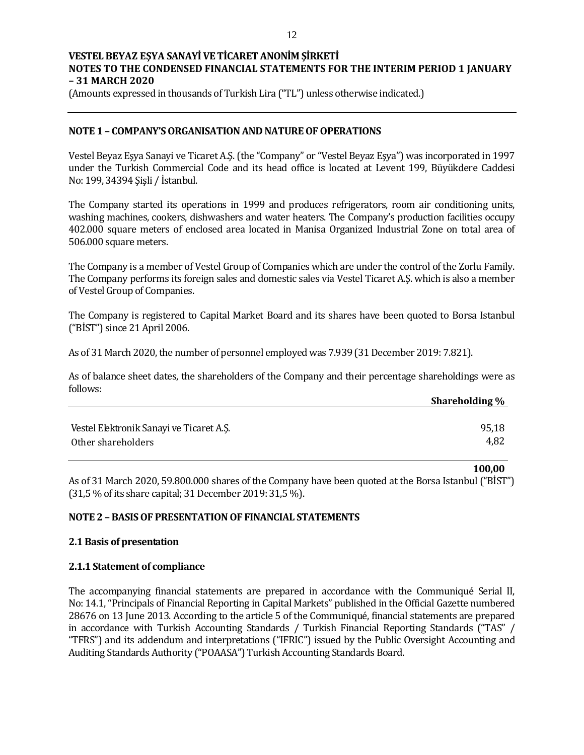(Amounts expressed in thousands of Turkish Lira ("TL") unless otherwise indicated.)

## **NOTE 1 – COMPANY'S ORGANISATION AND NATURE OF OPERATIONS**

Vestel Beyaz Eşya Sanayi ve Ticaret A.Ş. (the "Company" or "Vestel Beyaz Eşya") was incorporated in 1997 under the Turkish Commercial Code and its head office is located at Levent 199, Büyükdere Caddesi No: 199, 34394 Şişli / İstanbul.

The Company started its operations in 1999 and produces refrigerators, room air conditioning units, washing machines, cookers, dishwashers and water heaters. The Company's production facilities occupy 402.000 square meters of enclosed area located in Manisa Organized Industrial Zone on total area of 506.000 square meters.

The Company is a member of Vestel Group of Companies which are under the control of the Zorlu Family. The Company performs its foreign sales and domestic sales via Vestel Ticaret A.Ş. which is also a member of Vestel Group of Companies.

The Company is registered to Capital Market Board and its shares have been quoted to Borsa Istanbul ("BİST") since 21 April 2006.

As of 31 March 2020, the number of personnel employed was 7.939 (31 December 2019: 7.821).

As of balance sheet dates, the shareholders of the Company and their percentage shareholdings were as follows:

|                                          | Shareholding % |
|------------------------------------------|----------------|
|                                          |                |
| Vestel Elektronik Sanayi ve Ticaret A.Ş. | 95,18          |
| Other shareholders                       | 4,82           |
|                                          |                |

**100,00**

As of 31 March 2020, 59.800.000 shares of the Company have been quoted at the Borsa Istanbul ("BİST") (31,5 % of its share capital; 31 December 2019: 31,5 %).

## **NOTE 2 – BASIS OF PRESENTATION OF FINANCIAL STATEMENTS**

## **2.1 Basis of presentation**

## **2.1.1 Statement of compliance**

The accompanying financial statements are prepared in accordance with the Communiqué Serial II, No: 14.1, "Principals of Financial Reporting in Capital Markets" published in the Official Gazette numbered 28676 on 13 June 2013. According to the article 5 of the Communiqué, financial statements are prepared in accordance with Turkish Accounting Standards / Turkish Financial Reporting Standards ("TAS" / "TFRS") and its addendum and interpretations ("IFRIC") issued by the Public Oversight Accounting and Auditing Standards Authority ("POAASA") Turkish Accounting Standards Board.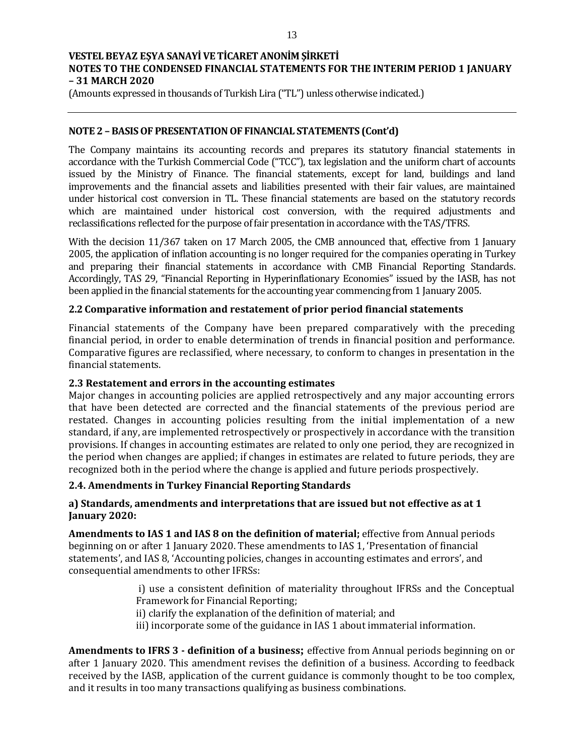(Amounts expressed in thousands of Turkish Lira ("TL") unless otherwise indicated.)

## **NOTE 2 – BASIS OF PRESENTATION OF FINANCIAL STATEMENTS (Cont'd)**

The Company maintains its accounting records and prepares its statutory financial statements in accordance with the Turkish Commercial Code ("TCC"), tax legislation and the uniform chart of accounts issued by the Ministry of Finance. The financial statements, except for land, buildings and land improvements and the financial assets and liabilities presented with their fair values, are maintained under historical cost conversion in TL. These financial statements are based on the statutory records which are maintained under historical cost conversion, with the required adjustments and reclassifications reflected for the purpose of fair presentation in accordance with the TAS/TFRS.

With the decision 11/367 taken on 17 March 2005, the CMB announced that, effective from 1 January 2005, the application of inflation accounting is no longer required for the companies operating in Turkey and preparing their financial statements in accordance with CMB Financial Reporting Standards. Accordingly, TAS 29, "Financial Reporting in Hyperinflationary Economies" issued by the IASB, has not been applied in the financial statements for the accounting year commencing from 1 January 2005.

## **2.2 Comparative information and restatement of prior period financial statements**

Financial statements of the Company have been prepared comparatively with the preceding financial period, in order to enable determination of trends in financial position and performance. Comparative figures are reclassified, where necessary, to conform to changes in presentation in the financial statements.

## **2.3 Restatement and errors in the accounting estimates**

Major changes in accounting policies are applied retrospectively and any major accounting errors that have been detected are corrected and the financial statements of the previous period are restated. Changes in accounting policies resulting from the initial implementation of a new standard, if any, are implemented retrospectively or prospectively in accordance with the transition provisions. If changes in accounting estimates are related to only one period, they are recognized in the period when changes are applied; if changes in estimates are related to future periods, they are recognized both in the period where the change is applied and future periods prospectively.

## **2.4. Amendments in Turkey Financial Reporting Standards**

## **a) Standards, amendments and interpretations that are issued but not effective as at 1 January 2020:**

**Amendments to IAS 1 and IAS 8 on the definition of material;** effective from Annual periods beginning on or after 1 January 2020. These amendments to IAS 1, 'Presentation of financial statements', and IAS 8, 'Accounting policies, changes in accounting estimates and errors', and consequential amendments to other IFRSs:

> i) use a consistent definition of materiality throughout IFRSs and the Conceptual Framework for Financial Reporting;

- ii) clarify the explanation of the definition of material; and
- iii) incorporate some of the guidance in IAS 1 about immaterial information.

**Amendments to IFRS 3 - definition of a business;** effective from Annual periods beginning on or after 1 January 2020. This amendment revises the definition of a business. According to feedback received by the IASB, application of the current guidance is commonly thought to be too complex, and it results in too many transactions qualifying as business combinations.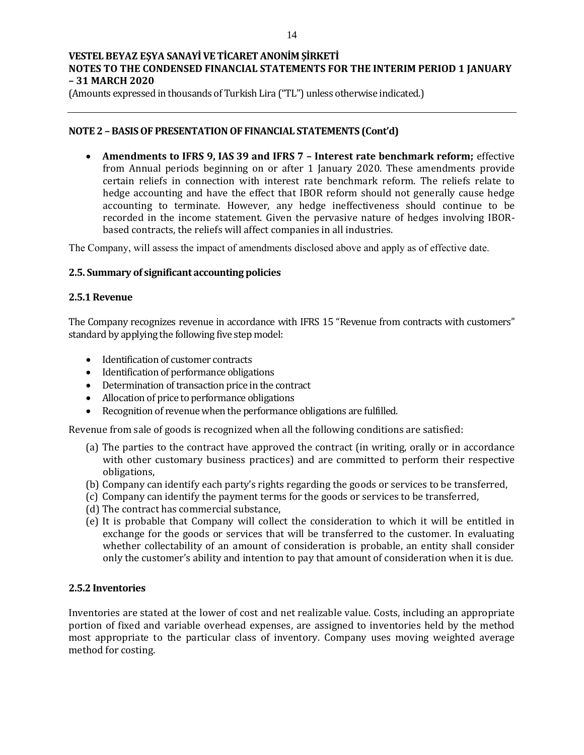(Amounts expressed in thousands of Turkish Lira ("TL") unless otherwise indicated.)

## **NOTE 2 – BASIS OF PRESENTATION OF FINANCIAL STATEMENTS (Cont'd)**

 **Amendments to IFRS 9, IAS 39 and IFRS 7 – Interest rate benchmark reform;** effective from Annual periods beginning on or after 1 January 2020. These amendments provide certain reliefs in connection with interest rate benchmark reform. The reliefs relate to hedge accounting and have the effect that IBOR reform should not generally cause hedge accounting to terminate. However, any hedge ineffectiveness should continue to be recorded in the income statement. Given the pervasive nature of hedges involving IBORbased contracts, the reliefs will affect companies in all industries.

The Company, will assess the impact of amendments disclosed above and apply as of effective date.

## **2.5. Summary of significant accounting policies**

#### **2.5.1 Revenue**

The Company recognizes revenue in accordance with IFRS 15 "Revenue from contracts with customers" standard by applying the following five step model:

- Identification of customer contracts
- Identification of performance obligations
- Determination of transaction price in the contract
- Allocation of price to performance obligations
- Recognition of revenue when the performance obligations are fulfilled.

Revenue from sale of goods is recognized when all the following conditions are satisfied:

- (a) The parties to the contract have approved the contract (in writing, orally or in accordance with other customary business practices) and are committed to perform their respective obligations,
- (b) Company can identify each party's rights regarding the goods or services to be transferred,
- (c) Company can identify the payment terms for the goods or services to be transferred,
- (d) The contract has commercial substance,
- (e) It is probable that Company will collect the consideration to which it will be entitled in exchange for the goods or services that will be transferred to the customer. In evaluating whether collectability of an amount of consideration is probable, an entity shall consider only the customer's ability and intention to pay that amount of consideration when it is due.

## **2.5.2 Inventories**

Inventories are stated at the lower of cost and net realizable value. Costs, including an appropriate portion of fixed and variable overhead expenses, are assigned to inventories held by the method most appropriate to the particular class of inventory. Company uses moving weighted average method for costing.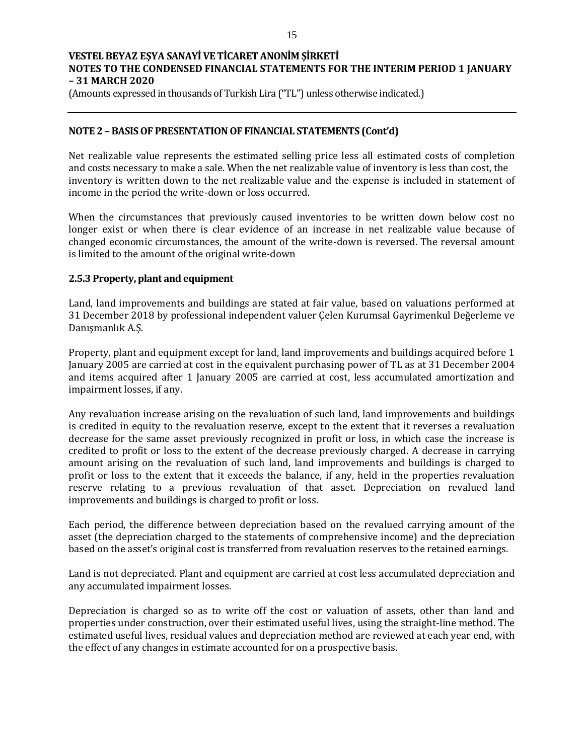(Amounts expressed in thousands of Turkish Lira ("TL") unless otherwise indicated.)

## **NOTE 2 – BASIS OF PRESENTATION OF FINANCIAL STATEMENTS (Cont'd)**

Net realizable value represents the estimated selling price less all estimated costs of completion and costs necessary to make a sale. When the net realizable value of inventory is less than cost, the inventory is written down to the net realizable value and the expense is included in statement of income in the period the write-down or loss occurred.

When the circumstances that previously caused inventories to be written down below cost no longer exist or when there is clear evidence of an increase in net realizable value because of changed economic circumstances, the amount of the write-down is reversed. The reversal amount is limited to the amount of the original write-down

## **2.5.3 Property, plant and equipment**

Land, land improvements and buildings are stated at fair value, based on valuations performed at 31 December 2018 by professional independent valuer Çelen Kurumsal Gayrimenkul Değerleme ve Danışmanlık A.Ş.

Property, plant and equipment except for land, land improvements and buildings acquired before 1 January 2005 are carried at cost in the equivalent purchasing power of TL as at 31 December 2004 and items acquired after 1 January 2005 are carried at cost, less accumulated amortization and impairment losses, if any.

Any revaluation increase arising on the revaluation of such land, land improvements and buildings is credited in equity to the revaluation reserve, except to the extent that it reverses a revaluation decrease for the same asset previously recognized in profit or loss, in which case the increase is credited to profit or loss to the extent of the decrease previously charged. A decrease in carrying amount arising on the revaluation of such land, land improvements and buildings is charged to profit or loss to the extent that it exceeds the balance, if any, held in the properties revaluation reserve relating to a previous revaluation of that asset. Depreciation on revalued land improvements and buildings is charged to profit or loss.

Each period, the difference between depreciation based on the revalued carrying amount of the asset (the depreciation charged to the statements of comprehensive income) and the depreciation based on the asset's original cost is transferred from revaluation reserves to the retained earnings.

Land is not depreciated. Plant and equipment are carried at cost less accumulated depreciation and any accumulated impairment losses.

Depreciation is charged so as to write off the cost or valuation of assets, other than land and properties under construction, over their estimated useful lives, using the straight-line method. The estimated useful lives, residual values and depreciation method are reviewed at each year end, with the effect of any changes in estimate accounted for on a prospective basis.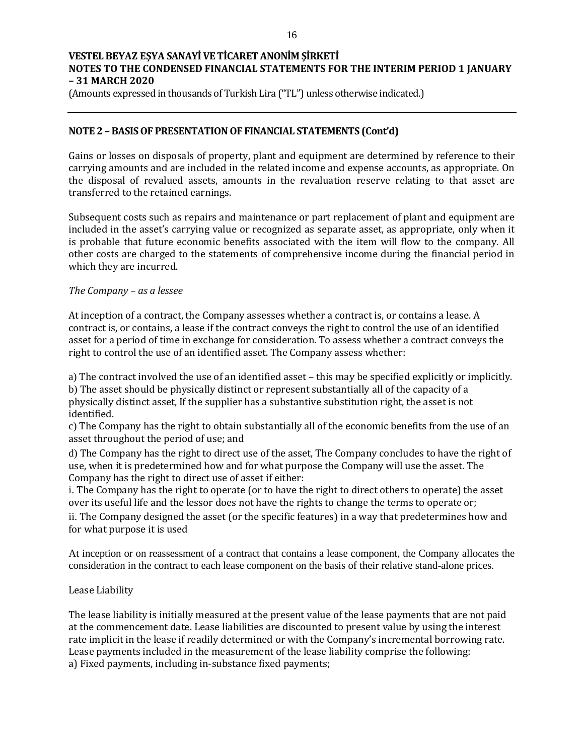(Amounts expressed in thousands of Turkish Lira ("TL") unless otherwise indicated.)

## **NOTE 2 – BASIS OF PRESENTATION OF FINANCIAL STATEMENTS (Cont'd)**

Gains or losses on disposals of property, plant and equipment are determined by reference to their carrying amounts and are included in the related income and expense accounts, as appropriate. On the disposal of revalued assets, amounts in the revaluation reserve relating to that asset are transferred to the retained earnings.

Subsequent costs such as repairs and maintenance or part replacement of plant and equipment are included in the asset's carrying value or recognized as separate asset, as appropriate, only when it is probable that future economic benefits associated with the item will flow to the company. All other costs are charged to the statements of comprehensive income during the financial period in which they are incurred.

#### *The Company – as a lessee*

At inception of a contract, the Company assesses whether a contract is, or contains a lease. A contract is, or contains, a lease if the contract conveys the right to control the use of an identified asset for a period of time in exchange for consideration. To assess whether a contract conveys the right to control the use of an identified asset. The Company assess whether:

a) The contract involved the use of an identified asset – this may be specified explicitly or implicitly. b) The asset should be physically distinct or represent substantially all of the capacity of a physically distinct asset, If the supplier has a substantive substitution right, the asset is not identified.

c) The Company has the right to obtain substantially all of the economic benefits from the use of an asset throughout the period of use; and

d) The Company has the right to direct use of the asset, The Company concludes to have the right of use, when it is predetermined how and for what purpose the Company will use the asset. The Company has the right to direct use of asset if either:

i. The Company has the right to operate (or to have the right to direct others to operate) the asset over its useful life and the lessor does not have the rights to change the terms to operate or;

ii. The Company designed the asset (or the specific features) in a way that predetermines how and for what purpose it is used

At inception or on reassessment of a contract that contains a lease component, the Company allocates the consideration in the contract to each lease component on the basis of their relative stand-alone prices.

## Lease Liability

The lease liability is initially measured at the present value of the lease payments that are not paid at the commencement date. Lease liabilities are discounted to present value by using the interest rate implicit in the lease if readily determined or with the Company's incremental borrowing rate. Lease payments included in the measurement of the lease liability comprise the following: a) Fixed payments, including in-substance fixed payments;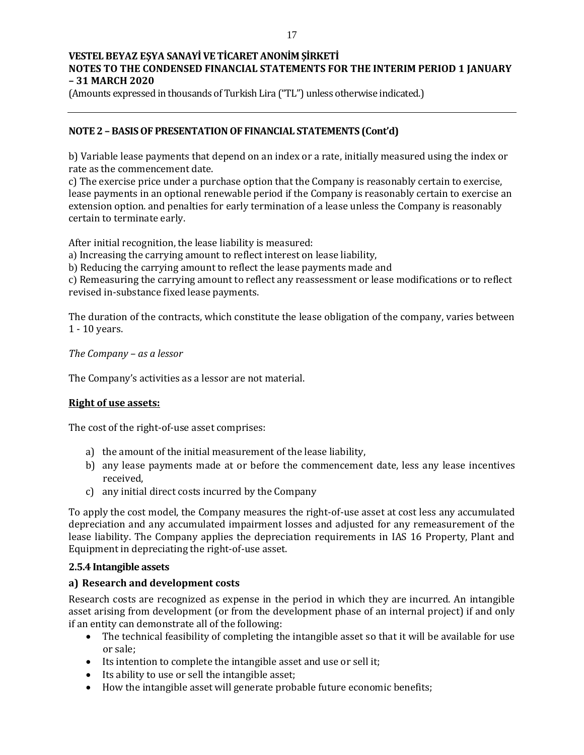(Amounts expressed in thousands of Turkish Lira ("TL") unless otherwise indicated.)

## **NOTE 2 – BASIS OF PRESENTATION OF FINANCIAL STATEMENTS (Cont'd)**

b) Variable lease payments that depend on an index or a rate, initially measured using the index or rate as the commencement date.

c) The exercise price under a purchase option that the Company is reasonably certain to exercise, lease payments in an optional renewable period if the Company is reasonably certain to exercise an extension option. and penalties for early termination of a lease unless the Company is reasonably certain to terminate early.

After initial recognition, the lease liability is measured:

a) Increasing the carrying amount to reflect interest on lease liability,

b) Reducing the carrying amount to reflect the lease payments made and

c) Remeasuring the carrying amount to reflect any reassessment or lease modifications or to reflect revised in-substance fixed lease payments.

The duration of the contracts, which constitute the lease obligation of the company, varies between 1 - 10 years.

*The Company – as a lessor* 

The Company's activities as a lessor are not material.

## **Right of use assets:**

The cost of the right-of-use asset comprises:

- a) the amount of the initial measurement of the lease liability,
- b) any lease payments made at or before the commencement date, less any lease incentives received,
- c) any initial direct costs incurred by the Company

To apply the cost model, the Company measures the right-of-use asset at cost less any accumulated depreciation and any accumulated impairment losses and adjusted for any remeasurement of the lease liability. The Company applies the depreciation requirements in IAS 16 Property, Plant and Equipment in depreciating the right-of-use asset.

#### **2.5.4 Intangible assets**

#### **a) Research and development costs**

Research costs are recognized as expense in the period in which they are incurred. An intangible asset arising from development (or from the development phase of an internal project) if and only if an entity can demonstrate all of the following:

- The technical feasibility of completing the intangible asset so that it will be available for use or sale;
- Its intention to complete the intangible asset and use or sell it;
- Its ability to use or sell the intangible asset;
- How the intangible asset will generate probable future economic benefits;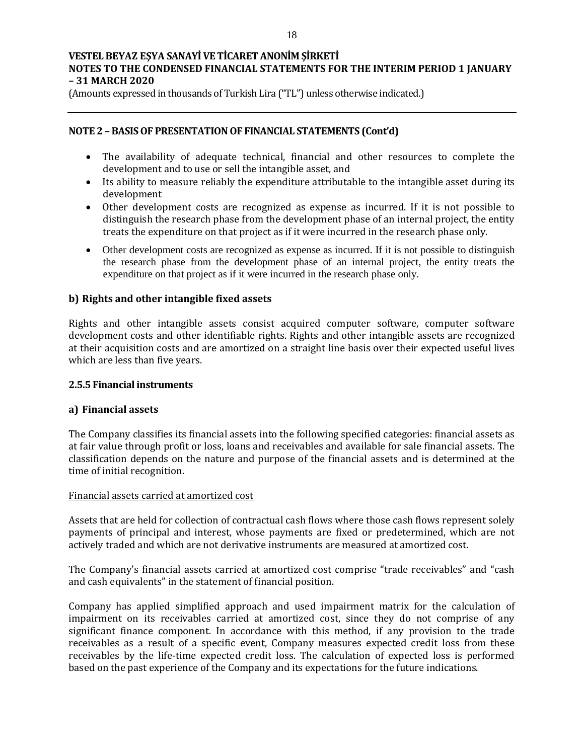(Amounts expressed in thousands of Turkish Lira ("TL") unless otherwise indicated.)

## **NOTE 2 – BASIS OF PRESENTATION OF FINANCIAL STATEMENTS (Cont'd)**

- The availability of adequate technical, financial and other resources to complete the development and to use or sell the intangible asset, and
- Its ability to measure reliably the expenditure attributable to the intangible asset during its development
- Other development costs are recognized as expense as incurred. If it is not possible to distinguish the research phase from the development phase of an internal project, the entity treats the expenditure on that project as if it were incurred in the research phase only.
- Other development costs are recognized as expense as incurred. If it is not possible to distinguish the research phase from the development phase of an internal project, the entity treats the expenditure on that project as if it were incurred in the research phase only.

## **b) Rights and other intangible fixed assets**

Rights and other intangible assets consist acquired computer software, computer software development costs and other identifiable rights. Rights and other intangible assets are recognized at their acquisition costs and are amortized on a straight line basis over their expected useful lives which are less than five years.

## **2.5.5 Financial instruments**

## **a) Financial assets**

The Company classifies its financial assets into the following specified categories: financial assets as at fair value through profit or loss, loans and receivables and available for sale financial assets. The classification depends on the nature and purpose of the financial assets and is determined at the time of initial recognition.

#### Financial assets carried at amortized cost

Assets that are held for collection of contractual cash flows where those cash flows represent solely payments of principal and interest, whose payments are fixed or predetermined, which are not actively traded and which are not derivative instruments are measured at amortized cost.

The Company's financial assets carried at amortized cost comprise "trade receivables" and "cash and cash equivalents" in the statement of financial position.

Company has applied simplified approach and used impairment matrix for the calculation of impairment on its receivables carried at amortized cost, since they do not comprise of any significant finance component. In accordance with this method, if any provision to the trade receivables as a result of a specific event, Company measures expected credit loss from these receivables by the life-time expected credit loss. The calculation of expected loss is performed based on the past experience of the Company and its expectations for the future indications.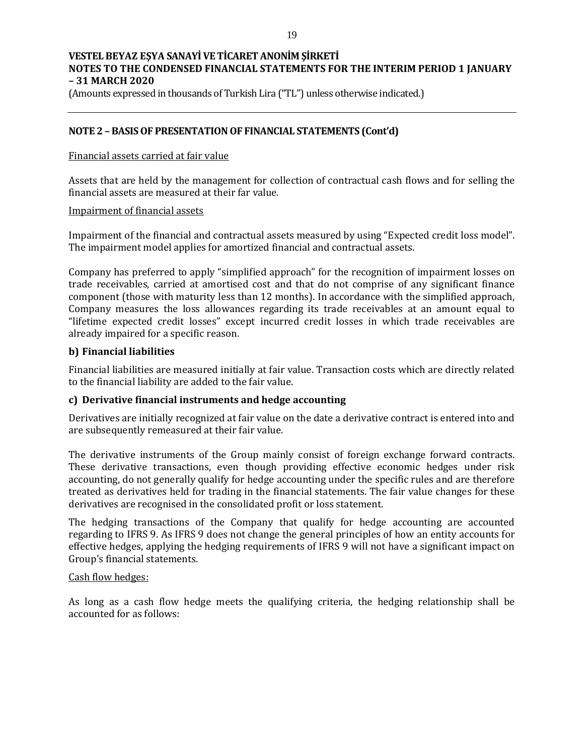(Amounts expressed in thousands of Turkish Lira ("TL") unless otherwise indicated.)

## **NOTE 2 – BASIS OF PRESENTATION OF FINANCIAL STATEMENTS (Cont'd)**

#### Financial assets carried at fair value

Assets that are held by the management for collection of contractual cash flows and for selling the financial assets are measured at their far value.

#### Impairment of financial assets

Impairment of the financial and contractual assets measured by using "Expected credit loss model". The impairment model applies for amortized financial and contractual assets.

Company has preferred to apply "simplified approach" for the recognition of impairment losses on trade receivables, carried at amortised cost and that do not comprise of any significant finance component (those with maturity less than 12 months). In accordance with the simplified approach, Company measures the loss allowances regarding its trade receivables at an amount equal to "lifetime expected credit losses" except incurred credit losses in which trade receivables are already impaired for a specific reason.

## **b) Financial liabilities**

Financial liabilities are measured initially at fair value. Transaction costs which are directly related to the financial liability are added to the fair value.

## **c) Derivative financial instruments and hedge accounting**

Derivatives are initially recognized at fair value on the date a derivative contract is entered into and are subsequently remeasured at their fair value.

The derivative instruments of the Group mainly consist of foreign exchange forward contracts. These derivative transactions, even though providing effective economic hedges under risk accounting, do not generally qualify for hedge accounting under the specific rules and are therefore treated as derivatives held for trading in the financial statements. The fair value changes for these derivatives are recognised in the consolidated profit or loss statement.

The hedging transactions of the Company that qualify for hedge accounting are accounted regarding to IFRS 9. As IFRS 9 does not change the general principles of how an entity accounts for effective hedges, applying the hedging requirements of IFRS 9 will not have a significant impact on Group's financial statements.

## Cash flow hedges:

As long as a cash flow hedge meets the qualifying criteria, the hedging relationship shall be accounted for as follows: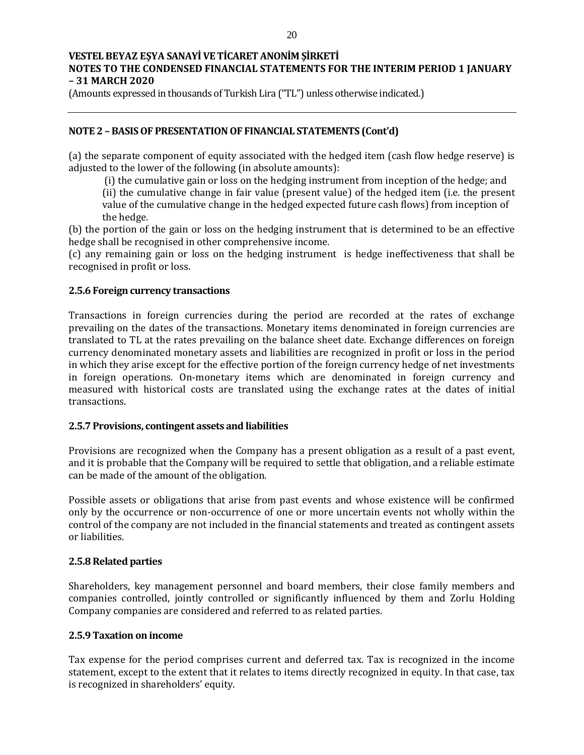(Amounts expressed in thousands of Turkish Lira ("TL") unless otherwise indicated.)

# **NOTE 2 – BASIS OF PRESENTATION OF FINANCIAL STATEMENTS (Cont'd)**

(a) the separate component of equity associated with the hedged item (cash flow hedge reserve) is adjusted to the lower of the following (in absolute amounts):

(i) the cumulative gain or loss on the hedging instrument from inception of the hedge; and

(ii) the cumulative change in fair value (present value) of the hedged item (i.e. the present value of the cumulative change in the hedged expected future cash flows) from inception of the hedge.

(b) the portion of the gain or loss on the hedging instrument that is determined to be an effective hedge shall be recognised in other comprehensive income.

(c) any remaining gain or loss on the hedging instrument is hedge ineffectiveness that shall be recognised in profit or loss.

## **2.5.6 Foreign currency transactions**

Transactions in foreign currencies during the period are recorded at the rates of exchange prevailing on the dates of the transactions. Monetary items denominated in foreign currencies are translated to TL at the rates prevailing on the balance sheet date. Exchange differences on foreign currency denominated monetary assets and liabilities are recognized in profit or loss in the period in which they arise except for the effective portion of the foreign currency hedge of net investments in foreign operations. On-monetary items which are denominated in foreign currency and measured with historical costs are translated using the exchange rates at the dates of initial transactions.

## **2.5.7 Provisions, contingent assets and liabilities**

Provisions are recognized when the Company has a present obligation as a result of a past event, and it is probable that the Company will be required to settle that obligation, and a reliable estimate can be made of the amount of the obligation.

Possible assets or obligations that arise from past events and whose existence will be confirmed only by the occurrence or non-occurrence of one or more uncertain events not wholly within the control of the company are not included in the financial statements and treated as contingent assets or liabilities.

## **2.5.8 Related parties**

Shareholders, key management personnel and board members, their close family members and companies controlled, jointly controlled or significantly influenced by them and Zorlu Holding Company companies are considered and referred to as related parties.

## **2.5.9 Taxation on income**

Tax expense for the period comprises current and deferred tax. Tax is recognized in the income statement, except to the extent that it relates to items directly recognized in equity. In that case, tax is recognized in shareholders' equity.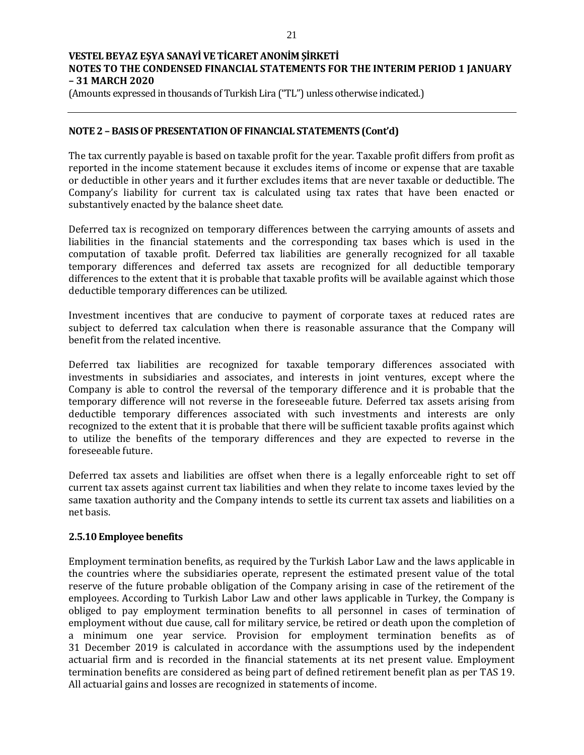(Amounts expressed in thousands of Turkish Lira ("TL") unless otherwise indicated.)

## **NOTE 2 – BASIS OF PRESENTATION OF FINANCIAL STATEMENTS (Cont'd)**

The tax currently payable is based on taxable profit for the year. Taxable profit differs from profit as reported in the income statement because it excludes items of income or expense that are taxable or deductible in other years and it further excludes items that are never taxable or deductible. The Company's liability for current tax is calculated using tax rates that have been enacted or substantively enacted by the balance sheet date.

Deferred tax is recognized on temporary differences between the carrying amounts of assets and liabilities in the financial statements and the corresponding tax bases which is used in the computation of taxable profit. Deferred tax liabilities are generally recognized for all taxable temporary differences and deferred tax assets are recognized for all deductible temporary differences to the extent that it is probable that taxable profits will be available against which those deductible temporary differences can be utilized.

Investment incentives that are conducive to payment of corporate taxes at reduced rates are subject to deferred tax calculation when there is reasonable assurance that the Company will benefit from the related incentive.

Deferred tax liabilities are recognized for taxable temporary differences associated with investments in subsidiaries and associates, and interests in joint ventures, except where the Company is able to control the reversal of the temporary difference and it is probable that the temporary difference will not reverse in the foreseeable future. Deferred tax assets arising from deductible temporary differences associated with such investments and interests are only recognized to the extent that it is probable that there will be sufficient taxable profits against which to utilize the benefits of the temporary differences and they are expected to reverse in the foreseeable future.

Deferred tax assets and liabilities are offset when there is a legally enforceable right to set off current tax assets against current tax liabilities and when they relate to income taxes levied by the same taxation authority and the Company intends to settle its current tax assets and liabilities on a net basis.

## **2.5.10 Employee benefits**

Employment termination benefits, as required by the Turkish Labor Law and the laws applicable in the countries where the subsidiaries operate, represent the estimated present value of the total reserve of the future probable obligation of the Company arising in case of the retirement of the employees. According to Turkish Labor Law and other laws applicable in Turkey, the Company is obliged to pay employment termination benefits to all personnel in cases of termination of employment without due cause, call for military service, be retired or death upon the completion of a minimum one year service. Provision for employment termination benefits as of 31 December 2019 is calculated in accordance with the assumptions used by the independent actuarial firm and is recorded in the financial statements at its net present value. Employment termination benefits are considered as being part of defined retirement benefit plan as per TAS 19. All actuarial gains and losses are recognized in statements of income.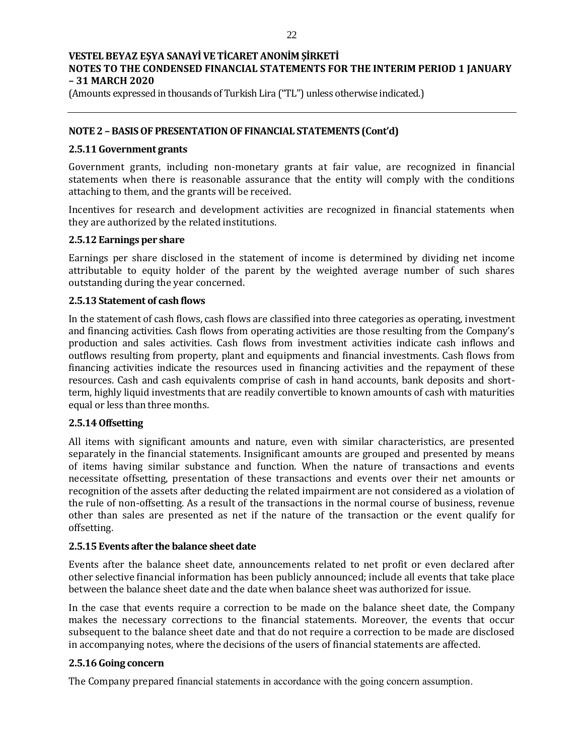(Amounts expressed in thousands of Turkish Lira ("TL") unless otherwise indicated.)

## **NOTE 2 – BASIS OF PRESENTATION OF FINANCIAL STATEMENTS (Cont'd)**

### **2.5.11 Government grants**

Government grants, including non-monetary grants at fair value, are recognized in financial statements when there is reasonable assurance that the entity will comply with the conditions attaching to them, and the grants will be received.

Incentives for research and development activities are recognized in financial statements when they are authorized by the related institutions.

#### **2.5.12 Earnings per share**

Earnings per share disclosed in the statement of income is determined by dividing net income attributable to equity holder of the parent by the weighted average number of such shares outstanding during the year concerned.

## **2.5.13 Statement of cash flows**

In the statement of cash flows, cash flows are classified into three categories as operating, investment and financing activities. Cash flows from operating activities are those resulting from the Company's production and sales activities. Cash flows from investment activities indicate cash inflows and outflows resulting from property, plant and equipments and financial investments. Cash flows from financing activities indicate the resources used in financing activities and the repayment of these resources. Cash and cash equivalents comprise of cash in hand accounts, bank deposits and shortterm, highly liquid investments that are readily convertible to known amounts of cash with maturities equal or less than three months.

## **2.5.14 Offsetting**

All items with significant amounts and nature, even with similar characteristics, are presented separately in the financial statements. Insignificant amounts are grouped and presented by means of items having similar substance and function. When the nature of transactions and events necessitate offsetting, presentation of these transactions and events over their net amounts or recognition of the assets after deducting the related impairment are not considered as a violation of the rule of non-offsetting. As a result of the transactions in the normal course of business, revenue other than sales are presented as net if the nature of the transaction or the event qualify for offsetting.

## **2.5.15 Events after the balance sheet date**

Events after the balance sheet date, announcements related to net profit or even declared after other selective financial information has been publicly announced; include all events that take place between the balance sheet date and the date when balance sheet was authorized for issue.

In the case that events require a correction to be made on the balance sheet date, the Company makes the necessary corrections to the financial statements. Moreover, the events that occur subsequent to the balance sheet date and that do not require a correction to be made are disclosed in accompanying notes, where the decisions of the users of financial statements are affected.

## **2.5.16 Going concern**

The Company prepared financial statements in accordance with the going concern assumption.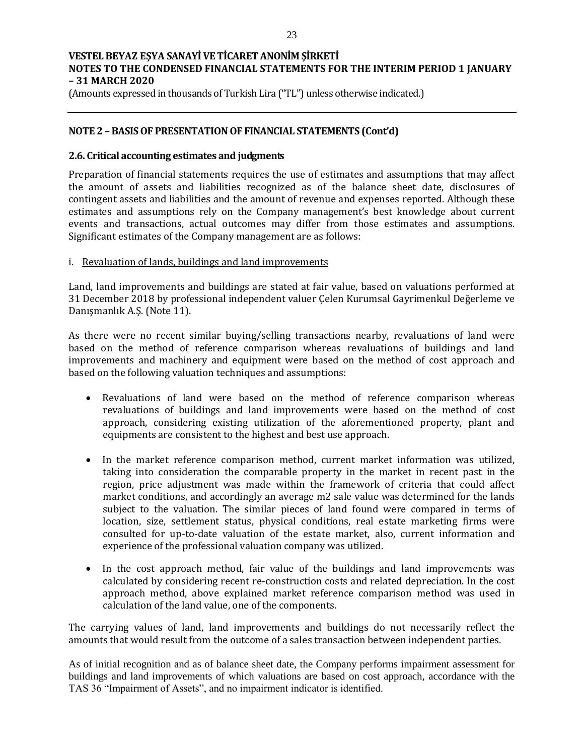(Amounts expressed in thousands of Turkish Lira ("TL") unless otherwise indicated.)

## **NOTE 2 – BASIS OF PRESENTATION OF FINANCIAL STATEMENTS (Cont'd)**

#### **2.6. Critical accounting estimates and judgments**

Preparation of financial statements requires the use of estimates and assumptions that may affect the amount of assets and liabilities recognized as of the balance sheet date, disclosures of contingent assets and liabilities and the amount of revenue and expenses reported. Although these estimates and assumptions rely on the Company management's best knowledge about current events and transactions, actual outcomes may differ from those estimates and assumptions. Significant estimates of the Company management are as follows:

## i. Revaluation of lands, buildings and land improvements

Land, land improvements and buildings are stated at fair value, based on valuations performed at 31 December 2018 by professional independent valuer Çelen Kurumsal Gayrimenkul Değerleme ve Danışmanlık A.Ş. (Note 11).

As there were no recent similar buying/selling transactions nearby, revaluations of land were based on the method of reference comparison whereas revaluations of buildings and land improvements and machinery and equipment were based on the method of cost approach and based on the following valuation techniques and assumptions:

- Revaluations of land were based on the method of reference comparison whereas revaluations of buildings and land improvements were based on the method of cost approach, considering existing utilization of the aforementioned property, plant and equipments are consistent to the highest and best use approach.
- In the market reference comparison method, current market information was utilized, taking into consideration the comparable property in the market in recent past in the region, price adjustment was made within the framework of criteria that could affect market conditions, and accordingly an average m2 sale value was determined for the lands subject to the valuation. The similar pieces of land found were compared in terms of location, size, settlement status, physical conditions, real estate marketing firms were consulted for up-to-date valuation of the estate market, also, current information and experience of the professional valuation company was utilized.
- In the cost approach method, fair value of the buildings and land improvements was calculated by considering recent re-construction costs and related depreciation. In the cost approach method, above explained market reference comparison method was used in calculation of the land value, one of the components.

The carrying values of land, land improvements and buildings do not necessarily reflect the amounts that would result from the outcome of a sales transaction between independent parties.

As of initial recognition and as of balance sheet date, the Company performs impairment assessment for buildings and land improvements of which valuations are based on cost approach, accordance with the TAS 36 "Impairment of Assets", and no impairment indicator is identified.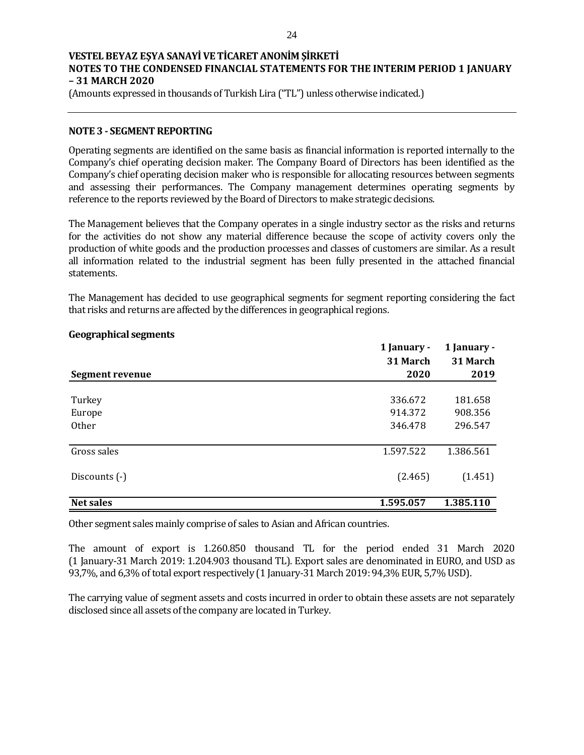(Amounts expressed in thousands of Turkish Lira ("TL") unless otherwise indicated.)

### **NOTE 3 - SEGMENT REPORTING**

Operating segments are identified on the same basis as financial information is reported internally to the Company's chief operating decision maker. The Company Board of Directors has been identified as the Company's chief operating decision maker who is responsible for allocating resources between segments and assessing their performances. The Company management determines operating segments by reference to the reports reviewed by the Board of Directors to make strategic decisions.

The Management believes that the Company operates in a single industry sector as the risks and returns for the activities do not show any material difference because the scope of activity covers only the production of white goods and the production processes and classes of customers are similar. As a result all information related to the industrial segment has been fully presented in the attached financial statements.

The Management has decided to use geographical segments for segment reporting considering the fact that risks and returns are affected by the differences in geographical regions.

|                 | 1 January - | 1 January - |
|-----------------|-------------|-------------|
|                 | 31 March    | 31 March    |
| Segment revenue | 2020        | 2019        |
|                 |             |             |
| Turkey          | 336.672     | 181.658     |
| Europe          | 914.372     | 908.356     |
| <b>Other</b>    | 346.478     | 296.547     |
|                 |             |             |
| Gross sales     | 1.597.522   | 1.386.561   |
| Discounts (-)   | (2.465)     | (1.451)     |
| Net sales       | 1.595.057   | 1.385.110   |

#### **Geographical segments**

Other segment sales mainly comprise of sales to Asian and African countries.

The amount of export is 1.260.850 thousand TL for the period ended 31 March 2020 (1 January-31 March 2019: 1.204.903 thousand TL). Export sales are denominated in EURO, and USD as 93,7%, and 6,3% of total export respectively (1 January-31 March 2019: 94,3% EUR, 5,7% USD).

The carrying value of segment assets and costs incurred in order to obtain these assets are not separately disclosed since all assets of the company are located in Turkey.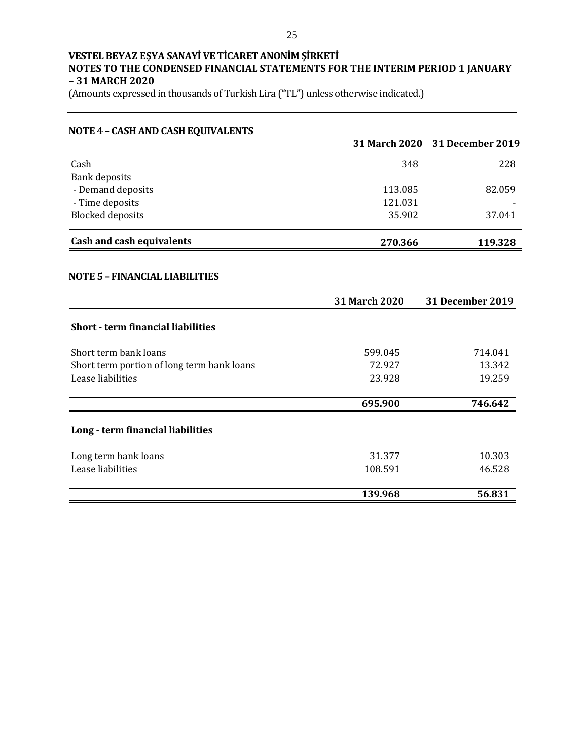| <b>NOTE 4 - CASH AND CASH EQUIVALENTS</b>  |                      |                         |
|--------------------------------------------|----------------------|-------------------------|
|                                            | <b>31 March 2020</b> | <b>31 December 2019</b> |
| Cash                                       | 348                  | 228                     |
| <b>Bank deposits</b>                       |                      |                         |
| - Demand deposits                          | 113.085              | 82.059                  |
| - Time deposits                            | 121.031              |                         |
| <b>Blocked deposits</b>                    | 35.902               | 37.041                  |
| Cash and cash equivalents                  | 270.366              | 119.328                 |
|                                            |                      |                         |
| <b>NOTE 5 - FINANCIAL LIABILITIES</b>      |                      |                         |
|                                            | 31 March 2020        | 31 December 2019        |
| <b>Short - term financial liabilities</b>  |                      |                         |
| Short term bank loans                      | 599.045              | 714.041                 |
| Short term portion of long term bank loans | 72.927               | 13.342                  |
| Lease liabilities                          | 23.928               | 19.259                  |
|                                            | 695.900              | 746.642                 |
| Long - term financial liabilities          |                      |                         |
| Long term bank loans                       | 31.377               | 10.303                  |
| Lease liabilities                          | 108.591              | 46.528                  |
|                                            | 139.968              | 56.831                  |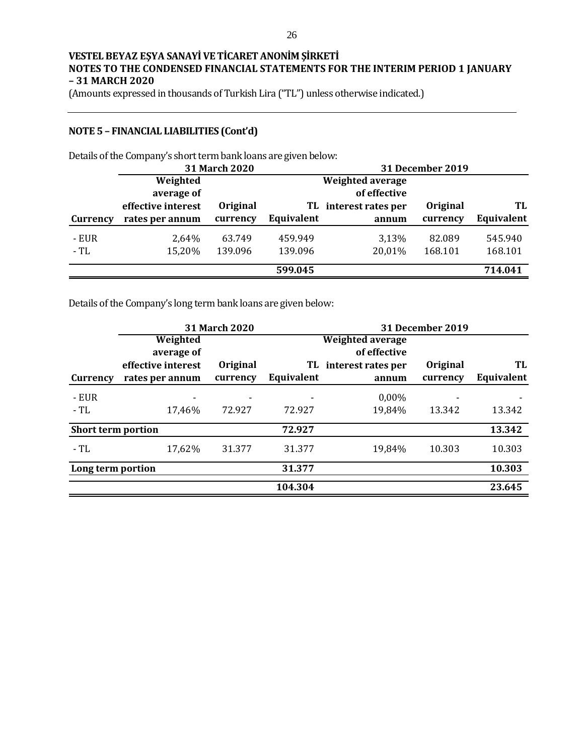(Amounts expressed in thousands of Turkish Lira ("TL") unless otherwise indicated.)

## **NOTE 5 – FINANCIAL LIABILITIES (Cont'd)**

Details of the Company's short term bank loans are given below:

|          |                    | 31 March 2020 |            |                    | <b>31 December 2019</b> |            |
|----------|--------------------|---------------|------------|--------------------|-------------------------|------------|
|          | Weighted           |               |            | Weighted average   |                         |            |
|          | average of         |               |            | of effective       |                         |            |
|          | effective interest | Original      | TL.        | interest rates per | <b>Original</b>         | TL         |
| Currency | rates per annum    | currency      | Equivalent | annum              | currency                | Equivalent |
| - EUR    | 2,64%              | 63.749        | 459.949    | 3,13%              | 82.089                  | 545.940    |
| - TL     | 15,20%             | 139.096       | 139.096    | 20,01%             | 168.101                 | 168.101    |
|          |                    |               | 599.045    |                    |                         | 714.041    |

Details of the Company's long term bank loans are given below:

|                           |                        | 31 March 2020 |            |                                         | <b>31 December 2019</b> |            |
|---------------------------|------------------------|---------------|------------|-----------------------------------------|-------------------------|------------|
|                           | Weighted<br>average of |               |            | <b>Weighted average</b><br>of effective |                         |            |
|                           | effective interest     | Original      | TL.        | interest rates per                      | Original                | TL         |
| Currency                  | rates per annum        | currency      | Equivalent | annum                                   | currency                | Equivalent |
| - EUR                     | -                      |               |            | 0,00%                                   |                         |            |
| - TL                      | 17,46%                 | 72.927        | 72.927     | 19,84%                                  | 13.342                  | 13.342     |
| <b>Short term portion</b> |                        |               | 72.927     |                                         |                         | 13.342     |
| - TL                      | 17,62%                 | 31.377        | 31.377     | 19,84%                                  | 10.303                  | 10.303     |
| Long term portion         |                        |               | 31.377     |                                         |                         | 10.303     |
|                           |                        |               | 104.304    |                                         |                         | 23.645     |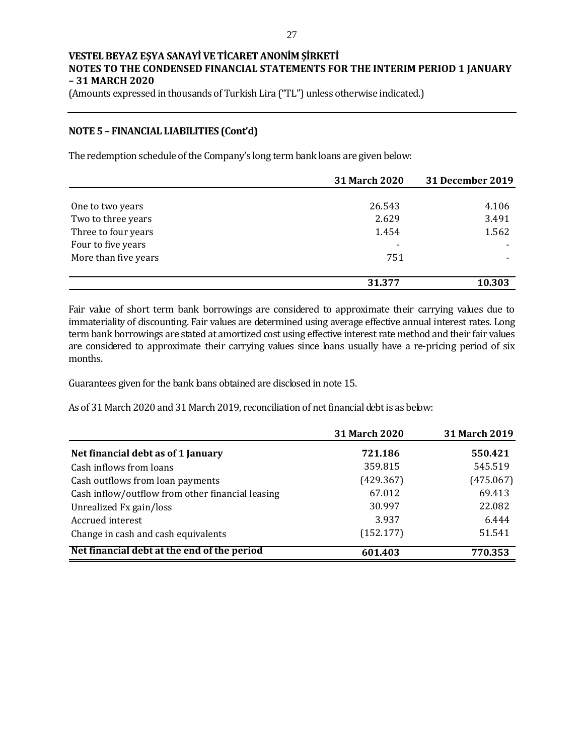(Amounts expressed in thousands of Turkish Lira ("TL") unless otherwise indicated.)

## **NOTE 5 – FINANCIAL LIABILITIES (Cont'd)**

The redemption schedule of the Company's long term bank loans are given below:

|                      | 31 March 2020 | <b>31 December 2019</b> |
|----------------------|---------------|-------------------------|
|                      |               |                         |
| One to two years     | 26.543        | 4.106                   |
| Two to three years   | 2.629         | 3.491                   |
| Three to four years  | 1.454         | 1.562                   |
| Four to five years   |               |                         |
| More than five years | 751           |                         |
|                      |               |                         |
|                      | 31.377        | 10.303                  |

Fair value of short term bank borrowings are considered to approximate their carrying values due to immateriality of discounting. Fair values are determined using average effective annual interest rates. Long term bank borrowings are stated at amortized cost using effective interest rate method and their fair values are considered to approximate their carrying values since loans usually have a re-pricing period of six months.

Guarantees given for the bank loans obtained are disclosed in note 15.

As of 31 March 2020 and 31 March 2019, reconciliation of net financial debt is as below:

|                                                  | 31 March 2020 | 31 March 2019 |
|--------------------------------------------------|---------------|---------------|
| Net financial debt as of 1 January               | 721.186       | 550.421       |
| Cash inflows from loans                          | 359.815       | 545.519       |
| Cash outflows from loan payments                 | (429.367)     | (475.067)     |
| Cash inflow/outflow from other financial leasing | 67.012        | 69.413        |
| Unrealized Fx gain/loss                          | 30.997        | 22.082        |
| Accrued interest                                 | 3.937         | 6.444         |
| Change in cash and cash equivalents              | (152.177)     | 51.541        |
| Net financial debt at the end of the period      | 601.403       | 770.353       |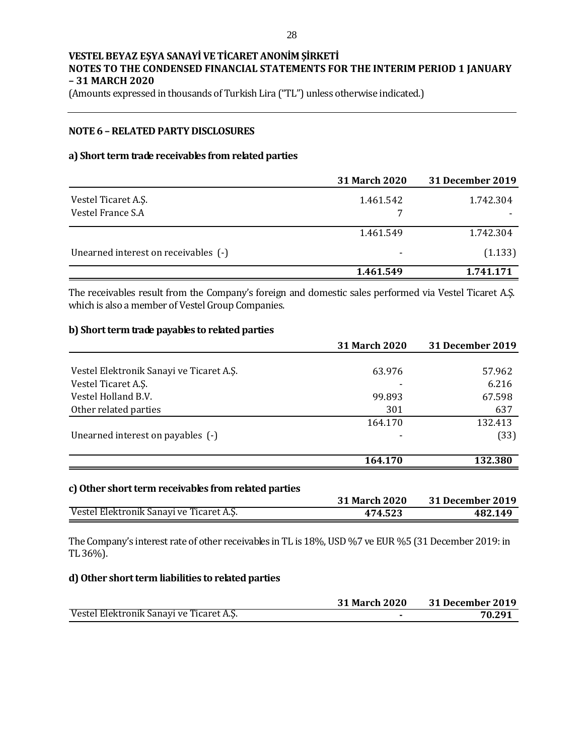(Amounts expressed in thousands of Turkish Lira ("TL") unless otherwise indicated.)

## **NOTE 6 –RELATED PARTY DISCLOSURES**

### **a) Short term trade receivables from related parties**

|                                      | <b>31 March 2020</b>     | <b>31 December 2019</b> |
|--------------------------------------|--------------------------|-------------------------|
| Vestel Ticaret A.Ş.                  | 1.461.542                | 1.742.304               |
| Vestel France S.A.                   |                          |                         |
|                                      | 1.461.549                | 1.742.304               |
| Unearned interest on receivables (-) | $\overline{\phantom{0}}$ | (1.133)                 |
|                                      | 1.461.549                | 1.741.171               |

The receivables result from the Company's foreign and domestic sales performed via Vestel Ticaret A.Ş. which is also a member of Vestel Group Companies.

#### **b) Short term trade payables to related parties**

|                                                                                  | 31 March 2020 | <b>31 December 2019</b> |
|----------------------------------------------------------------------------------|---------------|-------------------------|
| Vestel Elektronik Sanayi ve Ticaret A.Ş.                                         | 63.976        | 57.962                  |
| Vestel Ticaret A.S.                                                              |               | 6.216                   |
| Vestel Holland B.V.                                                              | 99.893        | 67.598                  |
| Other related parties                                                            | 301           | 637                     |
|                                                                                  | 164.170       | 132.413                 |
| Unearned interest on payables (-)                                                |               | (33)                    |
|                                                                                  | 164.170       | 132.380                 |
| $\Delta$ Other characters are characterized as $f_{\rm{max}}$ and $f_{\rm{max}}$ |               |                         |

#### **c)Other short term receivables from related parties**

|                                          | <b>31 March 2020</b> | 31 December 2019 |
|------------------------------------------|----------------------|------------------|
| Vestel Elektronik Sanayi ve Ticaret A.Ş. | 474.523              | 482.149          |

The Company's interest rate of other receivables in TL is 18%, USD %7 ve EUR %5 (31December 2019: in TL 36%).

### **d) Other short term liabilities to related parties**

|                                          | <b>31 March 2020</b> | <b>31 December 2019</b> |
|------------------------------------------|----------------------|-------------------------|
| Vestel Elektronik Sanayi ve Ticaret A.Ş. |                      | 70.291                  |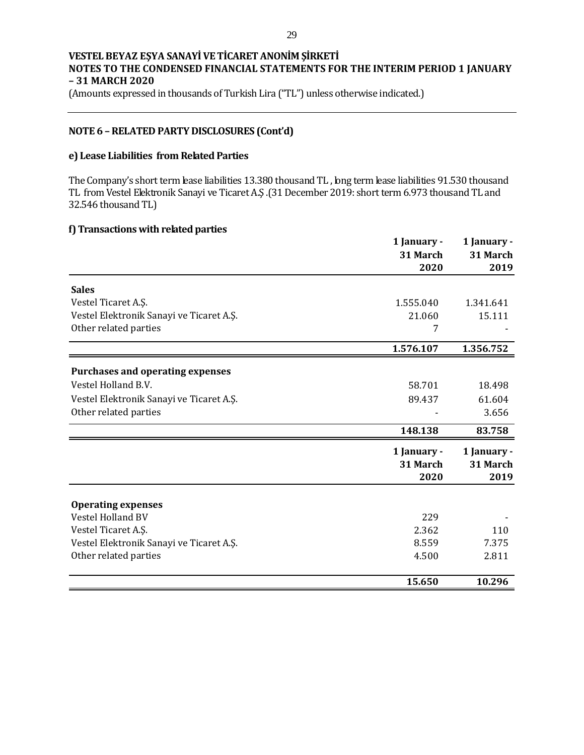(Amounts expressed in thousands of Turkish Lira ("TL") unless otherwise indicated.)

## **NOTE 6 –RELATED PARTY DISCLOSURES (Cont'd)**

#### **e) Lease Liabilities from Related Parties**

The Company's short term lease liabilities 13.380 thousand TL , long term lease liabilities 91.530 thousand TL from Vestel Elektronik Sanayi ve Ticaret A.Ş .(31December 2019: short term 6.973 thousand TL and 32.546 thousand TL)

### **f) Transactions with related parties**

|                                                | 1 January -<br>31 March<br>2020 | 1 January -<br>31 March<br>2019 |
|------------------------------------------------|---------------------------------|---------------------------------|
| <b>Sales</b>                                   |                                 |                                 |
| Vestel Ticaret A.Ş.                            | 1.555.040                       | 1.341.641                       |
| Vestel Elektronik Sanayi ve Ticaret A.Ş.       | 21.060                          | 15.111                          |
| Other related parties                          | 7                               |                                 |
|                                                | 1.576.107                       | 1.356.752                       |
| <b>Purchases and operating expenses</b>        |                                 |                                 |
| Vestel Holland B.V.                            | 58.701                          | 18.498                          |
| Vestel Elektronik Sanayi ve Ticaret A.Ş.       | 89.437                          | 61.604                          |
| Other related parties                          |                                 | 3.656                           |
|                                                | 148.138                         | 83.758                          |
|                                                | 1 January -<br>31 March<br>2020 | 1 January -<br>31 March<br>2019 |
|                                                |                                 |                                 |
| <b>Operating expenses</b><br>Vestel Holland BV | 229                             |                                 |
| Vestel Ticaret A.Ş.                            | 2.362                           | 110                             |
| Vestel Elektronik Sanayi ve Ticaret A.Ş.       | 8.559                           | 7.375                           |
| Other related parties                          | 4.500                           | 2.811                           |
|                                                | 15.650                          | 10.296                          |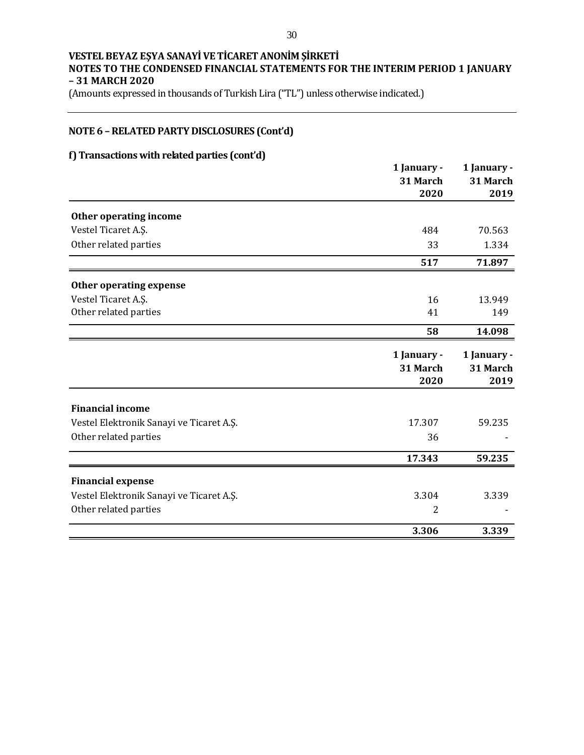(Amounts expressed in thousands of Turkish Lira ("TL") unless otherwise indicated.)

# **NOTE 6 –RELATED PARTY DISCLOSURES (Cont'd)**

# **f) Transactions with related parties (cont'd)**

|                                          | 1 January - | 1 January - |
|------------------------------------------|-------------|-------------|
|                                          | 31 March    | 31 March    |
|                                          | 2020        | 2019        |
| Other operating income                   |             |             |
| Vestel Ticaret A.Ş.                      | 484         | 70.563      |
| Other related parties                    | 33          | 1.334       |
|                                          | 517         | 71.897      |
| Other operating expense                  |             |             |
| Vestel Ticaret A.Ş.                      | 16          | 13.949      |
| Other related parties                    | 41          | 149         |
|                                          | 58          | 14.098      |
|                                          | 1 January - | 1 January - |
|                                          | 31 March    | 31 March    |
|                                          | 2020        | 2019        |
| <b>Financial income</b>                  |             |             |
| Vestel Elektronik Sanayi ve Ticaret A.Ş. | 17.307      | 59.235      |
| Other related parties                    | 36          |             |
|                                          | 17.343      | 59.235      |
| <b>Financial expense</b>                 |             |             |
| Vestel Elektronik Sanayi ve Ticaret A.Ş. | 3.304       | 3.339       |
| Other related parties                    | 2           |             |
|                                          | 3.306       | 3.339       |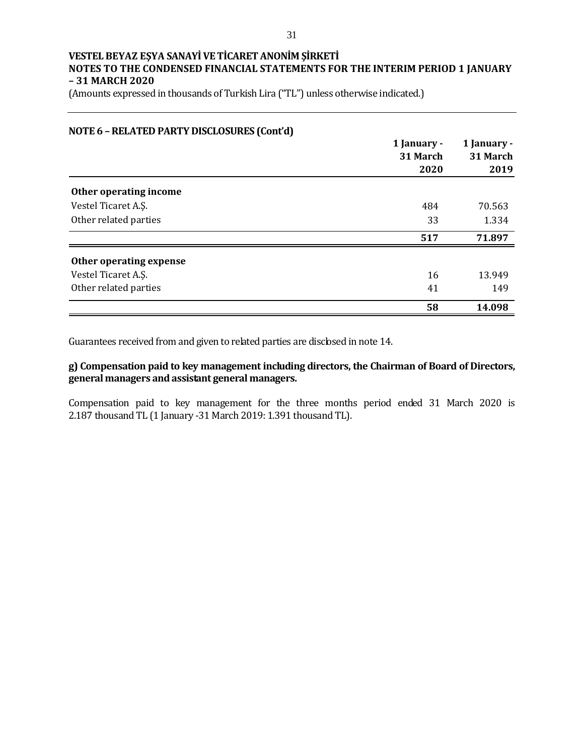(Amounts expressed in thousands of Turkish Lira ("TL") unless otherwise indicated.)

| NOTE 6 - RELATED PARTY DISCLOSURES (Cont'd) |             |             |
|---------------------------------------------|-------------|-------------|
|                                             | 1 January - | 1 January - |
|                                             | 31 March    | 31 March    |
|                                             | 2020        | 2019        |
| Other operating income                      |             |             |
| Vestel Ticaret A.S.                         | 484         | 70.563      |
| Other related parties                       | 33          | 1.334       |
|                                             | 517         | 71.897      |
| Other operating expense                     |             |             |
| Vestel Ticaret A.S.                         | 16          | 13.949      |
| Other related parties                       | 41          | 149         |
|                                             | 58          | 14.098      |

Guarantees received from and given to related parties are disclosed in note 14.

## **g) Compensation paid to key management including directors, the Chairman of Board of Directors, general managers and assistant general managers.**

Compensation paid to key management for the three months period ended 31 March 2020 is 2.187 thousand TL (1 January -31 March 2019: 1.391 thousand TL).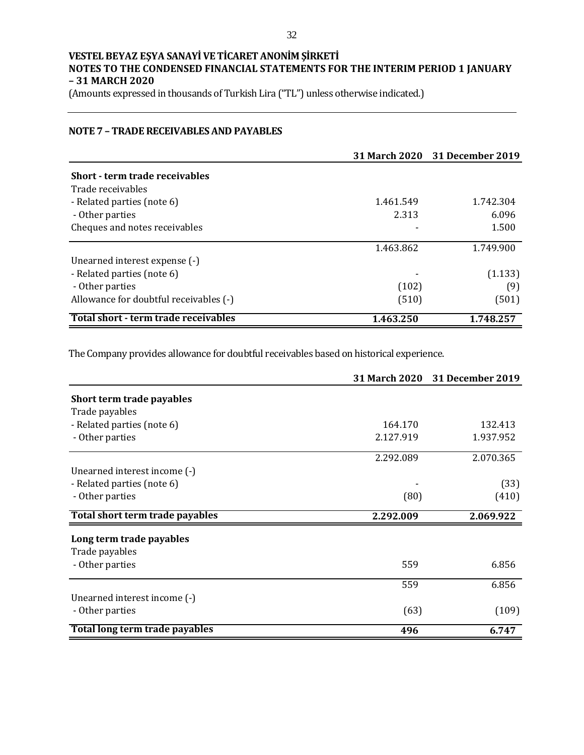(Amounts expressed in thousands of Turkish Lira ("TL") unless otherwise indicated.)

## **NOTE 7 – TRADE RECEIVABLES AND PAYABLES**

|                                        |           | 31 March 2020 31 December 2019 |
|----------------------------------------|-----------|--------------------------------|
| Short - term trade receivables         |           |                                |
| Trade receivables                      |           |                                |
| - Related parties (note 6)             | 1.461.549 | 1.742.304                      |
| - Other parties                        | 2.313     | 6.096                          |
| Cheques and notes receivables          |           | 1.500                          |
|                                        | 1.463.862 | 1.749.900                      |
| Unearned interest expense (-)          |           |                                |
| - Related parties (note 6)             |           | (1.133)                        |
| - Other parties                        | (102)     | (9)                            |
| Allowance for doubtful receivables (-) | (510)     | (501)                          |
| Total short - term trade receivables   | 1.463.250 | 1.748.257                      |

The Company provides allowance for doubtful receivables based on historical experience.

|                                 |           | 31 March 2020 31 December 2019 |
|---------------------------------|-----------|--------------------------------|
| Short term trade payables       |           |                                |
| Trade payables                  |           |                                |
| - Related parties (note 6)      | 164.170   | 132.413                        |
| - Other parties                 | 2.127.919 | 1.937.952                      |
|                                 | 2.292.089 | 2.070.365                      |
| Unearned interest income (-)    |           |                                |
| - Related parties (note 6)      |           | (33)                           |
| - Other parties                 | (80)      | (410)                          |
| Total short term trade payables | 2.292.009 | 2.069.922                      |
| Long term trade payables        |           |                                |
| Trade payables                  |           |                                |
| - Other parties                 | 559       | 6.856                          |
|                                 | 559       | 6.856                          |
| Unearned interest income (-)    |           |                                |
| - Other parties                 | (63)      | (109)                          |
| Total long term trade payables  | 496       | 6.747                          |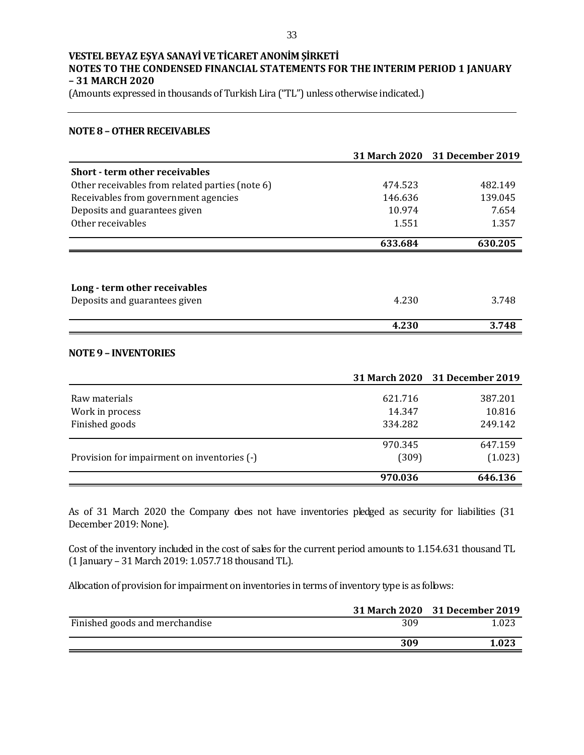(Amounts expressed in thousands of Turkish Lira ("TL") unless otherwise indicated.)

#### **NOTE 8 –OTHER RECEIVABLES**

|                                                 | 31 March 2020        | 31 December 2019        |
|-------------------------------------------------|----------------------|-------------------------|
| <b>Short - term other receivables</b>           |                      |                         |
| Other receivables from related parties (note 6) | 474.523              | 482.149                 |
| Receivables from government agencies            | 146.636              | 139.045                 |
| Deposits and guarantees given                   | 10.974               | 7.654                   |
| Other receivables                               | 1.551                | 1.357                   |
|                                                 | 633.684              | 630.205                 |
|                                                 |                      |                         |
| Long - term other receivables                   |                      |                         |
| Deposits and guarantees given                   | 4.230                | 3.748                   |
|                                                 | 4.230                | 3.748                   |
| <b>NOTE 9 - INVENTORIES</b>                     |                      |                         |
|                                                 | <b>31 March 2020</b> | <b>31 December 2019</b> |
| Raw materials                                   | 621.716              | 387.201                 |
| Work in process                                 | 14.347               | 10.816                  |
| Finished goods                                  | 334.282              | 249.142                 |
|                                                 | 970.345              | 647.159                 |
| Provision for impairment on inventories (-)     | (309)                | (1.023)                 |
|                                                 | 970.036              | 646.136                 |

As of 31 March 2020 the Company does not have inventories pledged as security for liabilities (31 December 2019: None).

Cost of the inventory included in the cost of sales for the current period amounts to 1.154.631 thousand TL (1 January – 31 March 2019: 1.057.718 thousand TL).

Allocation of provision for impairment on inventories in terms of inventory type is as follows:

|                                |     | 31 March 2020 31 December 2019 |
|--------------------------------|-----|--------------------------------|
| Finished goods and merchandise | 309 | 1.023                          |
|                                | 309 | 1.023                          |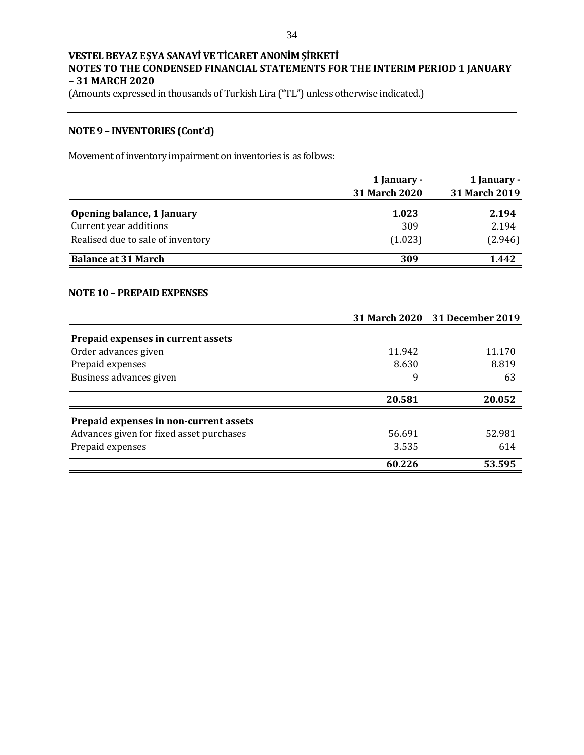(Amounts expressed in thousands of Turkish Lira ("TL") unless otherwise indicated.)

# **NOTE 9 – INVENTORIES (Cont'd)**

Movement of inventory impairment on inventories is as follows:

|                                   | 1 January -          | 1 January -   |  |
|-----------------------------------|----------------------|---------------|--|
|                                   | <b>31 March 2020</b> | 31 March 2019 |  |
| Opening balance, 1 January        | 1.023                | 2.194         |  |
| Current year additions            | 309                  | 2.194         |  |
| Realised due to sale of inventory | (1.023)              | (2.946)       |  |
| <b>Balance at 31 March</b>        | 309                  | 1.442         |  |

#### **NOTE 10 – PREPAID EXPENSES**

|                                          |        | 31 March 2020 31 December 2019 |
|------------------------------------------|--------|--------------------------------|
| Prepaid expenses in current assets       |        |                                |
| Order advances given                     | 11.942 | 11.170                         |
| Prepaid expenses                         | 8.630  | 8.819                          |
| Business advances given                  | 9      | 63                             |
|                                          | 20.581 | 20.052                         |
| Prepaid expenses in non-current assets   |        |                                |
| Advances given for fixed asset purchases | 56.691 | 52.981                         |
| Prepaid expenses                         | 3.535  | 614                            |
|                                          | 60.226 | 53.595                         |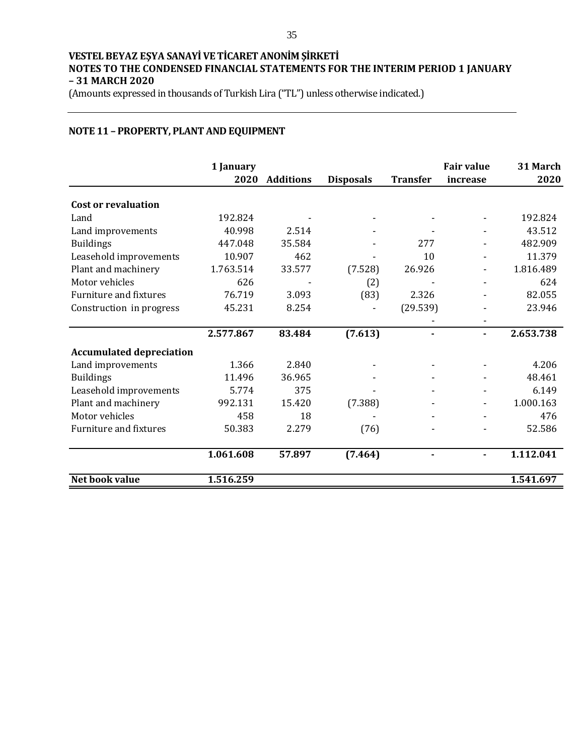(Amounts expressed in thousands of Turkish Lira ("TL") unless otherwise indicated.)

## **NOTE 11 – PROPERTY, PLANT AND EQUIPMENT**

|                                 | 1 January<br>2020 | <b>Additions</b> | <b>Disposals</b> | <b>Transfer</b> | <b>Fair value</b><br>increase | 31 March<br>2020 |
|---------------------------------|-------------------|------------------|------------------|-----------------|-------------------------------|------------------|
|                                 |                   |                  |                  |                 |                               |                  |
| <b>Cost or revaluation</b>      |                   |                  |                  |                 |                               |                  |
| Land                            | 192.824           |                  |                  |                 |                               | 192.824          |
| Land improvements               | 40.998            | 2.514            |                  |                 |                               | 43.512           |
| <b>Buildings</b>                | 447.048           | 35.584           |                  | 277             |                               | 482.909          |
| Leasehold improvements          | 10.907            | 462              |                  | 10              |                               | 11.379           |
| Plant and machinery             | 1.763.514         | 33.577           | (7.528)          | 26.926          |                               | 1.816.489        |
| Motor vehicles                  | 626               |                  | (2)              |                 |                               | 624              |
| <b>Furniture and fixtures</b>   | 76.719            | 3.093            | (83)             | 2.326           |                               | 82.055           |
| Construction in progress        | 45.231            | 8.254            |                  | (29.539)        |                               | 23.946           |
|                                 |                   |                  |                  |                 |                               |                  |
|                                 | 2.577.867         | 83.484           | (7.613)          |                 |                               | 2.653.738        |
| <b>Accumulated depreciation</b> |                   |                  |                  |                 |                               |                  |
| Land improvements               | 1.366             | 2.840            |                  |                 |                               | 4.206            |
| <b>Buildings</b>                | 11.496            | 36.965           |                  |                 |                               | 48.461           |
| Leasehold improvements          | 5.774             | 375              |                  |                 |                               | 6.149            |
| Plant and machinery             | 992.131           | 15.420           | (7.388)          |                 |                               | 1.000.163        |
| Motor vehicles                  | 458               | 18               |                  |                 |                               | 476              |
| <b>Furniture and fixtures</b>   | 50.383            | 2.279            | (76)             |                 |                               | 52.586           |
|                                 | 1.061.608         | 57.897           | (7.464)          | ۰               |                               | 1.112.041        |
| Net book value                  | 1.516.259         |                  |                  |                 |                               | 1.541.697        |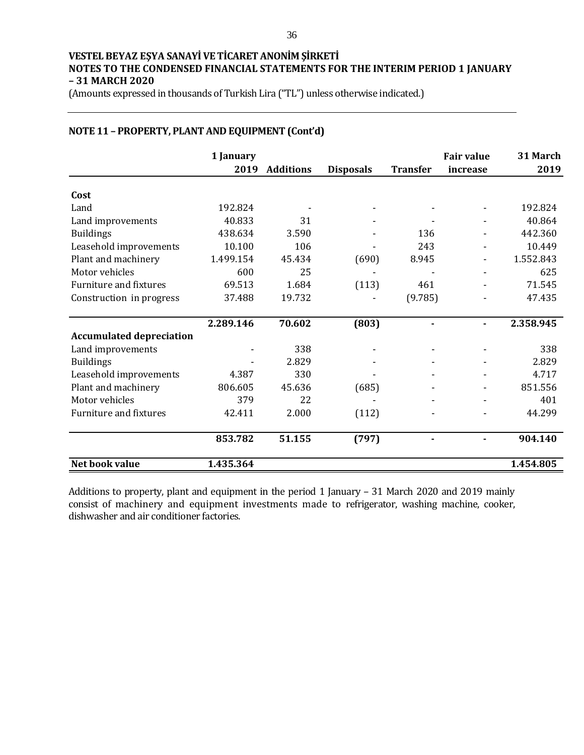(Amounts expressed in thousands of Turkish Lira ("TL") unless otherwise indicated.)

# **NOTE 11 – PROPERTY, PLANT AND EQUIPMENT (Cont'd)**

|                                 | 1 January |                  |                  |                 | <b>Fair value</b> | 31 March  |
|---------------------------------|-----------|------------------|------------------|-----------------|-------------------|-----------|
|                                 | 2019      | <b>Additions</b> | <b>Disposals</b> | <b>Transfer</b> | increase          | 2019      |
| Cost                            |           |                  |                  |                 |                   |           |
| Land                            | 192.824   |                  |                  |                 |                   | 192.824   |
| Land improvements               | 40.833    | 31               |                  |                 |                   | 40.864    |
| <b>Buildings</b>                | 438.634   | 3.590            |                  | 136             |                   | 442.360   |
| Leasehold improvements          | 10.100    | 106              |                  | 243             |                   | 10.449    |
| Plant and machinery             | 1.499.154 | 45.434           | (690)            | 8.945           |                   | 1.552.843 |
| Motor vehicles                  | 600       | 25               |                  |                 |                   | 625       |
| <b>Furniture and fixtures</b>   | 69.513    | 1.684            | (113)            | 461             |                   | 71.545    |
| Construction in progress        | 37.488    | 19.732           |                  | (9.785)         |                   | 47.435    |
|                                 | 2.289.146 | 70.602           | (803)            | ۰               |                   | 2.358.945 |
| <b>Accumulated depreciation</b> |           |                  |                  |                 |                   |           |
| Land improvements               |           | 338              |                  |                 |                   | 338       |
| <b>Buildings</b>                |           | 2.829            |                  |                 |                   | 2.829     |
| Leasehold improvements          | 4.387     | 330              |                  |                 |                   | 4.717     |
| Plant and machinery             | 806.605   | 45.636           | (685)            |                 |                   | 851.556   |
| Motor vehicles                  | 379       | 22               |                  |                 |                   | 401       |
| <b>Furniture and fixtures</b>   | 42.411    | 2.000            | (112)            |                 |                   | 44.299    |
|                                 | 853.782   | 51.155           | (797)            |                 |                   | 904.140   |
| Net book value                  | 1.435.364 |                  |                  |                 |                   | 1.454.805 |

Additions to property, plant and equipment in the period 1 January – 31 March 2020 and 2019 mainly consist of machinery and equipment investments made to refrigerator, washing machine, cooker, dishwasher and air conditioner factories.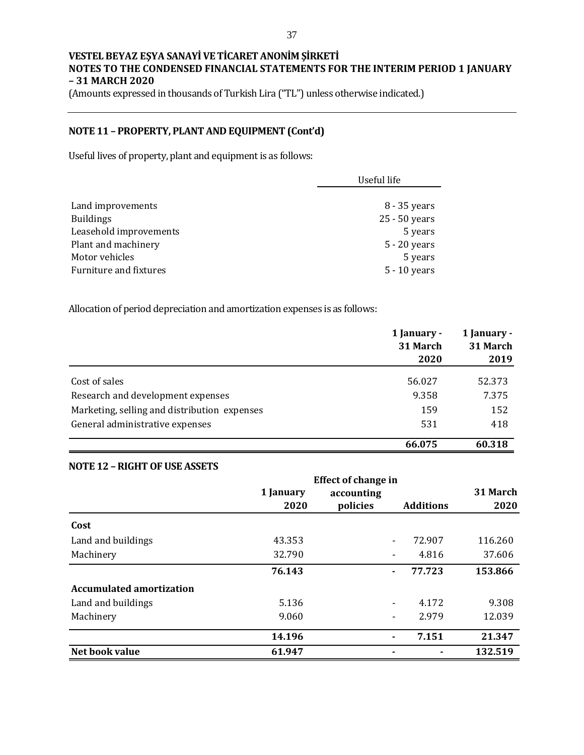(Amounts expressed in thousands of Turkish Lira ("TL") unless otherwise indicated.)

# **NOTE 11 – PROPERTY, PLANT AND EQUIPMENT (Cont'd)**

Useful lives of property, plant and equipment is as follows:

|                        | Useful life    |  |
|------------------------|----------------|--|
|                        |                |  |
| Land improvements      | 8 - 35 years   |  |
| <b>Buildings</b>       | 25 - 50 years  |  |
| Leasehold improvements | 5 years        |  |
| Plant and machinery    | 5 - 20 years   |  |
| Motor vehicles         | 5 years        |  |
| Furniture and fixtures | $5 - 10$ years |  |

Allocation of period depreciation and amortization expenses is as follows:

|                                              | 1 January -<br>31 March<br>2020 | 1 January -<br>31 March<br>2019 |
|----------------------------------------------|---------------------------------|---------------------------------|
|                                              |                                 |                                 |
| Cost of sales                                | 56.027                          | 52.373                          |
| Research and development expenses            | 9.358                           | 7.375                           |
| Marketing, selling and distribution expenses | 159                             | 152                             |
| General administrative expenses              | 531                             | 418                             |
|                                              | 66.075                          | 60.318                          |

## **NOTE 12 –RIGHT OF USE ASSETS**

|                                 |           | <b>Effect of change in</b> |                |                  |          |
|---------------------------------|-----------|----------------------------|----------------|------------------|----------|
|                                 | 1 January | accounting                 |                |                  | 31 March |
|                                 | 2020      | policies                   |                | <b>Additions</b> | 2020     |
| Cost                            |           |                            |                |                  |          |
| Land and buildings              | 43.353    |                            |                | 72.907           | 116.260  |
| Machinery                       | 32.790    |                            | $\blacksquare$ | 4.816            | 37.606   |
|                                 | 76.143    |                            | $\blacksquare$ | 77.723           | 153.866  |
| <b>Accumulated amortization</b> |           |                            |                |                  |          |
| Land and buildings              | 5.136     |                            | $\blacksquare$ | 4.172            | 9.308    |
| Machinery                       | 9.060     |                            | -              | 2.979            | 12.039   |
|                                 | 14.196    |                            | $\blacksquare$ | 7.151            | 21.347   |
| Net book value                  | 61.947    |                            |                |                  | 132.519  |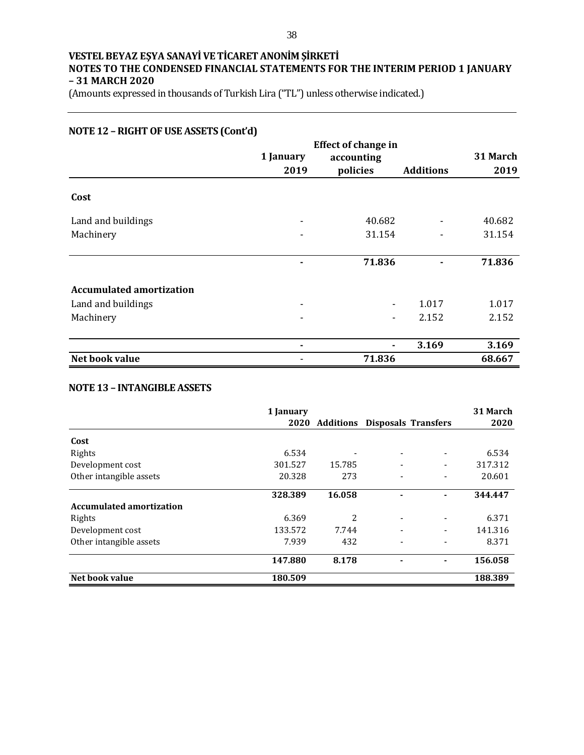(Amounts expressed in thousands of Turkish Lira ("TL") unless otherwise indicated.)

# **NOTE 12 –RIGHT OF USE ASSETS (Cont'd)**

|                                 | <b>Effect of change in</b> |            |                  |          |
|---------------------------------|----------------------------|------------|------------------|----------|
|                                 | 1 January                  | accounting |                  | 31 March |
|                                 | 2019                       | policies   | <b>Additions</b> | 2019     |
| Cost                            |                            |            |                  |          |
| Land and buildings              | $\overline{a}$             | 40.682     |                  | 40.682   |
| Machinery                       |                            | 31.154     |                  | 31.154   |
|                                 |                            | 71.836     |                  | 71.836   |
| <b>Accumulated amortization</b> |                            |            |                  |          |
| Land and buildings              |                            |            | 1.017            | 1.017    |
| Machinery                       |                            |            | 2.152            | 2.152    |
|                                 | $\blacksquare$             |            | 3.169            | 3.169    |
| Net book value                  |                            | 71.836     |                  | 68.667   |

## **NOTE 13 – INTANGIBLE ASSETS**

|                                 | 1 January |        | 2020 Additions Disposals Transfers |   | 31 March<br>2020 |
|---------------------------------|-----------|--------|------------------------------------|---|------------------|
| Cost                            |           |        |                                    |   |                  |
|                                 |           |        |                                    |   |                  |
| Rights                          | 6.534     |        | ٠                                  |   | 6.534            |
| Development cost                | 301.527   | 15.785 | ٠                                  | ٠ | 317.312          |
| Other intangible assets         | 20.328    | 273    |                                    |   | 20.601           |
|                                 | 328.389   | 16.058 |                                    |   | 344.447          |
| <b>Accumulated amortization</b> |           |        |                                    |   |                  |
| Rights                          | 6.369     | 2      | ٠                                  | ٠ | 6.371            |
| Development cost                | 133.572   | 7.744  | ٠                                  |   | 141.316          |
| Other intangible assets         | 7.939     | 432    |                                    |   | 8.371            |
|                                 | 147.880   | 8.178  |                                    |   | 156.058          |
| Net book value                  | 180.509   |        |                                    |   | 188.389          |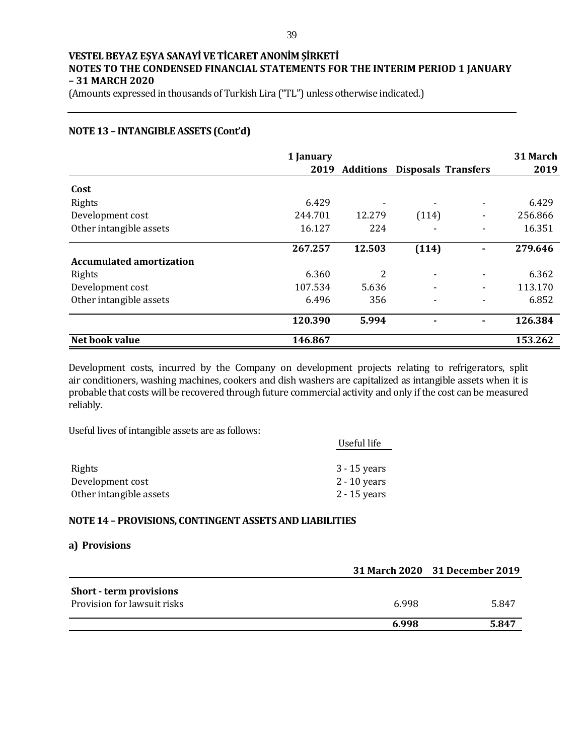(Amounts expressed in thousands of Turkish Lira ("TL") unless otherwise indicated.)

## **NOTE 13 – INTANGIBLE ASSETS (Cont'd)**

|                                 | 1 January<br>2019 |        | <b>Additions Disposals Transfers</b> |                          | 31 March<br>2019 |
|---------------------------------|-------------------|--------|--------------------------------------|--------------------------|------------------|
|                                 |                   |        |                                      |                          |                  |
| Cost                            |                   |        |                                      |                          |                  |
| Rights                          | 6.429             |        |                                      | -                        | 6.429            |
| Development cost                | 244.701           | 12.279 | (114)                                | $\overline{\phantom{a}}$ | 256.866          |
| Other intangible assets         | 16.127            | 224    |                                      |                          | 16.351           |
|                                 | 267.257           | 12.503 | (114)                                |                          | 279.646          |
| <b>Accumulated amortization</b> |                   |        |                                      |                          |                  |
| Rights                          | 6.360             | 2      | -                                    | $\overline{\phantom{a}}$ | 6.362            |
| Development cost                | 107.534           | 5.636  |                                      | $\overline{\phantom{a}}$ | 113.170          |
| Other intangible assets         | 6.496             | 356    |                                      |                          | 6.852            |
|                                 | 120.390           | 5.994  |                                      | $\blacksquare$           | 126.384          |
| Net book value                  | 146.867           |        |                                      |                          | 153.262          |

Development costs, incurred by the Company on development projects relating to refrigerators, split air conditioners, washing machines, cookers and dish washers are capitalized as intangible assets when it is probable that costs will be recovered through future commercial activity and only if the cost can be measured reliably.

Useful lives of intangible assets are as follows:

|                         | Useful life    |
|-------------------------|----------------|
|                         |                |
| Rights                  | $3 - 15$ years |
| Development cost        | $2 - 10$ years |
| Other intangible assets | $2 - 15$ years |

#### **NOTE 14 – PROVISIONS, CONTINGENT ASSETS AND LIABILITIES**

#### **a) Provisions**

|                                |       | 31 March 2020 31 December 2019 |
|--------------------------------|-------|--------------------------------|
| <b>Short - term provisions</b> |       |                                |
| Provision for lawsuit risks    | 6.998 | 5.847                          |
|                                | 6.998 | 5.847                          |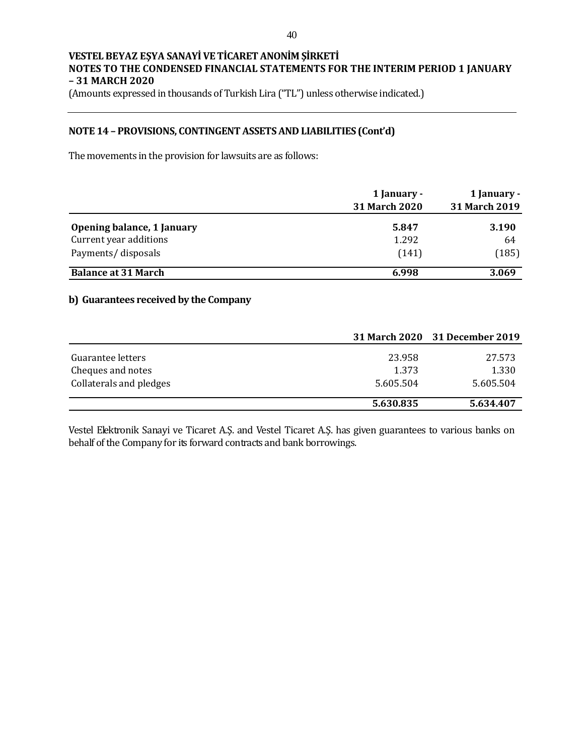(Amounts expressed in thousands of Turkish Lira ("TL") unless otherwise indicated.)

### **NOTE 14 – PROVISIONS, CONTINGENT ASSETS AND LIABILITIES (Cont'd)**

The movements in the provision for lawsuits are as follows:

|                            | 1 January -<br><b>31 March 2020</b> | 1 January -<br>31 March 2019 |
|----------------------------|-------------------------------------|------------------------------|
| Opening balance, 1 January | 5.847                               | 3.190                        |
| Current year additions     | 1.292                               | 64                           |
| Payments/disposals         | (141)                               | (185)                        |
| <b>Balance at 31 March</b> | 6.998                               | 3.069                        |

## **b) Guarantees received by the Company**

|                         |           | 31 March 2020 31 December 2019 |
|-------------------------|-----------|--------------------------------|
| Guarantee letters       | 23.958    | 27.573                         |
| Cheques and notes       | 1.373     | 1.330                          |
| Collaterals and pledges | 5.605.504 | 5.605.504                      |
|                         | 5.630.835 | 5.634.407                      |

Vestel Elektronik Sanayi ve Ticaret A.Ş. and Vestel Ticaret A.Ş. has given guarantees to various banks on behalf of the Company for its forward contracts and bank borrowings.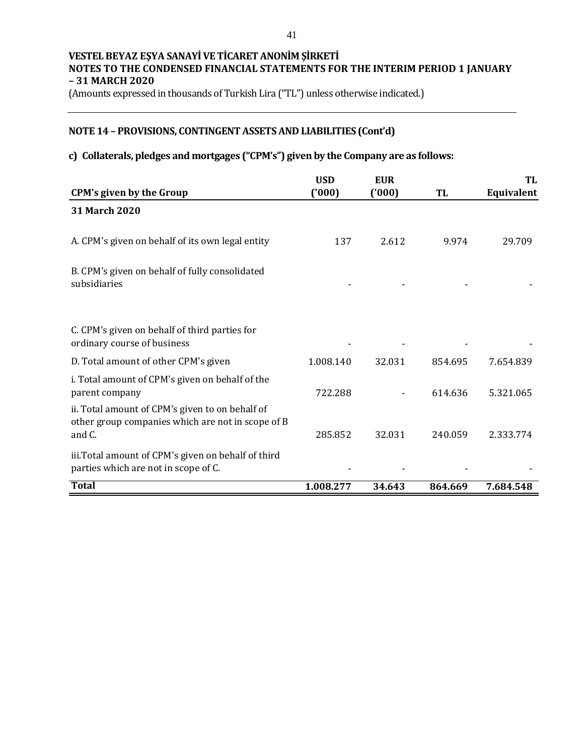(Amounts expressed in thousands of Turkish Lira ("TL") unless otherwise indicated.)

# **NOTE 14 – PROVISIONS, CONTINGENT ASSETS AND LIABILITIES (Cont'd)**

# **c) Collaterals, pledges and mortgages ("CPM's") given by the Company are as follows:**

|                                                                                                                | <b>USD</b> | <b>EUR</b> |         | TL         |
|----------------------------------------------------------------------------------------------------------------|------------|------------|---------|------------|
| <b>CPM's given by the Group</b>                                                                                | (1000)     | (1000)     | TL      | Equivalent |
| 31 March 2020                                                                                                  |            |            |         |            |
| A. CPM's given on behalf of its own legal entity                                                               | 137        | 2.612      | 9.974   | 29.709     |
| B. CPM's given on behalf of fully consolidated<br>subsidiaries                                                 |            |            |         |            |
| C. CPM's given on behalf of third parties for<br>ordinary course of business                                   |            |            |         |            |
| D. Total amount of other CPM's given                                                                           | 1.008.140  | 32.031     | 854.695 | 7.654.839  |
| i. Total amount of CPM's given on behalf of the<br>parent company                                              | 722.288    |            | 614.636 | 5.321.065  |
| ii. Total amount of CPM's given to on behalf of<br>other group companies which are not in scope of B<br>and C. | 285.852    | 32.031     | 240.059 | 2.333.774  |
| iii. Total amount of CPM's given on behalf of third<br>parties which are not in scope of C.                    |            |            |         |            |
| <b>Total</b>                                                                                                   | 1.008.277  | 34.643     | 864.669 | 7.684.548  |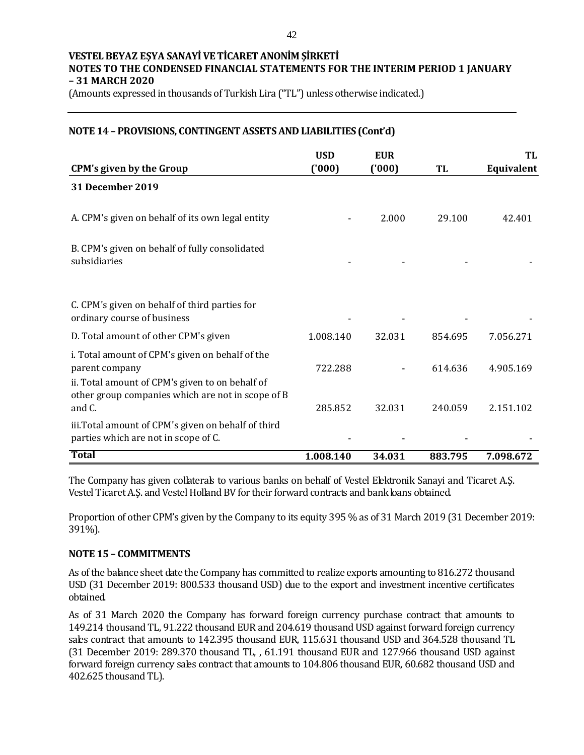(Amounts expressed in thousands of Turkish Lira ("TL") unless otherwise indicated.)

**NOTE 14 – PROVISIONS, CONTINGENT ASSETS AND LIABILITIES (Cont'd)**

| <b>CPM's given by the Group</b>                                                                                                                                           | <b>USD</b><br>(000) | <b>EUR</b><br>(000) | TL      | TL<br>Equivalent |
|---------------------------------------------------------------------------------------------------------------------------------------------------------------------------|---------------------|---------------------|---------|------------------|
| 31 December 2019                                                                                                                                                          |                     |                     |         |                  |
| A. CPM's given on behalf of its own legal entity                                                                                                                          |                     | 2.000               | 29.100  | 42.401           |
| B. CPM's given on behalf of fully consolidated<br>subsidiaries                                                                                                            |                     |                     |         |                  |
| C. CPM's given on behalf of third parties for<br>ordinary course of business                                                                                              |                     |                     |         |                  |
| D. Total amount of other CPM's given                                                                                                                                      | 1.008.140           | 32.031              | 854.695 | 7.056.271        |
| i. Total amount of CPM's given on behalf of the<br>parent company<br>ii. Total amount of CPM's given to on behalf of<br>other group companies which are not in scope of B | 722.288             |                     | 614.636 | 4.905.169        |
| and C.                                                                                                                                                                    | 285.852             | 32.031              | 240.059 | 2.151.102        |
| iii. Total amount of CPM's given on behalf of third<br>parties which are not in scope of C.                                                                               |                     |                     |         |                  |
| <b>Total</b>                                                                                                                                                              | 1.008.140           | 34.031              | 883.795 | 7.098.672        |

The Company has given collaterals to various banks on behalf of Vestel Elektronik Sanayi and Ticaret A.Ş. Vestel Ticaret A.Ş. and Vestel Holland BV for their forward contracts and bank loans obtained.

Proportion of other CPM's given by the Company to its equity 395 % as of 31 March 2019 (31 December 2019: 391%).

## **NOTE 15 – COMMITMENTS**

As of the balance sheet date the Company has committed to realize exports amounting to 816.272 thousand USD (31 December 2019: 800.533 thousand USD) due to the export and investment incentive certificates obtained.

As of 31 March 2020 the Company has forward foreign currency purchase contract that amounts to 149.214 thousand TL, 91.222 thousand EUR and 204.619 thousand USD against forward foreign currency sales contract that amounts to 142.395 thousand EUR, 115.631 thousand USD and 364.528 thousand TL (31 December 2019: 289.370 thousand TL, , 61.191 thousand EUR and 127.966 thousand USD against forward foreign currency sales contract that amounts to 104.806 thousand EUR, 60.682 thousand USD and 402.625 thousand TL).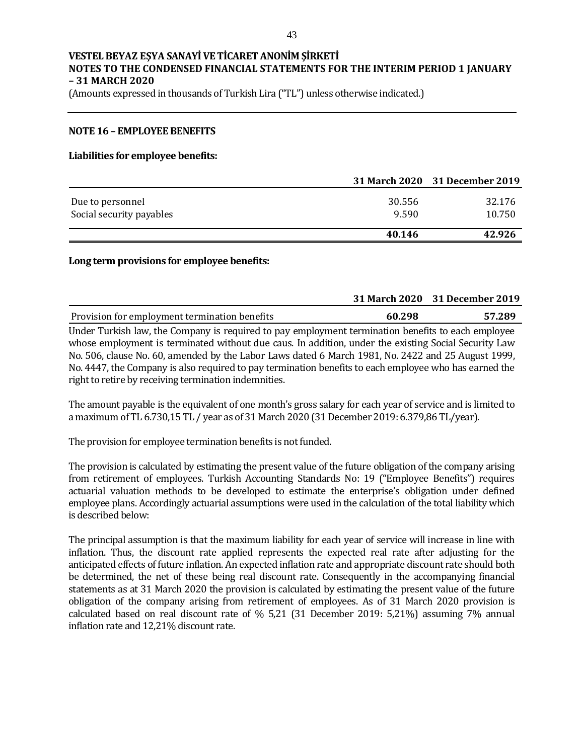(Amounts expressed in thousands of Turkish Lira ("TL") unless otherwise indicated.)

#### **NOTE 16 – EMPLOYEE BENEFITS**

#### **Liabilities for employee benefits:**

|                          |        | 31 March 2020 31 December 2019 |
|--------------------------|--------|--------------------------------|
| Due to personnel         | 30.556 | 32.176                         |
| Social security payables | 9.590  | 10.750                         |
|                          | 40.146 | 42.926                         |

#### **Long term provisions for employee benefits:**

|                                               |        | 31 March 2020 31 December 2019 |
|-----------------------------------------------|--------|--------------------------------|
| Provision for employment termination benefits | 60.298 | 57.289                         |
|                                               |        |                                |

Under Turkish law, the Company is required to pay employment termination benefits to each employee whose employment is terminated without due caus. In addition, under the existing Social Security Law No. 506, clause No. 60, amended by the Labor Laws dated 6 March 1981, No. 2422 and 25 August 1999, No. 4447, the Company is also required to pay termination benefits to each employee who has earned the right to retire by receiving termination indemnities.

The amount payable is the equivalent of one month's gross salary for each year of service and is limited to a maximum of TL 6.730,15 TL / year as of 31 March 2020 (31 December 2019: 6.379,86 TL/year).

The provision for employee termination benefits is not funded.

The provision is calculated by estimating the present value of the future obligation of the company arising from retirement of employees. Turkish Accounting Standards No: 19 ("Employee Benefits") requires actuarial valuation methods to be developed to estimate the enterprise's obligation under defined employee plans. Accordingly actuarial assumptions were used in the calculation of the total liability which is described below:

The principal assumption is that the maximum liability for each year of service will increase in line with inflation. Thus, the discount rate applied represents the expected real rate after adjusting for the anticipated effects of future inflation. An expected inflation rate and appropriate discount rate should both be determined, the net of these being real discount rate. Consequently in the accompanying financial statements as at 31 March 2020 the provision is calculated by estimating the present value of the future obligation of the company arising from retirement of employees. As of 31 March 2020 provision is calculated based on real discount rate of % 5,21 (31 December 2019: 5,21%) assuming 7% annual inflation rate and 12,21% discount rate.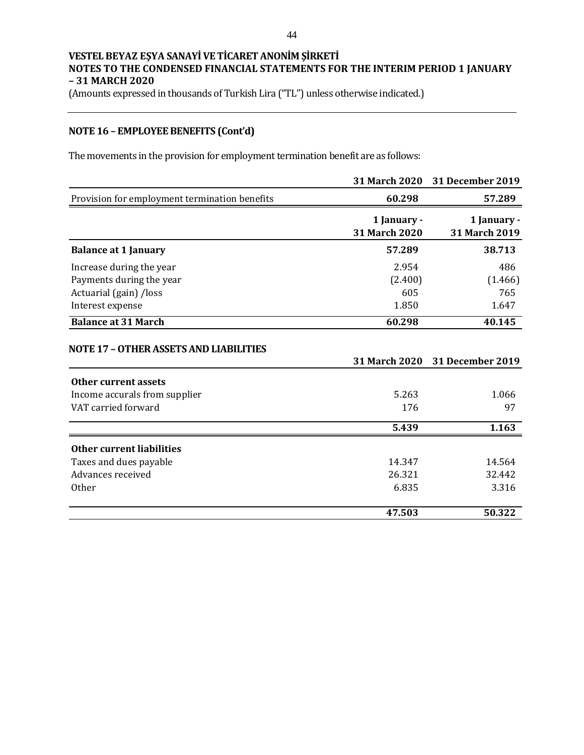(Amounts expressed in thousands of Turkish Lira ("TL") unless otherwise indicated.)

# **NOTE 16 – EMPLOYEE BENEFITS (Cont'd)**

The movements in the provision for employment termination benefit are as follows:

|                                                             | 31 March 2020                | <b>31 December 2019</b>      |
|-------------------------------------------------------------|------------------------------|------------------------------|
| Provision for employment termination benefits               | 60.298                       | 57.289                       |
|                                                             | 1 January -<br>31 March 2020 | 1 January -<br>31 March 2019 |
| <b>Balance at 1 January</b>                                 | 57.289                       | 38.713                       |
| Increase during the year<br>Payments during the year        | 2.954<br>(2.400)             | 486<br>(1.466)               |
| Actuarial (gain) /loss<br>Interest expense                  | 605<br>1.850                 | 765<br>1.647                 |
| <b>Balance at 31 March</b>                                  | 60.298                       | 40.145                       |
| <b>NOTE 17 - OTHER ASSETS AND LIABILITIES</b>               | <b>31 March 2020</b>         | <b>31 December 2019</b>      |
| <b>Other current assets</b>                                 |                              |                              |
| Income accurals from supplier<br>VAT carried forward        | 5.263<br>176                 | 1.066<br>97                  |
|                                                             |                              |                              |
|                                                             | 5.439                        | 1.163                        |
| Other current liabilities                                   |                              |                              |
| Taxes and dues payable<br>Advances received<br><b>Other</b> | 14.347<br>26.321<br>6.835    | 14.564<br>32.442<br>3.316    |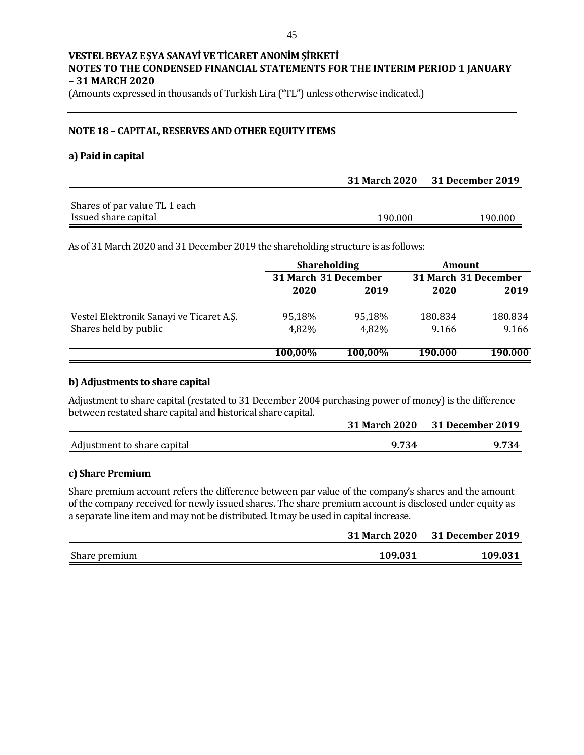(Amounts expressed in thousands of Turkish Lira ("TL") unless otherwise indicated.)

### **NOTE 18 – CAPITAL, RESERVES AND OTHER EQUITY ITEMS**

#### **a) Paid in capital**

|                               |         | 31 March 2020 31 December 2019 |
|-------------------------------|---------|--------------------------------|
| Shares of par value TL 1 each |         |                                |
| Issued share capital          | 190.000 | 190.000                        |

As of 31 March 2020 and 31 December 2019 the shareholding structure is as follows:

|                                          | <b>Shareholding</b>  |         | Amount               |         |
|------------------------------------------|----------------------|---------|----------------------|---------|
|                                          | 31 March 31 December |         | 31 March 31 December |         |
|                                          | 2020                 | 2019    | 2020                 | 2019    |
| Vestel Elektronik Sanayi ve Ticaret A.Ş. | 95,18%               | 95,18%  | 180.834              | 180.834 |
| Shares held by public                    | 4,82%                | 4,82%   | 9.166                | 9.166   |
|                                          | 100,00%              | 100,00% | 190.000              | 190.000 |

## **b) Adjustments to share capital**

Adjustment to share capital (restated to 31 December 2004 purchasing power of money) is the difference between restated share capital and historical share capital.

|                             |       | 31 March 2020 31 December 2019 |
|-----------------------------|-------|--------------------------------|
| Adjustment to share capital | 9.734 | 9.734                          |

## **c) Share Premium**

Share premium account refers the difference between par value of the company's shares and the amount of the company received for newly issued shares. The share premium account is disclosed under equity as a separate line item and may not be distributed. It may be used in capital increase.

|               | <b>31 March 2020</b> | 31 December 2019 |
|---------------|----------------------|------------------|
| Share premium | 109.031              | 109.031          |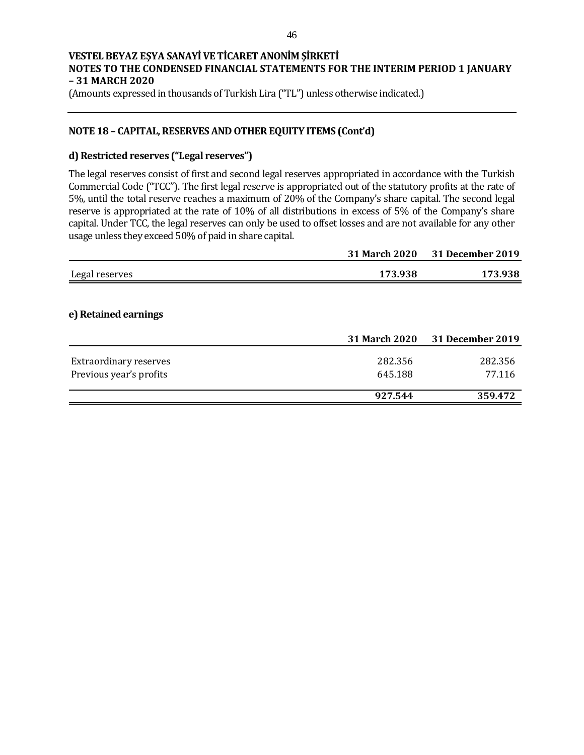(Amounts expressed in thousands of Turkish Lira ("TL") unless otherwise indicated.)

## **NOTE 18 – CAPITAL, RESERVES AND OTHER EQUITY ITEMS (Cont'd)**

## **d) Restricted reserves ("Legal reserves")**

The legal reserves consist of first and second legal reserves appropriated in accordance with the Turkish Commercial Code ("TCC"). The first legal reserve is appropriated out of the statutory profits at the rate of 5%, until the total reserve reaches a maximum of 20% of the Company's share capital. The second legal reserve is appropriated at the rate of 10% of all distributions in excess of 5% of the Company's share capital. Under TCC, the legal reserves can only be used to offset losses and are not available for any other usage unless they exceed 50% of paid in share capital.

|                               | 31 March 2020 | 31 December 2019        |
|-------------------------------|---------------|-------------------------|
| Legal reserves                | 173.938       | 173.938                 |
|                               |               |                         |
| e) Retained earnings          |               |                         |
|                               | 31 March 2020 | <b>31 December 2019</b> |
| <b>Extraordinary reserves</b> | 282.356       | 282.356                 |
| Previous year's profits       | 645.188       | 77.116                  |
|                               | 927.544       | 359.472                 |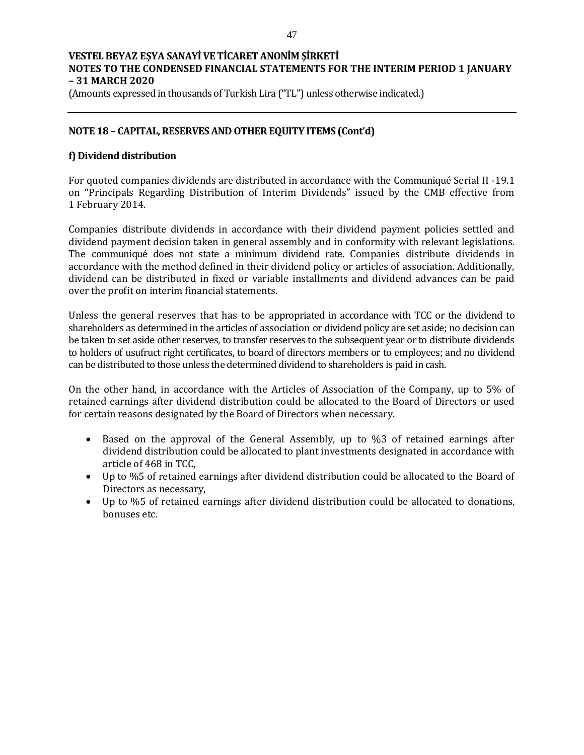(Amounts expressed in thousands of Turkish Lira ("TL") unless otherwise indicated.)

## **NOTE 18 – CAPITAL, RESERVES AND OTHER EQUITY ITEMS (Cont'd)**

## **f) Dividend distribution**

For quoted companies dividends are distributed in accordance with the Communiqué Serial II -19.1 on "Principals Regarding Distribution of Interim Dividends" issued by the CMB effective from 1 February 2014.

Companies distribute dividends in accordance with their dividend payment policies settled and dividend payment decision taken in general assembly and in conformity with relevant legislations. The communiqué does not state a minimum dividend rate. Companies distribute dividends in accordance with the method defined in their dividend policy or articles of association. Additionally, dividend can be distributed in fixed or variable installments and dividend advances can be paid over the profit on interim financial statements.

Unless the general reserves that has to be appropriated in accordance with TCC or the dividend to shareholders as determined in the articles of association or dividend policy are set aside; no decision can be taken to set aside other reserves, to transfer reserves to the subsequent year or to distribute dividends to holders of usufruct right certificates, to board of directors members or to employees; and no dividend can be distributed to those unless the determined dividend to shareholders is paid in cash.

On the other hand, in accordance with the Articles of Association of the Company, up to 5% of retained earnings after dividend distribution could be allocated to the Board of Directors or used for certain reasons designated by the Board of Directors when necessary.

- Based on the approval of the General Assembly, up to %3 of retained earnings after dividend distribution could be allocated to plant investments designated in accordance with article of 468 in TCC,
- Up to %5 of retained earnings after dividend distribution could be allocated to the Board of Directors as necessary,
- Up to %5 of retained earnings after dividend distribution could be allocated to donations, bonuses etc.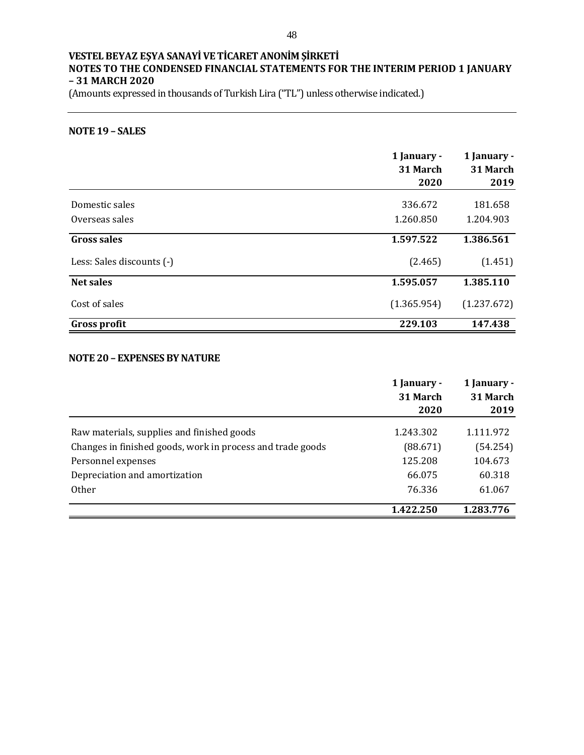(Amounts expressed in thousands of Turkish Lira ("TL") unless otherwise indicated.)

## **NOTE 19 – SALES**

|                           | 1 January -<br>31 March<br>2020 | 1 January -<br>31 March<br>2019 |
|---------------------------|---------------------------------|---------------------------------|
| Domestic sales            | 336.672                         | 181.658                         |
| Overseas sales            | 1.260.850                       | 1.204.903                       |
| <b>Gross sales</b>        | 1.597.522                       | 1.386.561                       |
| Less: Sales discounts (-) | (2.465)                         | (1.451)                         |
| <b>Net sales</b>          | 1.595.057                       | 1.385.110                       |
| Cost of sales             | (1.365.954)                     | (1.237.672)                     |
| <b>Gross profit</b>       | 229.103                         | 147.438                         |

#### **NOTE 20 – EXPENSES BY NATURE**

|                                                            | 1 January -<br>31 March<br>2020 | 1 January -<br>31 March<br>2019 |
|------------------------------------------------------------|---------------------------------|---------------------------------|
| Raw materials, supplies and finished goods                 | 1.243.302                       | 1.111.972                       |
| Changes in finished goods, work in process and trade goods | (88.671)                        | (54.254)                        |
| Personnel expenses                                         | 125.208                         | 104.673                         |
| Depreciation and amortization                              | 66.075                          | 60.318                          |
| <b>Other</b>                                               | 76.336                          | 61.067                          |
|                                                            | 1.422.250                       | 1.283.776                       |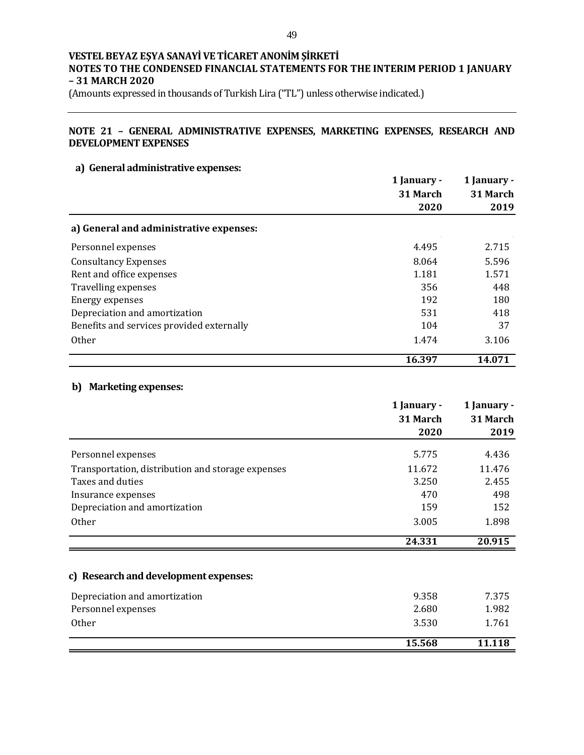(Amounts expressed in thousands of Turkish Lira ("TL") unless otherwise indicated.)

## **NOTE 21 – GENERAL ADMINISTRATIVE EXPENSES, MARKETING EXPENSES, RESEARCH AND DEVELOPMENT EXPENSES**

## **a) General administrative expenses:**

|                                           | 1 January -<br>31 March | 1 January -<br>31 March |
|-------------------------------------------|-------------------------|-------------------------|
|                                           | 2020                    | 2019                    |
| a) General and administrative expenses:   |                         |                         |
| Personnel expenses                        | 4.495                   | 2.715                   |
| <b>Consultancy Expenses</b>               | 8.064                   | 5.596                   |
| Rent and office expenses                  | 1.181                   | 1.571                   |
| Travelling expenses                       | 356                     | 448                     |
| Energy expenses                           | 192                     | 180                     |
| Depreciation and amortization             | 531                     | 418                     |
| Benefits and services provided externally | 104                     | 37                      |
| 0ther                                     | 1.474                   | 3.106                   |
|                                           | 16.397                  | 14.071                  |

#### **b) Marketing expenses:**

|                                                   | 1 January - | 1 January - |
|---------------------------------------------------|-------------|-------------|
|                                                   | 31 March    | 31 March    |
|                                                   | 2020        | 2019        |
| Personnel expenses                                | 5.775       | 4.436       |
| Transportation, distribution and storage expenses | 11.672      | 11.476      |
| Taxes and duties                                  | 3.250       | 2.455       |
| Insurance expenses                                | 470         | 498         |
| Depreciation and amortization                     | 159         | 152         |
| <b>Other</b>                                      | 3.005       | 1.898       |
|                                                   | 24.331      | 20.915      |
| c) Research and development expenses:             |             |             |
| Depreciation and amortization                     | 9.358       | 7.375       |
| Personnel expenses                                | 2.680       | 1.982       |
| <b>Other</b>                                      | 3.530       | 1.761       |
|                                                   | 15.568      | 11.118      |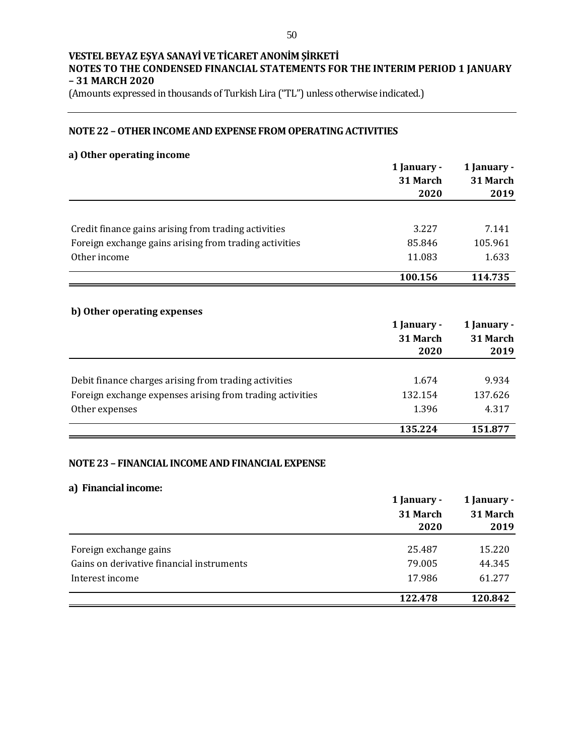(Amounts expressed in thousands of Turkish Lira ("TL") unless otherwise indicated.)

## **NOTE 22 –OTHER INCOME AND EXPENSE FROM OPERATING ACTIVITIES**

## **a) Other operating income**

|                                                                                                                    | 1 January - | 1 January -             |
|--------------------------------------------------------------------------------------------------------------------|-------------|-------------------------|
|                                                                                                                    | 31 March    | 31 March                |
|                                                                                                                    | 2020        | 2019                    |
|                                                                                                                    |             |                         |
| Credit finance gains arising from trading activities                                                               | 3.227       | 7.141                   |
| Foreign exchange gains arising from trading activities                                                             | 85.846      | 105.961                 |
| Other income                                                                                                       | 11.083      | 1.633                   |
|                                                                                                                    | 100.156     | 114.735                 |
|                                                                                                                    |             |                         |
| b) Other operating expenses                                                                                        |             |                         |
|                                                                                                                    |             |                         |
|                                                                                                                    | 1 January - |                         |
|                                                                                                                    | 31 March    | 1 January -<br>31 March |
|                                                                                                                    | 2020        | 2019                    |
|                                                                                                                    | 1.674       | 9.934                   |
| Debit finance charges arising from trading activities<br>Foreign exchange expenses arising from trading activities | 132.154     | 137.626                 |
| Other expenses                                                                                                     | 1.396       | 4.317                   |

# **NOTE 23 – FINANCIAL INCOME AND FINANCIAL EXPENSE**

## **a) Financial income:**

|                                           | 1 January - | 1 January -<br>31 March |  |
|-------------------------------------------|-------------|-------------------------|--|
|                                           | 31 March    |                         |  |
|                                           | 2020        | 2019                    |  |
|                                           |             |                         |  |
| Foreign exchange gains                    | 25.487      | 15.220                  |  |
| Gains on derivative financial instruments | 79.005      | 44.345                  |  |
| Interest income                           | 17.986      | 61.277                  |  |
|                                           | 122.478     | 120.842                 |  |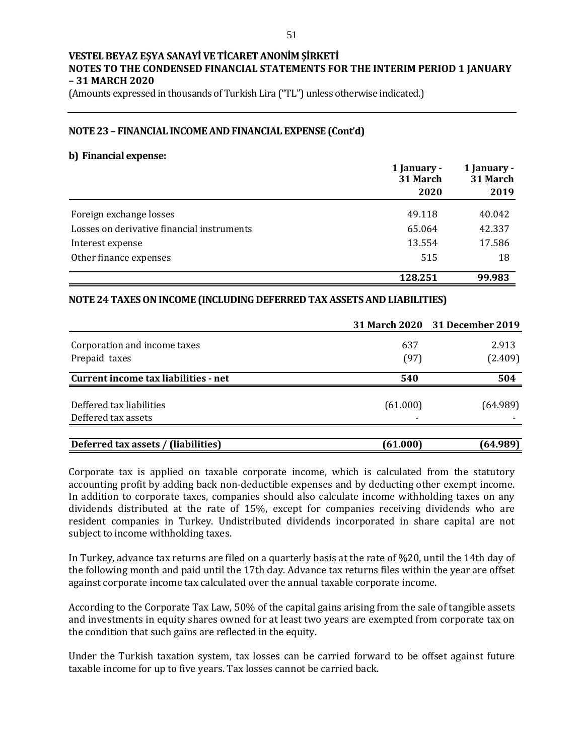(Amounts expressed in thousands of Turkish Lira ("TL") unless otherwise indicated.)

### **NOTE 23 – FINANCIAL INCOME AND FINANCIAL EXPENSE (Cont'd)**

#### **b) Financial expense:**

|                                            | 1 January -<br>31 March | 1 January -<br>31 March |  |
|--------------------------------------------|-------------------------|-------------------------|--|
|                                            | 2020                    | 2019                    |  |
| Foreign exchange losses                    | 49.118                  | 40.042                  |  |
| Losses on derivative financial instruments | 65.064                  | 42.337                  |  |
| Interest expense                           | 13.554                  | 17.586                  |  |
| Other finance expenses                     | 515                     | 18                      |  |
|                                            | 128.251                 | 99.983                  |  |

## **NOTE 24TAXES ON INCOME (INCLUDING DEFERRED TAX ASSETS AND LIABILITIES)**

|                                                 |               | 31 March 2020 31 December 2019 |
|-------------------------------------------------|---------------|--------------------------------|
| Corporation and income taxes                    | 637           | 2.913                          |
| Prepaid taxes                                   | (97)          | (2.409)                        |
| Current income tax liabilities - net            | 540           | 504                            |
| Deffered tax liabilities<br>Deffered tax assets | (61.000)<br>- | (64.989)                       |
| Deferred tax assets / (liabilities)             | (61.000)      | (64.989)                       |

Corporate tax is applied on taxable corporate income, which is calculated from the statutory accounting profit by adding back non-deductible expenses and by deducting other exempt income. In addition to corporate taxes, companies should also calculate income withholding taxes on any dividends distributed at the rate of 15%, except for companies receiving dividends who are resident companies in Turkey. Undistributed dividends incorporated in share capital are not subject to income withholding taxes.

In Turkey, advance tax returns are filed on a quarterly basis at the rate of %20, until the 14th day of the following month and paid until the 17th day. Advance tax returns files within the year are offset against corporate income tax calculated over the annual taxable corporate income.

According to the Corporate Tax Law, 50% of the capital gains arising from the sale of tangible assets and investments in equity shares owned for at least two years are exempted from corporate tax on the condition that such gains are reflected in the equity.

Under the Turkish taxation system, tax losses can be carried forward to be offset against future taxable income for up to five years. Tax losses cannot be carried back.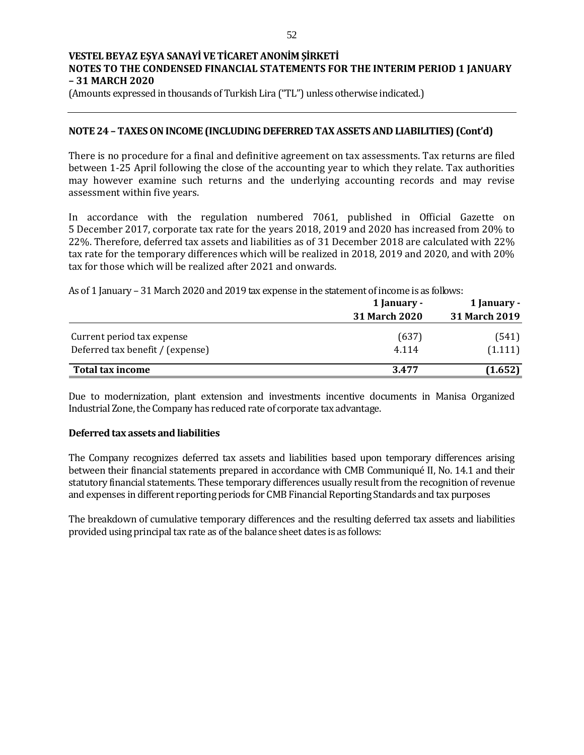(Amounts expressed in thousands of Turkish Lira ("TL") unless otherwise indicated.)

## **NOTE 24 – TAXES ON INCOME (INCLUDING DEFERRED TAX ASSETS AND LIABILITIES) (Cont'd)**

There is no procedure for a final and definitive agreement on tax assessments. Tax returns are filed between 1-25 April following the close of the accounting year to which they relate. Tax authorities may however examine such returns and the underlying accounting records and may revise assessment within five years.

In accordance with the regulation numbered 7061, published in Official Gazette on 5 December 2017, corporate tax rate for the years 2018, 2019 and 2020 has increased from 20% to 22%. Therefore, deferred tax assets and liabilities as of 31 December 2018 are calculated with 22% tax rate for the temporary differences which will be realized in 2018, 2019 and 2020, and with 20% tax for those which will be realized after 2021 and onwards.

As of 1 January – 31 March 2020 and 2019 tax expense in the statement of income is as follows:

|                                  | 1 January -          | 1 January -   |  |
|----------------------------------|----------------------|---------------|--|
|                                  | <b>31 March 2020</b> | 31 March 2019 |  |
| Current period tax expense       | (637)                | (541)         |  |
| Deferred tax benefit / (expense) | 4.114                | (1.111)       |  |
| <b>Total tax income</b>          | 3.477                | (1.652)       |  |

Due to modernization, plant extension and investments incentive documents in Manisa Organized Industrial Zone, the Company has reduced rate of corporate tax advantage.

#### **Deferred tax assets and liabilities**

The Company recognizes deferred tax assets and liabilities based upon temporary differences arising between their financial statements prepared in accordance with CMB Communiqué II, No. 14.1 and their statutory financial statements. These temporary differences usually result from the recognition of revenue and expenses in different reporting periods for CMB Financial Reporting Standards and tax purposes

The breakdown of cumulative temporary differences and the resulting deferred tax assets and liabilities provided using principal tax rate as of the balance sheet dates is as follows: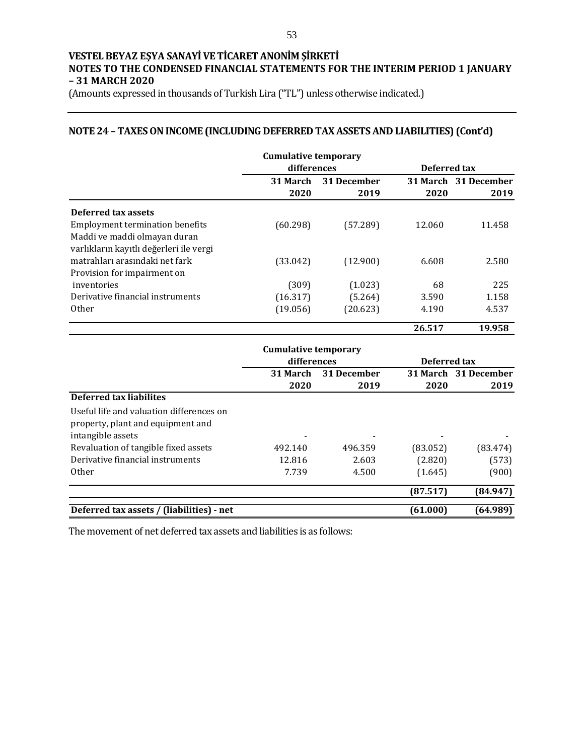(Amounts expressed in thousands of Turkish Lira ("TL") unless otherwise indicated.)

# **NOTE 24 – TAXES ON INCOME (INCLUDING DEFERRED TAX ASSETS AND LIABILITIES) (Cont'd)**

|                                         | <b>Cumulative temporary</b> |             |              |                      |
|-----------------------------------------|-----------------------------|-------------|--------------|----------------------|
|                                         | differences                 |             | Deferred tax |                      |
|                                         | 31 March                    | 31 December |              | 31 March 31 December |
|                                         | 2020                        | 2019        | 2020         | 2019                 |
| Deferred tax assets                     |                             |             |              |                      |
| Employment termination benefits         | (60.298)                    | (57.289)    | 12.060       | 11.458               |
| Maddi ve maddi olmayan duran            |                             |             |              |                      |
| varlıkların kayıtlı değerleri ile vergi |                             |             |              |                      |
| matrahları arasındaki net fark          | (33.042)                    | (12.900)    | 6.608        | 2.580                |
| Provision for impairment on             |                             |             |              |                      |
| inventories                             | (309)                       | (1.023)     | 68           | 225                  |
| Derivative financial instruments        | (16.317)                    | (5.264)     | 3.590        | 1.158                |
| <b>Other</b>                            | (19.056)                    | (20.623)    | 4.190        | 4.537                |
|                                         |                             |             | 26.517       | 19.958               |

|                                           | <b>Cumulative temporary</b> |         |              |          |             |  |                      |
|-------------------------------------------|-----------------------------|---------|--------------|----------|-------------|--|----------------------|
|                                           | differences                 |         | Deferred tax |          |             |  |                      |
|                                           | 31 March                    |         |              |          | 31 December |  | 31 March 31 December |
|                                           | 2020                        | 2019    | 2020         | 2019     |             |  |                      |
| Deferred tax liabilites                   |                             |         |              |          |             |  |                      |
| Useful life and valuation differences on  |                             |         |              |          |             |  |                      |
| property, plant and equipment and         |                             |         |              |          |             |  |                      |
| intangible assets                         |                             |         | -            |          |             |  |                      |
| Revaluation of tangible fixed assets      | 492.140                     | 496.359 | (83.052)     | (83.474) |             |  |                      |
| Derivative financial instruments          | 12.816                      | 2.603   | (2.820)      | (573)    |             |  |                      |
| <b>Other</b>                              | 7.739                       | 4.500   | (1.645)      | (900)    |             |  |                      |
|                                           |                             |         | (87.517)     | (84.947) |             |  |                      |
| Deferred tax assets / (liabilities) - net |                             |         | (61.000)     | (64.989) |             |  |                      |

The movement of net deferred tax assets and liabilities is as follows: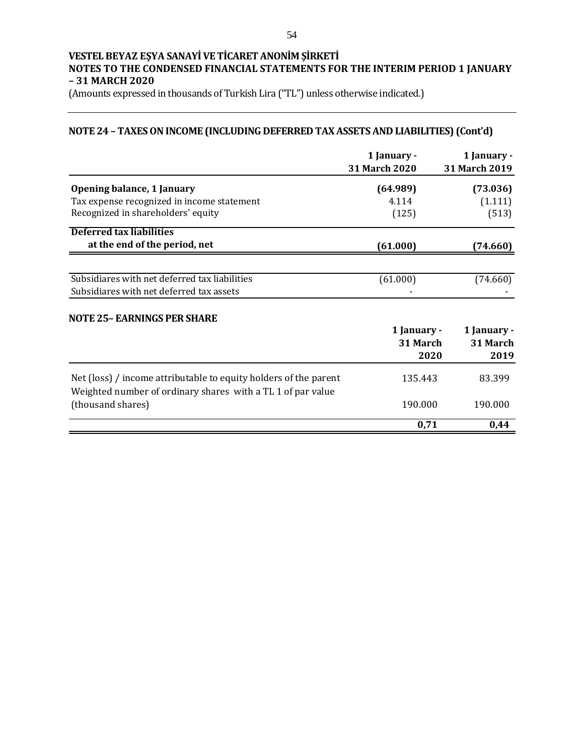(Amounts expressed in thousands of Turkish Lira ("TL") unless otherwise indicated.)

# **NOTE 24 – TAXES ON INCOME (INCLUDING DEFERRED TAX ASSETS AND LIABILITIES) (Cont'd)**

|                                                                                  | 1 January -<br>31 March 2020 | 1 January -<br>31 March 2019 |
|----------------------------------------------------------------------------------|------------------------------|------------------------------|
| Opening balance, 1 January                                                       | (64.989)                     | (73.036)                     |
| Tax expense recognized in income statement                                       | 4.114                        | (1.111)                      |
| Recognized in shareholders' equity                                               | (125)                        | (513)                        |
| Deferred tax liabilities                                                         |                              |                              |
| at the end of the period, net                                                    | (61.000)                     | (74.660)                     |
|                                                                                  |                              |                              |
| Subsidiares with net deferred tax liabilities                                    | (61.000)                     | (74.660)                     |
| Subsidiares with net deferred tax assets                                         |                              |                              |
| NOTE 25- EARNINGS PER SHARE                                                      |                              |                              |
|                                                                                  | 1 January -                  | 1 January -                  |
|                                                                                  | 31 March                     | 31 March                     |
|                                                                                  | 2020                         | 2019                         |
| Net (loss) / income attributable to equity holders of the parent                 | 135.443                      | 83.399                       |
| Weighted number of ordinary shares with a TL 1 of par value<br>(thousand shares) | 190.000                      | 190.000                      |
|                                                                                  | 0,71                         | 0,44                         |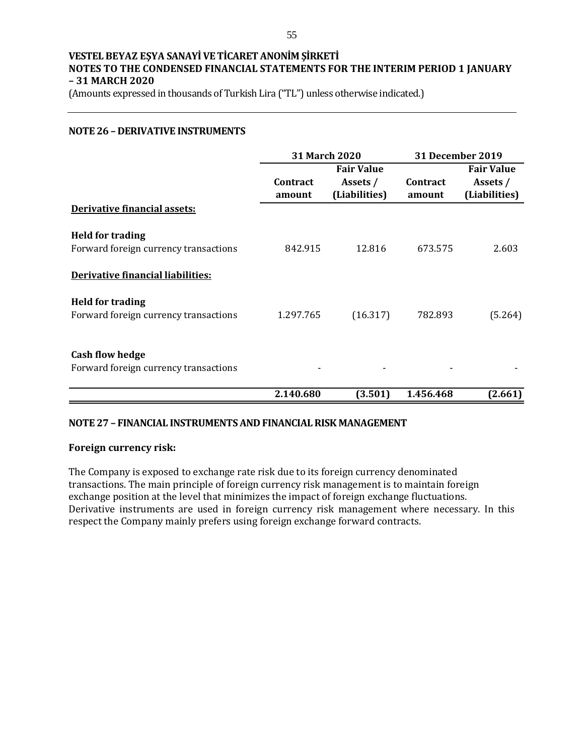(Amounts expressed in thousands of Turkish Lira ("TL") unless otherwise indicated.)

## **NOTE 26 – DERIVATIVE INSTRUMENTS**

|                                                                  | <b>31 March 2020</b>      |                                                | <b>31 December 2019</b> |                                                |  |
|------------------------------------------------------------------|---------------------------|------------------------------------------------|-------------------------|------------------------------------------------|--|
|                                                                  | <b>Contract</b><br>amount | <b>Fair Value</b><br>Assets /<br>(Liabilities) | Contract<br>amount      | <b>Fair Value</b><br>Assets /<br>(Liabilities) |  |
| Derivative financial assets:                                     |                           |                                                |                         |                                                |  |
| <b>Held for trading</b><br>Forward foreign currency transactions | 842.915                   | 12.816                                         | 673.575                 | 2.603                                          |  |
| Derivative financial liabilities:                                |                           |                                                |                         |                                                |  |
| <b>Held for trading</b><br>Forward foreign currency transactions | 1.297.765                 | (16.317)                                       | 782.893                 | (5.264)                                        |  |
| <b>Cash flow hedge</b><br>Forward foreign currency transactions  |                           |                                                |                         |                                                |  |
|                                                                  | 2.140.680                 | (3.501)                                        | 1.456.468               | (2.661)                                        |  |

## **NOTE 27 – FINANCIAL INSTRUMENTS AND FINANCIAL RISK MANAGEMENT**

## **Foreign currency risk:**

The Company is exposed to exchange rate risk due to its foreign currency denominated transactions. The main principle of foreign currency risk management is to maintain foreign exchange position at the level that minimizes the impact of foreign exchange fluctuations. Derivative instruments are used in foreign currency risk management where necessary. In this respect the Company mainly prefers using foreign exchange forward contracts.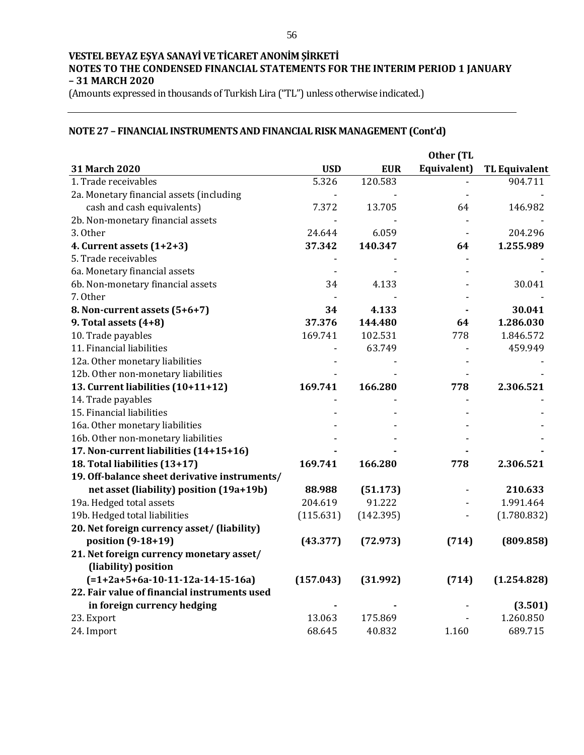(Amounts expressed in thousands of Turkish Lira ("TL") unless otherwise indicated.)

# **NOTE 27 – FINANCIAL INSTRUMENTS AND FINANCIAL RISK MANAGEMENT (Cont'd)**

|                                               |            |            | Other (TL   |                      |
|-----------------------------------------------|------------|------------|-------------|----------------------|
| 31 March 2020                                 | <b>USD</b> | <b>EUR</b> | Equivalent) | <b>TL Equivalent</b> |
| 1. Trade receivables                          | 5.326      | 120.583    |             | 904.711              |
| 2a. Monetary financial assets (including      |            |            |             |                      |
| cash and cash equivalents)                    | 7.372      | 13.705     | 64          | 146.982              |
| 2b. Non-monetary financial assets             |            |            |             |                      |
| 3. Other                                      | 24.644     | 6.059      |             | 204.296              |
| 4. Current assets (1+2+3)                     | 37.342     | 140.347    | 64          | 1.255.989            |
| 5. Trade receivables                          |            |            |             |                      |
| 6a. Monetary financial assets                 |            |            |             |                      |
| 6b. Non-monetary financial assets             | 34         | 4.133      |             | 30.041               |
| 7. Other                                      |            |            |             |                      |
| 8. Non-current assets (5+6+7)                 | 34         | 4.133      |             | 30.041               |
| 9. Total assets (4+8)                         | 37.376     | 144.480    | 64          | 1.286.030            |
| 10. Trade payables                            | 169.741    | 102.531    | 778         | 1.846.572            |
| 11. Financial liabilities                     |            | 63.749     |             | 459.949              |
| 12a. Other monetary liabilities               |            |            |             |                      |
| 12b. Other non-monetary liabilities           |            |            |             |                      |
| 13. Current liabilities (10+11+12)            | 169.741    | 166.280    | 778         | 2.306.521            |
| 14. Trade payables                            |            |            |             |                      |
| 15. Financial liabilities                     |            |            |             |                      |
| 16a. Other monetary liabilities               |            |            |             |                      |
| 16b. Other non-monetary liabilities           |            |            |             |                      |
| 17. Non-current liabilities (14+15+16)        |            |            |             |                      |
| 18. Total liabilities (13+17)                 | 169.741    | 166.280    | 778         | 2.306.521            |
| 19. Off-balance sheet derivative instruments/ |            |            |             |                      |
| net asset (liability) position (19a+19b)      | 88.988     | (51.173)   |             | 210.633              |
| 19a. Hedged total assets                      | 204.619    | 91.222     |             | 1.991.464            |
| 19b. Hedged total liabilities                 | (115.631)  | (142.395)  |             | (1.780.832)          |
| 20. Net foreign currency asset/ (liability)   |            |            |             |                      |
| position (9-18+19)                            | (43.377)   | (72.973)   | (714)       | (809.858)            |
| 21. Net foreign currency monetary asset/      |            |            |             |                      |
| (liability) position                          |            |            |             |                      |
| $(=1+2a+5+6a-10-11-12a-14-15-16a)$            | (157.043)  | (31.992)   | (714)       | (1.254.828)          |
| 22. Fair value of financial instruments used  |            |            |             |                      |
| in foreign currency hedging                   |            |            |             | (3.501)              |
| 23. Export                                    | 13.063     | 175.869    |             | 1.260.850            |
| 24. Import                                    | 68.645     | 40.832     | 1.160       | 689.715              |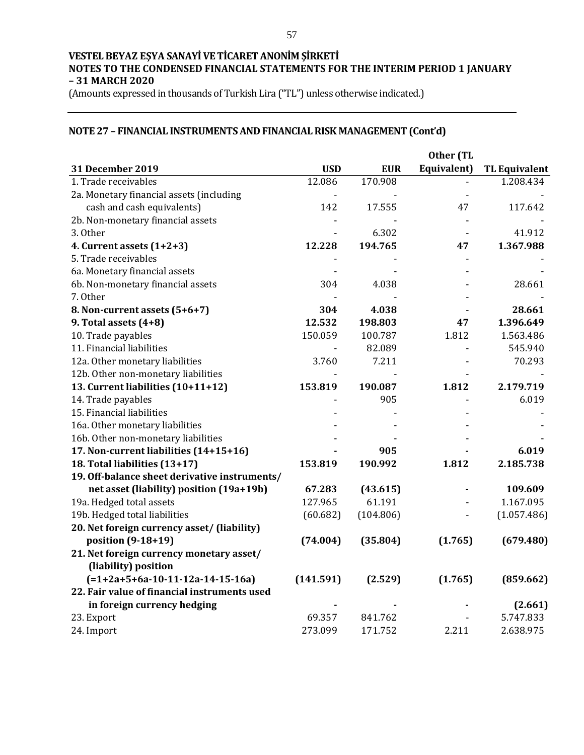(Amounts expressed in thousands of Turkish Lira ("TL") unless otherwise indicated.)

# **NOTE 27 – FINANCIAL INSTRUMENTS AND FINANCIAL RISK MANAGEMENT (Cont'd)**

|                                               |                |            | Other (TL   |                      |
|-----------------------------------------------|----------------|------------|-------------|----------------------|
| 31 December 2019                              | <b>USD</b>     | <b>EUR</b> | Equivalent) | <b>TL Equivalent</b> |
| 1. Trade receivables                          | 12.086         | 170.908    |             | 1.208.434            |
| 2a. Monetary financial assets (including      | $\overline{a}$ |            |             |                      |
| cash and cash equivalents)                    | 142            | 17.555     | 47          | 117.642              |
| 2b. Non-monetary financial assets             |                |            |             |                      |
| 3. Other                                      |                | 6.302      |             | 41.912               |
| 4. Current assets $(1+2+3)$                   | 12.228         | 194.765    | 47          | 1.367.988            |
| 5. Trade receivables                          |                |            |             |                      |
| 6a. Monetary financial assets                 |                |            |             |                      |
| 6b. Non-monetary financial assets             | 304            | 4.038      |             | 28.661               |
| 7. Other                                      |                |            |             |                      |
| 8. Non-current assets (5+6+7)                 | 304            | 4.038      |             | 28.661               |
| 9. Total assets (4+8)                         | 12.532         | 198.803    | 47          | 1.396.649            |
| 10. Trade payables                            | 150.059        | 100.787    | 1.812       | 1.563.486            |
| 11. Financial liabilities                     |                | 82.089     |             | 545.940              |
| 12a. Other monetary liabilities               | 3.760          | 7.211      |             | 70.293               |
| 12b. Other non-monetary liabilities           |                |            |             |                      |
| 13. Current liabilities (10+11+12)            | 153.819        | 190.087    | 1.812       | 2.179.719            |
| 14. Trade payables                            |                | 905        |             | 6.019                |
| 15. Financial liabilities                     |                |            |             |                      |
| 16a. Other monetary liabilities               |                |            |             |                      |
| 16b. Other non-monetary liabilities           |                |            |             |                      |
| 17. Non-current liabilities (14+15+16)        |                | 905        |             | 6.019                |
| 18. Total liabilities (13+17)                 | 153.819        | 190.992    | 1.812       | 2.185.738            |
| 19. Off-balance sheet derivative instruments/ |                |            |             |                      |
| net asset (liability) position (19a+19b)      | 67.283         | (43.615)   |             | 109.609              |
| 19a. Hedged total assets                      | 127.965        | 61.191     |             | 1.167.095            |
| 19b. Hedged total liabilities                 | (60.682)       | (104.806)  |             | (1.057.486)          |
| 20. Net foreign currency asset/ (liability)   |                |            |             |                      |
| position (9-18+19)                            | (74.004)       | (35.804)   | (1.765)     | (679.480)            |
| 21. Net foreign currency monetary asset/      |                |            |             |                      |
| (liability) position                          |                |            |             |                      |
| $(=1+2a+5+6a-10-11-12a-14-15-16a)$            | (141.591)      | (2.529)    | (1.765)     | (859.662)            |
| 22. Fair value of financial instruments used  |                |            |             |                      |
| in foreign currency hedging                   |                |            |             | (2.661)              |
| 23. Export                                    | 69.357         | 841.762    |             | 5.747.833            |
| 24. Import                                    | 273.099        | 171.752    | 2.211       | 2.638.975            |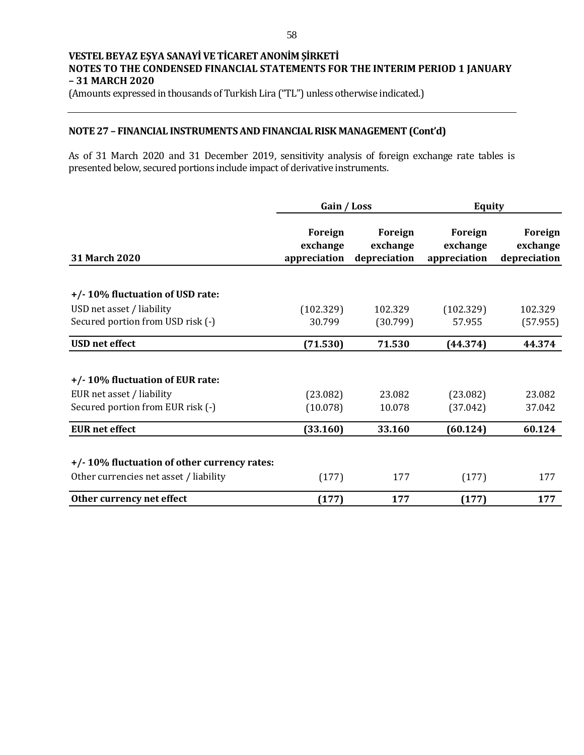(Amounts expressed in thousands of Turkish Lira ("TL") unless otherwise indicated.)

## **NOTE 27 – FINANCIAL INSTRUMENTS AND FINANCIAL RISK MANAGEMENT (Cont'd)**

As of 31 March 2020 and 31 December 2019, sensitivity analysis of foreign exchange rate tables is presented below, secured portions include impact of derivative instruments.

|                                                                                                   | Gain / Loss                         |                                     | <b>Equity</b>                       |                                     |
|---------------------------------------------------------------------------------------------------|-------------------------------------|-------------------------------------|-------------------------------------|-------------------------------------|
| 31 March 2020                                                                                     | Foreign<br>exchange<br>appreciation | Foreign<br>exchange<br>depreciation | Foreign<br>exchange<br>appreciation | Foreign<br>exchange<br>depreciation |
| +/-10% fluctuation of USD rate:                                                                   |                                     |                                     |                                     |                                     |
| USD net asset / liability                                                                         | (102.329)                           | 102.329                             | (102.329)                           | 102.329                             |
| Secured portion from USD risk (-)                                                                 | 30.799                              | (30.799)                            | 57.955                              | (57.955)                            |
| <b>USD</b> net effect                                                                             | (71.530)                            | 71.530                              | (44.374)                            | 44.374                              |
| +/-10% fluctuation of EUR rate:<br>EUR net asset / liability<br>Secured portion from EUR risk (-) | (23.082)<br>(10.078)                | 23.082<br>10.078                    | (23.082)<br>(37.042)                | 23.082<br>37.042                    |
| <b>EUR</b> net effect                                                                             | (33.160)                            | 33.160                              | (60.124)                            | 60.124                              |
| +/-10% fluctuation of other currency rates:<br>Other currencies net asset / liability             | (177)                               | 177                                 | (177)                               | 177                                 |
| Other currency net effect                                                                         | (177)                               | 177                                 | (177)                               | 177                                 |